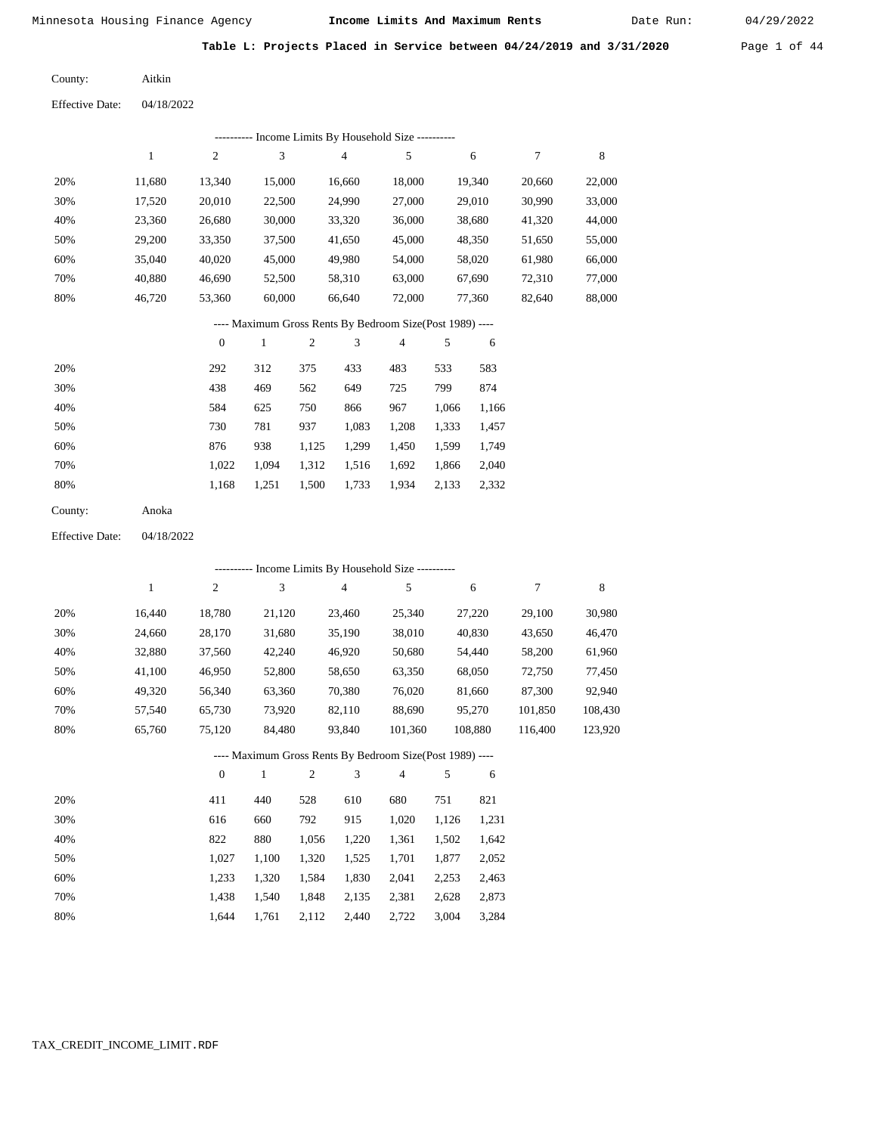Date Run:

**Table L: Projects Placed in Service between 04/24/2019 and 3/31/2020** Page 1 of 44

Aitkin County:

Effective Date: 04/18/2022

|                        |              |                  |               |                  | --------- Income Limits By Household Size ----------     |            |            |         |                  |             |
|------------------------|--------------|------------------|---------------|------------------|----------------------------------------------------------|------------|------------|---------|------------------|-------------|
|                        | $\mathbf{1}$ | $\sqrt{2}$       | 3             |                  | $\overline{4}$                                           | $\sqrt{5}$ |            | 6       | $\boldsymbol{7}$ | 8           |
| 20%                    | 11,680       | 13,340           | 15,000        |                  | 16,660                                                   | 18,000     | 19,340     |         | 20,660           | 22,000      |
| 30%                    | 17,520       | 20,010           | 22,500        |                  | 24,990                                                   | 27,000     |            | 29,010  | 30,990           | 33,000      |
| 40%                    | 23,360       | 26,680           | 30,000        |                  | 33,320                                                   | 36,000     |            | 38,680  | 41,320           | 44,000      |
| 50%                    | 29,200       | 33,350           |               | 37,500<br>41,650 |                                                          | 45,000     | 48,350     |         | 51,650           | 55,000      |
| 60%                    | 35,040       | 40,020           |               | 45,000           |                                                          | 54,000     |            | 58,020  | 61,980           | 66,000      |
| 70%                    | 40,880       | 46,690           |               | 52,500           |                                                          | 63,000     |            | 67,690  | 72,310           | 77,000      |
| 80%                    | 46,720       | 53,360           | 60,000        |                  | 66,640                                                   | 72,000     |            | 77,360  | 82,640           | 88,000      |
|                        |              |                  |               |                  | ---- Maximum Gross Rents By Bedroom Size(Post 1989) ---- |            |            |         |                  |             |
|                        |              | $\boldsymbol{0}$ | $\mathbf{1}$  | $\sqrt{2}$       | 3                                                        | 4          | 5          | 6       |                  |             |
| 20%                    |              | 292              | 312           | 375              | 433                                                      | 483        | 533        | 583     |                  |             |
| 30%                    |              | 438              | 469           | 562              | 649                                                      | 725        | 799        | 874     |                  |             |
| 40%                    |              | 584              | 625           | 750              | 866                                                      | 967        | 1,066      | 1,166   |                  |             |
| 50%                    |              | 730              | 781           | 937              | 1,083                                                    | 1,208      | 1,333      | 1,457   |                  |             |
| 60%                    |              | 876              | 938           | 1,125            | 1,299                                                    | 1,450      | 1,599      | 1,749   |                  |             |
| 70%                    |              | 1,022            | 1,094         | 1,312            | 1,516                                                    | 1,692      | 1,866      | 2,040   |                  |             |
| 80%                    |              | 1,168            | 1,251         | 1,500            | 1,733                                                    | 1,934      | 2,133      | 2,332   |                  |             |
| County:                | Anoka        |                  |               |                  |                                                          |            |            |         |                  |             |
| <b>Effective Date:</b> | 04/18/2022   |                  |               |                  |                                                          |            |            |         |                  |             |
|                        |              |                  |               |                  | --------- Income Limits By Household Size ----------     |            |            |         |                  |             |
|                        | $\mathbf{1}$ | $\sqrt{2}$       | $\mathfrak 3$ |                  | $\overline{4}$                                           | $\sqrt{5}$ |            | 6       | 7                | $\,$ 8 $\,$ |
| 20%                    | 16,440       | 18,780           | 21,120        |                  | 23,460                                                   | 25,340     |            | 27,220  | 29,100           | 30,980      |
| 30%                    | 24,660       | 28,170           | 31,680        |                  | 35,190                                                   | 38,010     |            | 40,830  | 43,650           | 46,470      |
| 40%                    | 32,880       | 37,560           | 42,240        |                  | 46,920                                                   | 50,680     |            | 54,440  | 58,200           | 61,960      |
| 50%                    | 41,100       | 46,950           | 52,800        |                  | 58,650                                                   | 63,350     |            | 68,050  | 72,750           | 77,450      |
| 60%                    | 49,320       | 56,340           | 63,360        |                  | 70,380                                                   | 76,020     |            | 81,660  | 87,300           | 92,940      |
| 70%                    | 57,540       | 65,730           | 73,920        |                  | 82,110                                                   | 88,690     |            | 95,270  | 101,850          | 108,430     |
| 80%                    | 65,760       | 75,120           | 84,480        |                  | 93,840                                                   | 101,360    |            | 108,880 | 116,400          | 123,920     |
|                        |              |                  |               |                  | ---- Maximum Gross Rents By Bedroom Size(Post 1989) ---- |            |            |         |                  |             |
|                        |              | $\boldsymbol{0}$ | $\mathbf{1}$  | $\sqrt{2}$       | 3                                                        | 4          | $\sqrt{5}$ | 6       |                  |             |
| 20%                    |              | 411              | 440           | 528              | 610                                                      | 680        | 751        | 821     |                  |             |
| 30%                    |              | 616              | 660           | 792              | 915                                                      | 1,020      | 1,126      | 1,231   |                  |             |
| 40%                    |              | 822              | 880           | 1,056            | 1,220                                                    | 1,361      | 1,502      | 1,642   |                  |             |
| 50%                    |              | 1,027            | 1,100         | 1,320            | 1,525                                                    | 1,701      | 1,877      | 2,052   |                  |             |
| 60%                    |              | 1,233            | 1,320         | 1,584            | 1,830                                                    | 2,041      | 2,253      | 2,463   |                  |             |
| 70%                    |              | 1,438            | 1,540         | 1,848            | 2,135                                                    | 2,381      | 2,628      | 2,873   |                  |             |

1,644 1,761 2,112 2,440 2,722 3,004 3,284

TAX\_CREDIT\_INCOME\_LIMIT.RDF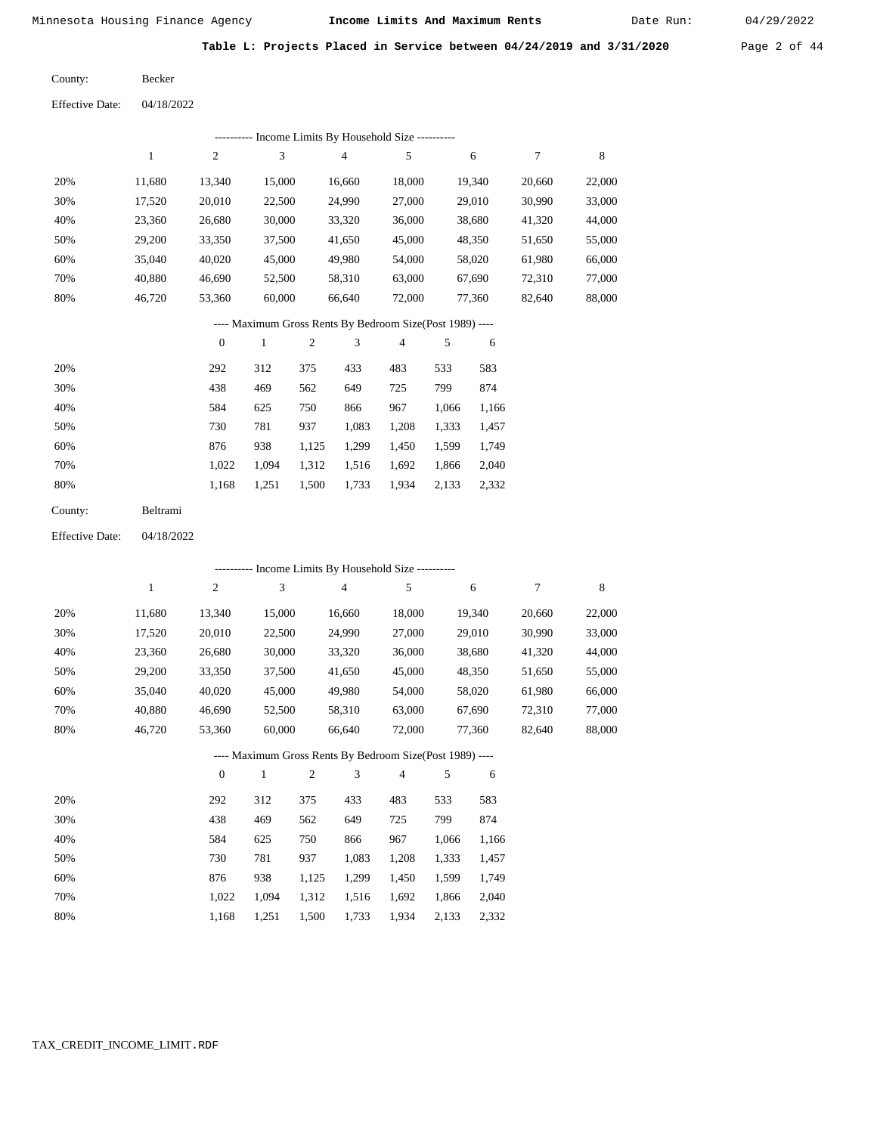Date Run:

**Table L: Projects Placed in Service between 04/24/2019 and 3/31/2020** Page 2 of 44

| County:                | <b>Becker</b> |
|------------------------|---------------|
| <b>Effective Date:</b> | 04/18/2022    |

|                        |              |                  |              |            | --------- Income Limits By Household Size ----------     |        |       |        |        |        |
|------------------------|--------------|------------------|--------------|------------|----------------------------------------------------------|--------|-------|--------|--------|--------|
|                        | $\mathbf{1}$ | $\mathbf{2}$     | 3            |            | $\overline{4}$                                           | 5      |       | 6      | 7      | 8      |
| 20%                    | 11,680       | 13,340           | 15,000       |            | 16,660                                                   | 18,000 |       | 19,340 | 20,660 | 22,000 |
| 30%                    | 17,520       | 20,010           | 22,500       |            | 24,990                                                   | 27,000 |       | 29,010 | 30,990 | 33,000 |
| 40%                    | 23,360       | 26,680           | 30,000       |            | 33,320                                                   | 36,000 |       | 38,680 | 41,320 | 44,000 |
| 50%                    | 29,200       | 33,350           | 37,500       |            | 41,650                                                   | 45,000 |       | 48,350 | 51,650 | 55,000 |
| 60%                    | 35,040       | 40,020           | 45,000       |            | 49,980                                                   | 54,000 |       | 58,020 | 61,980 | 66,000 |
| 70%                    | 40,880       | 46,690           | 52,500       |            | 58,310                                                   | 63,000 |       | 67,690 | 72,310 | 77,000 |
| 80%                    | 46,720       | 53,360           | 60,000       |            | 66,640                                                   | 72,000 |       | 77,360 | 82,640 | 88,000 |
|                        |              |                  |              |            | ---- Maximum Gross Rents By Bedroom Size(Post 1989) ---- |        |       |        |        |        |
|                        |              | $\boldsymbol{0}$ | $\mathbf{1}$ | $\sqrt{2}$ | 3                                                        | 4      | 5     | 6      |        |        |
| 20%                    |              | 292              | 312          | 375        | 433                                                      | 483    | 533   | 583    |        |        |
| 30%                    |              | 438              | 469          | 562        | 649                                                      | 725    | 799   | 874    |        |        |
| 40%                    |              | 584              | 625          | 750        | 866                                                      | 967    | 1,066 | 1,166  |        |        |
| 50%                    |              | 730              | 781          | 937        | 1,083                                                    | 1,208  | 1,333 | 1,457  |        |        |
| 60%                    |              | 876              | 938          | 1,125      | 1,299                                                    | 1,450  | 1,599 | 1,749  |        |        |
| 70%                    |              | 1,022            | 1,094        | 1,312      | 1,516                                                    | 1,692  | 1,866 | 2,040  |        |        |
| 80%                    |              | 1,168            | 1,251        | 1,500      | 1,733                                                    | 1,934  | 2,133 | 2,332  |        |        |
| County:                | Beltrami     |                  |              |            |                                                          |        |       |        |        |        |
| <b>Effective Date:</b> | 04/18/2022   |                  |              |            |                                                          |        |       |        |        |        |
|                        |              |                  |              |            | --------- Income Limits By Household Size ----------     |        |       |        |        |        |
|                        | 1            | $\boldsymbol{2}$ | 3            |            | 4                                                        | 5      |       | 6      | 7      | 8      |
| 20%                    | 11,680       | 13,340           | 15,000       |            | 16,660                                                   | 18,000 |       | 19,340 | 20,660 | 22,000 |
| 30%                    | 17,520       | 20,010           | 22,500       |            | 24,990                                                   | 27,000 |       | 29,010 | 30,990 | 33,000 |
| 40%                    | 23,360       | 26,680           | 30,000       |            | 33,320                                                   | 36,000 |       | 38,680 | 41,320 | 44,000 |
| 50%                    | 29,200       | 33,350           | 37,500       |            | 41,650                                                   | 45,000 |       | 48,350 | 51,650 | 55,000 |
| 60%                    | 35,040       | 40,020           | 45,000       |            | 49,980                                                   | 54,000 |       | 58,020 | 61,980 | 66,000 |
| 70%                    | 40,880       | 46,690           | 52,500       |            | 58,310                                                   | 63,000 |       | 67,690 | 72,310 | 77,000 |
| 80%                    | 46,720       | 53,360           | 60,000       |            | 66,640                                                   | 72,000 |       | 77,360 | 82,640 | 88,000 |
|                        |              |                  |              |            | ---- Maximum Gross Rents By Bedroom Size(Post 1989) -    |        |       |        |        |        |
|                        |              | $\boldsymbol{0}$ | $\mathbf{1}$ | 2          | 3                                                        | 4      | 5     | 6      |        |        |
| 20%                    |              | 292              | 312          | 375        | 433                                                      | 483    | 533   | 583    |        |        |
| 30%                    |              | 438              | 469          | 562        | 649                                                      | 725    | 799   | 874    |        |        |
| 40%                    |              | 584              | 625          | 750        | 866                                                      | 967    | 1,066 | 1,166  |        |        |
| 50%                    |              | 730              | 781          | 937        | 1,083                                                    | 1,208  | 1,333 | 1,457  |        |        |
| 60%                    |              | 876              | 938          | 1,125      | 1,299                                                    | 1,450  | 1,599 | 1,749  |        |        |
| 70%                    |              | 1,022            | 1,094        | 1,312      | 1,516                                                    | 1,692  | 1,866 | 2,040  |        |        |
| 80%                    |              | 1,168            | 1,251        | 1,500      | 1,733                                                    | 1,934  | 2,133 | 2,332  |        |        |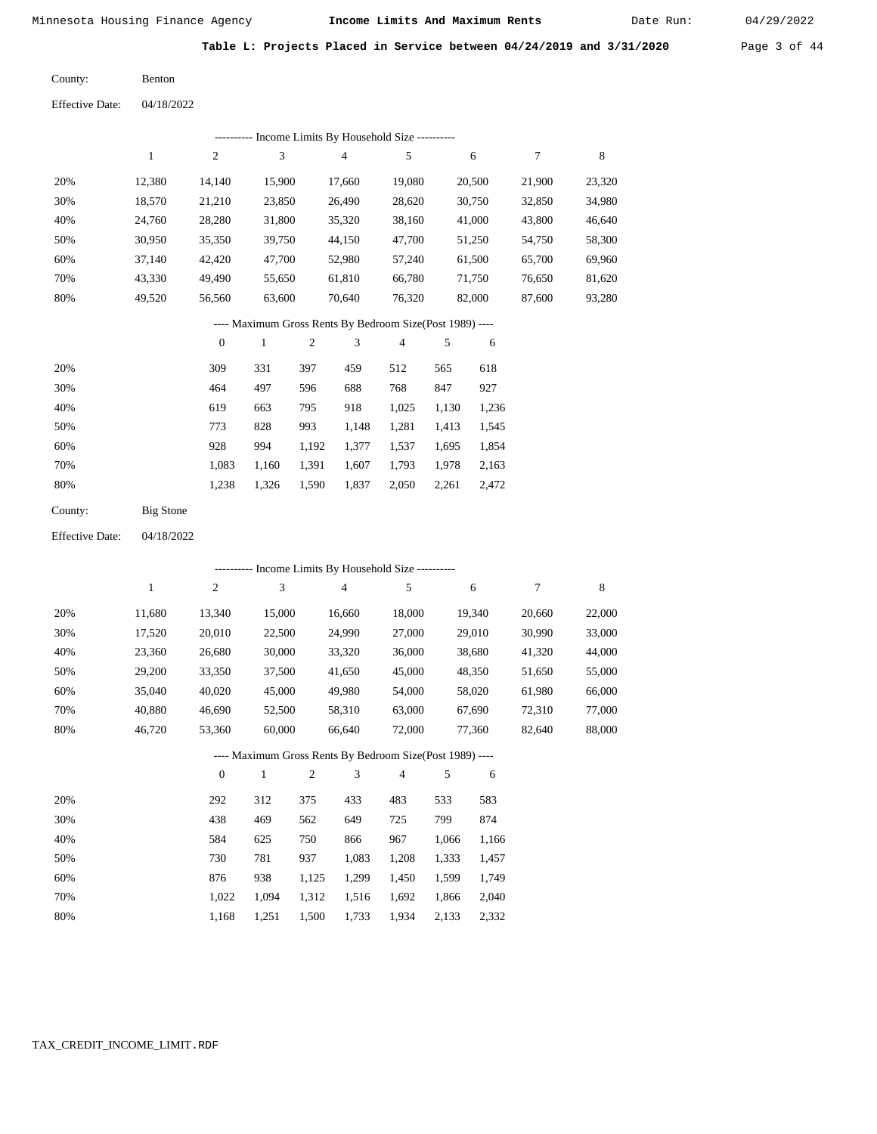Date Run:

|  |  |  | Table L: Projects Placed in Service between 04/24/2019 and 3/31/2020 | Page 3 of 44 |  |
|--|--|--|----------------------------------------------------------------------|--------------|--|
|  |  |  |                                                                      |              |  |

| County:                | <b>Benton</b> |
|------------------------|---------------|
| <b>Effective Date:</b> | 04/18/2022    |

|                        |                  |                  |               |            |                | --------- Income Limits By Household Size ----------     |       |        |        |        |
|------------------------|------------------|------------------|---------------|------------|----------------|----------------------------------------------------------|-------|--------|--------|--------|
|                        | $\,1$            | $\sqrt{2}$       | 3             |            | $\overline{4}$ | $\sqrt{5}$                                               |       | 6      | 7      | 8      |
| 20%                    | 12,380           | 14,140           | 15,900        |            | 17,660         | 19,080                                                   |       | 20,500 | 21,900 | 23,320 |
| 30%                    | 18,570           | 21,210           | 23,850        |            | 26,490         | 28,620                                                   |       | 30,750 | 32,850 | 34,980 |
| 40%                    | 24,760           | 28,280           | 31,800        |            | 35,320         | 38,160                                                   |       | 41,000 | 43,800 | 46,640 |
| 50%                    | 30,950           | 35,350           | 39,750        |            | 44,150         | 47,700                                                   |       | 51,250 | 54,750 | 58,300 |
| 60%                    | 37,140           | 42,420           | 47,700        |            | 52,980         | 57,240                                                   |       | 61,500 | 65,700 | 69,960 |
| 70%                    | 43,330           | 49,490           | 55,650        |            | 61,810         | 66,780                                                   |       | 71,750 | 76,650 | 81,620 |
| 80%                    | 49,520           | 56,560           | 63,600        |            | 70,640         | 76,320                                                   |       | 82,000 | 87,600 | 93,280 |
|                        |                  |                  |               |            |                | ---- Maximum Gross Rents By Bedroom Size(Post 1989) ---- |       |        |        |        |
|                        |                  | $\boldsymbol{0}$ | $\mathbf{1}$  | $\sqrt{2}$ | 3              | $\overline{4}$                                           | 5     | 6      |        |        |
| 20%                    |                  | 309              | 331           | 397        | 459            | 512                                                      | 565   | 618    |        |        |
| 30%                    |                  | 464              | 497           | 596        | 688            | 768                                                      | 847   | 927    |        |        |
| 40%                    |                  | 619              | 663           | 795        | 918            | 1,025                                                    | 1,130 | 1,236  |        |        |
| 50%                    |                  | 773              | 828           | 993        | 1,148          | 1,281                                                    | 1,413 | 1,545  |        |        |
| 60%                    |                  | 928              | 994           | 1,192      | 1,377          | 1,537                                                    | 1,695 | 1,854  |        |        |
| 70%                    |                  | 1,083            | 1,160         | 1,391      | 1,607          | 1,793                                                    | 1,978 | 2,163  |        |        |
| 80%                    |                  | 1,238            | 1,326         | 1,590      | 1,837          | 2,050                                                    | 2,261 | 2,472  |        |        |
| County:                | <b>Big Stone</b> |                  |               |            |                |                                                          |       |        |        |        |
| <b>Effective Date:</b> | 04/18/2022       |                  |               |            |                |                                                          |       |        |        |        |
|                        |                  |                  |               |            |                | --------- Income Limits By Household Size ----------     |       |        |        |        |
|                        | $\,1$            | $\sqrt{2}$       | $\mathfrak 3$ |            | $\overline{4}$ | $\sqrt{5}$                                               |       | 6      | 7      | 8      |
| 20%                    | 11,680           | 13,340           | 15,000        |            | 16,660         | 18,000                                                   |       | 19,340 | 20,660 | 22,000 |
| 30%                    | 17,520           | 20,010           | 22,500        |            | 24,990         | 27,000                                                   |       | 29,010 | 30,990 | 33,000 |
| 40%                    | 23,360           | 26,680           | 30,000        |            | 33,320         | 36,000                                                   |       | 38,680 | 41,320 | 44,000 |
| 50%                    | 29,200           | 33,350           | 37,500        |            | 41,650         | 45,000                                                   |       | 48,350 | 51,650 | 55,000 |
| 60%                    | 35,040           | 40,020           | 45,000        |            | 49,980         | 54,000                                                   |       | 58,020 | 61,980 | 66,000 |
| 70%                    | 40,880           | 46,690           | 52,500        |            | 58,310         | 63,000                                                   |       | 67,690 | 72,310 | 77,000 |
| 80%                    | 46,720           | 53,360           | 60,000        |            | 66,640         | 72,000                                                   |       | 77,360 | 82,640 | 88,000 |
|                        |                  |                  |               |            |                | ---- Maximum Gross Rents By Bedroom Size(Post 1989) ---- |       |        |        |        |
|                        |                  | $\boldsymbol{0}$ | $\mathbf{1}$  | $\sqrt{2}$ | 3              | 4                                                        | 5     | 6      |        |        |
| 20%                    |                  | 292              | 312           | 375        | 433            | 483                                                      | 533   | 583    |        |        |
| 30%                    |                  | 438              | 469           | 562        | 649            | 725                                                      | 799   | 874    |        |        |
| 40%                    |                  | 584              | 625           | 750        | 866            | 967                                                      | 1,066 | 1,166  |        |        |
| 50%                    |                  | 730              | 781           | 937        | 1,083          | 1,208                                                    | 1,333 | 1,457  |        |        |
| 60%                    |                  | 876              | 938           | 1,125      | 1,299          | 1,450                                                    | 1,599 | 1,749  |        |        |
| 70%                    |                  | 1,022            | 1,094         | 1,312      | 1,516          | 1,692                                                    | 1,866 | 2,040  |        |        |
| 80%                    |                  | 1,168            | 1,251         | 1,500      | 1,733          | 1,934                                                    | 2,133 | 2,332  |        |        |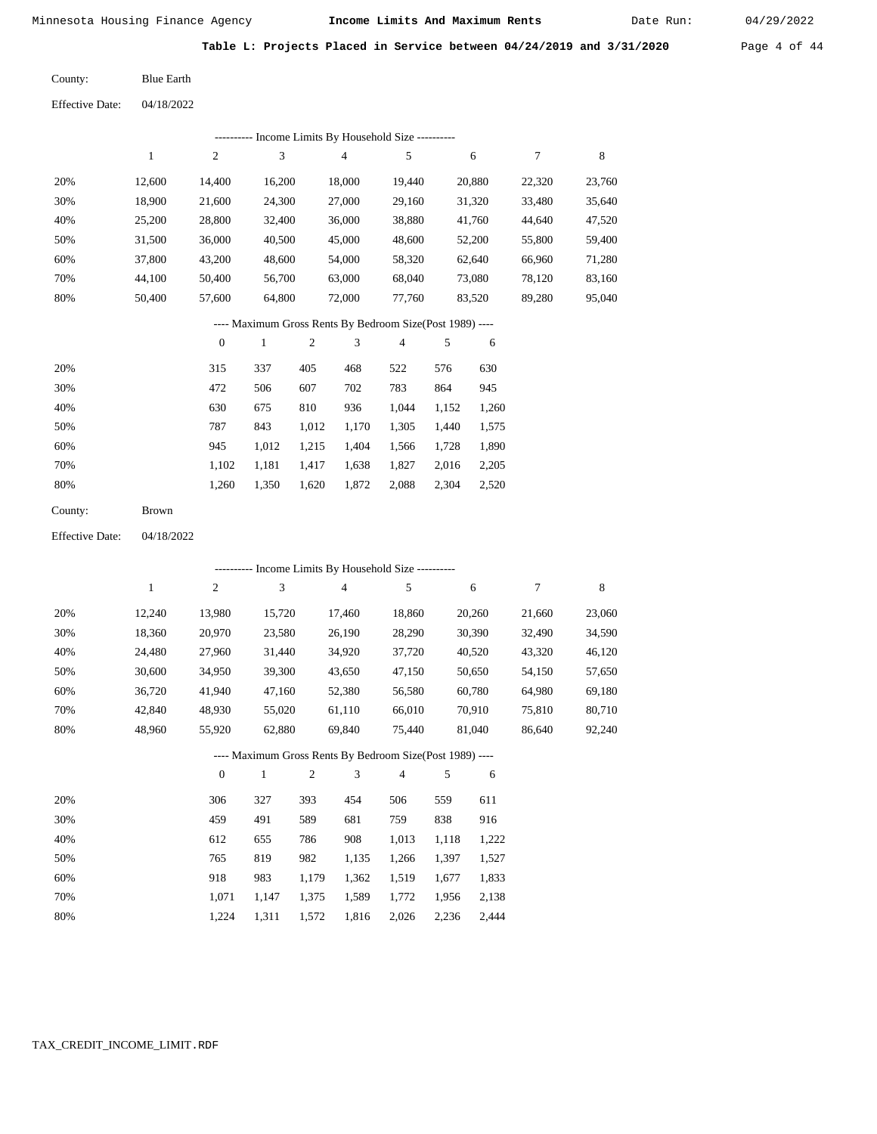Date Run:

**Table L: Projects Placed in Service between 04/24/2019 and 3/31/2020** Page 4 of 44

Blue Earth County:

| <b>Effective Date:</b> | 04/18/2022 |
|------------------------|------------|
|                        |            |

| ---------- Income Limits By Household Size -- |        |        |        |        |        |        |        |        |  |  |  |  |
|-----------------------------------------------|--------|--------|--------|--------|--------|--------|--------|--------|--|--|--|--|
|                                               |        | 2      | 3      | 4      | 5      | 6      | 7      | 8      |  |  |  |  |
| 20%                                           | 12,600 | 14.400 | 16.200 | 18,000 | 19.440 | 20,880 | 22,320 | 23,760 |  |  |  |  |
| 30%                                           | 18,900 | 21,600 | 24,300 | 27,000 | 29,160 | 31,320 | 33,480 | 35,640 |  |  |  |  |
| 40%                                           | 25,200 | 28,800 | 32,400 | 36,000 | 38,880 | 41,760 | 44,640 | 47,520 |  |  |  |  |
| 50%                                           | 31.500 | 36,000 | 40,500 | 45,000 | 48,600 | 52,200 | 55,800 | 59,400 |  |  |  |  |
| 60%                                           | 37,800 | 43,200 | 48,600 | 54,000 | 58,320 | 62,640 | 66,960 | 71,280 |  |  |  |  |
| 70%                                           | 44,100 | 50,400 | 56,700 | 63,000 | 68,040 | 73,080 | 78,120 | 83,160 |  |  |  |  |
| 80%                                           | 50,400 | 57,600 | 64,800 | 72,000 | 77,760 | 83,520 | 89,280 | 95,040 |  |  |  |  |
|                                               |        |        |        |        |        |        |        |        |  |  |  |  |

## ---- Maximum Gross Rents By Bedroom Size(Post 1989) ----

|     | $\mathbf{0}$ |       | 2     | 3     | 4     | 5     | 6     |
|-----|--------------|-------|-------|-------|-------|-------|-------|
| 20% | 315          | 337   | 405   | 468   | 522   | 576   | 630   |
| 30% | 472          | 506   | 607   | 702   | 783   | 864   | 945   |
| 40% | 630          | 675   | 810   | 936   | 1,044 | 1,152 | 1,260 |
| 50% | 787          | 843   | 1,012 | 1,170 | 1,305 | 1,440 | 1,575 |
| 60% | 945          | 1,012 | 1,215 | 1,404 | 1,566 | 1,728 | 1,890 |
| 70% | 1,102        | 1,181 | 1,417 | 1,638 | 1,827 | 2,016 | 2,205 |
| 80% | 1,260        | 1,350 | 1,620 | 1,872 | 2,088 | 2,304 | 2,520 |
|     |              |       |       |       |       |       |       |

04/18/2022 Effective Date:

|     | ---------- Income Limits By Household Size ---------- |                  |              |                |                                                          |                |       |        |        |        |  |  |
|-----|-------------------------------------------------------|------------------|--------------|----------------|----------------------------------------------------------|----------------|-------|--------|--------|--------|--|--|
|     | 1                                                     | $\overline{c}$   | 3            |                | $\overline{4}$                                           | 5              |       | 6      | 7      | 8      |  |  |
| 20% | 12,240                                                | 13,980           | 15,720       |                | 17,460                                                   | 18,860         |       | 20,260 | 21,660 | 23,060 |  |  |
| 30% | 18,360                                                | 20,970           | 23,580       |                | 26,190                                                   | 28,290         |       | 30,390 | 32,490 | 34,590 |  |  |
| 40% | 24,480                                                | 27,960           | 31,440       |                | 34,920                                                   | 37,720         |       | 40,520 | 43,320 | 46,120 |  |  |
| 50% | 30,600                                                | 34,950           | 39,300       |                | 43,650                                                   | 47,150         |       | 50,650 | 54,150 | 57,650 |  |  |
| 60% | 36,720                                                | 41,940           | 47,160       |                | 52,380                                                   | 56,580         |       | 60,780 | 64,980 | 69,180 |  |  |
| 70% | 42,840                                                | 48,930           | 55,020       |                | 61,110                                                   | 66,010         |       | 70,910 | 75,810 | 80,710 |  |  |
| 80% | 48,960                                                | 55,920           | 62,880       |                | 69,840                                                   | 75,440         |       | 81,040 | 86,640 | 92,240 |  |  |
|     |                                                       |                  |              |                | ---- Maximum Gross Rents By Bedroom Size(Post 1989) ---- |                |       |        |        |        |  |  |
|     |                                                       | $\boldsymbol{0}$ | $\mathbf{1}$ | $\overline{2}$ | 3                                                        | $\overline{4}$ | 5     | 6      |        |        |  |  |
| 20% |                                                       | 306              | 327          | 393            | 454                                                      | 506            | 559   | 611    |        |        |  |  |
| 30% |                                                       | 459              | 491          | 589            | 681                                                      | 759            | 838   | 916    |        |        |  |  |
| 40% |                                                       | 612              | 655          | 786            | 908                                                      | 1,013          | 1,118 | 1,222  |        |        |  |  |
| 50% |                                                       | 765              | 819          | 982            | 1,135                                                    | 1,266          | 1,397 | 1,527  |        |        |  |  |
| 60% |                                                       | 918              | 983          | 1,179          | 1,362                                                    | 1,519          | 1,677 | 1,833  |        |        |  |  |

 1,071 1,224

 1,147 1,311  1,375 1,572

 1,589 1,816  1,772 2,026

 1,956 2,236  2,138 2,444

 70% 80%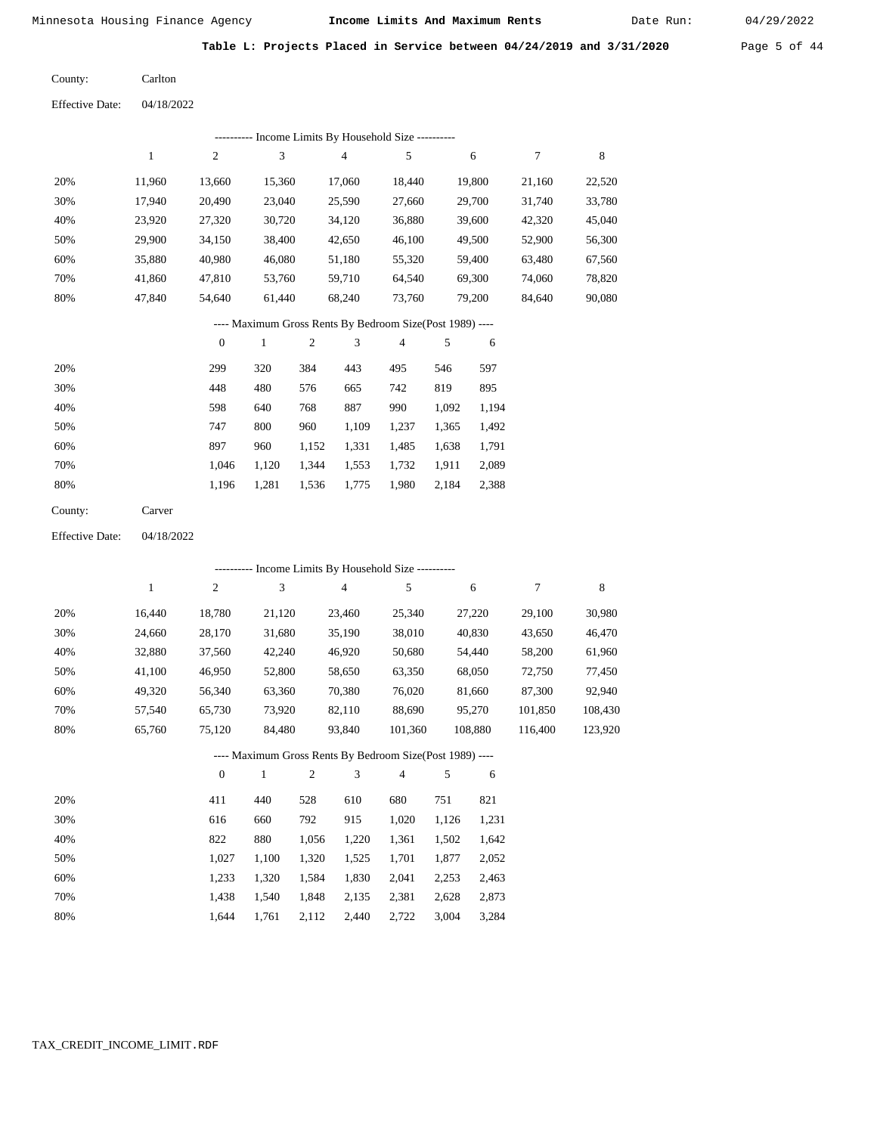Date Run:

**Table L: Projects Placed in Service between 04/24/2019 and 3/31/2020** Page 5 of 44

04/18/2022 Carlton County: Effective Date:

| ---------- Income Limits By Household Size ---------- |        |        |        |                                                                                                                                                                                                                                                                                                                                    |        |        |        |        |  |  |  |  |
|-------------------------------------------------------|--------|--------|--------|------------------------------------------------------------------------------------------------------------------------------------------------------------------------------------------------------------------------------------------------------------------------------------------------------------------------------------|--------|--------|--------|--------|--|--|--|--|
|                                                       | 1      | 2      | 3      | 4                                                                                                                                                                                                                                                                                                                                  | 5      | 6      | $\tau$ | 8      |  |  |  |  |
| 20%                                                   | 11,960 | 13.660 | 15,360 | 17,060                                                                                                                                                                                                                                                                                                                             | 18,440 | 19,800 | 21,160 | 22,520 |  |  |  |  |
| 30%                                                   | 17,940 | 20,490 | 23,040 | 25,590                                                                                                                                                                                                                                                                                                                             | 27,660 | 29,700 | 31,740 | 33,780 |  |  |  |  |
| 40%                                                   | 23,920 | 27,320 | 30,720 | 34,120                                                                                                                                                                                                                                                                                                                             | 36,880 | 39,600 | 42,320 | 45,040 |  |  |  |  |
| 50%                                                   | 29,900 | 34,150 | 38,400 | 42,650                                                                                                                                                                                                                                                                                                                             | 46,100 | 49,500 | 52,900 | 56,300 |  |  |  |  |
| 60%                                                   | 35,880 | 40,980 | 46,080 | 51,180                                                                                                                                                                                                                                                                                                                             | 55,320 | 59,400 | 63,480 | 67,560 |  |  |  |  |
| 70%                                                   | 41,860 | 47,810 | 53,760 | 59,710                                                                                                                                                                                                                                                                                                                             | 64,540 | 69,300 | 74,060 | 78,820 |  |  |  |  |
| 80%                                                   | 47,840 | 54,640 | 61,440 | 68,240                                                                                                                                                                                                                                                                                                                             | 73,760 | 79,200 | 84,640 | 90,080 |  |  |  |  |
|                                                       |        |        |        | $\mathbf{M}$ $\mathbf{A}$ $\mathbf{A}$ $\mathbf{A}$ $\mathbf{A}$ $\mathbf{A}$ $\mathbf{A}$ $\mathbf{A}$ $\mathbf{A}$ $\mathbf{A}$ $\mathbf{A}$ $\mathbf{A}$ $\mathbf{A}$ $\mathbf{A}$ $\mathbf{A}$ $\mathbf{A}$ $\mathbf{A}$ $\mathbf{A}$ $\mathbf{A}$ $\mathbf{A}$ $\mathbf{A}$ $\mathbf{A}$ $\mathbf{A}$ $\mathbf{A}$ $\mathbf{$ |        |        |        |        |  |  |  |  |

---- Maximum Gross Rents By Bedroom Size(Post 1989) ----

|     | $\mathbf{0}$ |       | 2     | 3     | 4     | 5     | 6     |
|-----|--------------|-------|-------|-------|-------|-------|-------|
| 20% | 299          | 320   | 384   | 443   | 495   | 546   | 597   |
| 30% | 448          | 480   | 576   | 665   | 742   | 819   | 895   |
| 40% | 598          | 640   | 768   | 887   | 990   | 1,092 | 1,194 |
| 50% | 747          | 800   | 960   | 1,109 | 1,237 | 1,365 | 1,492 |
| 60% | 897          | 960   | 1,152 | 1,331 | 1,485 | 1,638 | 1,791 |
| 70% | 1.046        | 1,120 | 1,344 | 1,553 | 1,732 | 1,911 | 2,089 |
| 80% | 1,196        | 1,281 | 1,536 | 1,775 | 1,980 | 2,184 | 2,388 |
|     |              |       |       |       |       |       |       |

| County: | Carver |
|---------|--------|
|         |        |

Effective Date: 04/18/2022

|     |        |              |        |     |        | ---------- Income Limits By Household Size ----------    |     |         |         |         |
|-----|--------|--------------|--------|-----|--------|----------------------------------------------------------|-----|---------|---------|---------|
|     | 1      | 2            | 3      |     | 4      | 5                                                        |     | 6       | 7       | 8       |
| 20% | 16,440 | 18,780       | 21,120 |     | 23,460 | 25,340                                                   |     | 27,220  | 29,100  | 30,980  |
| 30% | 24,660 | 28,170       | 31,680 |     | 35,190 | 38,010                                                   |     | 40,830  | 43,650  | 46,470  |
| 40% | 32,880 | 37,560       | 42,240 |     | 46,920 | 50,680                                                   |     | 54,440  | 58,200  | 61,960  |
| 50% | 41,100 | 46,950       | 52,800 |     | 58,650 | 63,350                                                   |     | 68,050  | 72,750  | 77,450  |
| 60% | 49,320 | 56,340       | 63,360 |     | 70,380 | 76,020                                                   |     | 81,660  | 87,300  | 92,940  |
| 70% | 57,540 | 65,730       | 73,920 |     | 82,110 | 88,690                                                   |     | 95,270  | 101,850 | 108,430 |
| 80% | 65,760 | 75,120       | 84,480 |     | 93,840 | 101,360                                                  |     | 108,880 | 116,400 | 123,920 |
|     |        |              |        |     |        | ---- Maximum Gross Rents By Bedroom Size(Post 1989) ---- |     |         |         |         |
|     |        | $\mathbf{0}$ |        | 2   | 3      | $\overline{4}$                                           | 5   | 6       |         |         |
| 20% |        | 411          | 440    | 528 | 610    | 680                                                      | 751 | 821     |         |         |
|     |        |              |        |     |        |                                                          |     |         |         |         |

| 30% | 616   | 660   | 792   | 915   | 1.020 | 1,126 1,231 |       |
|-----|-------|-------|-------|-------|-------|-------------|-------|
| 40% | 822   | 880   | 1.056 | 1.220 | 1.361 | 1.502       | 1,642 |
| 50% | 1.027 | 1.100 | 1.320 | 1.525 | 1.701 | 1.877       | 2,052 |
| 60% | 1.233 | 1.320 | 1.584 | 1,830 | 2.041 | 2.253       | 2,463 |
| 70% | 1.438 | 1.540 | 1.848 | 2.135 | 2.381 | 2.628       | 2,873 |
| 80% | 1.644 | 1.761 | 2,112 | 2,440 | 2,722 | 3,004       | 3,284 |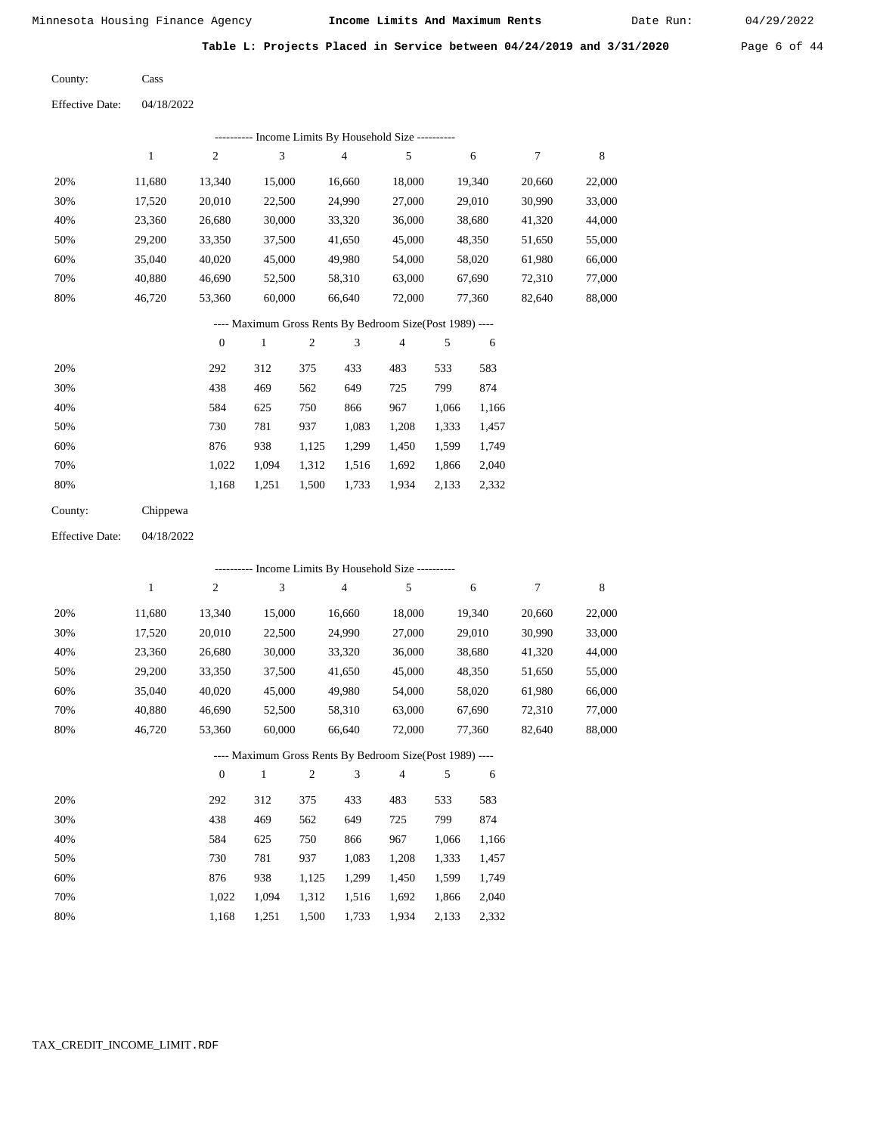Cass

Minnesota Housing Finance Agency **Income Limits And Maximum Rents** 04/29/2022

Date Run:

**Table L: Projects Placed in Service between 04/24/2019 and 3/31/2020** Page 6 of 44

County:

04/18/2022 Effective Date:

| ---------- Income Limits By Household Size ----------    |        |                |        |        |        |        |        |        |
|----------------------------------------------------------|--------|----------------|--------|--------|--------|--------|--------|--------|
|                                                          |        | $\overline{2}$ | 3      | 4      | 5      | 6      | 7      | 8      |
| 20%                                                      | 11.680 | 13.340         | 15,000 | 16,660 | 18,000 | 19,340 | 20,660 | 22,000 |
| 30%                                                      | 17,520 | 20,010         | 22,500 | 24,990 | 27,000 | 29,010 | 30,990 | 33,000 |
| 40%                                                      | 23,360 | 26,680         | 30,000 | 33,320 | 36,000 | 38,680 | 41,320 | 44,000 |
| 50%                                                      | 29,200 | 33,350         | 37,500 | 41,650 | 45,000 | 48,350 | 51,650 | 55,000 |
| 60%                                                      | 35,040 | 40,020         | 45,000 | 49,980 | 54,000 | 58,020 | 61,980 | 66,000 |
| 70%                                                      | 40.880 | 46,690         | 52,500 | 58,310 | 63,000 | 67,690 | 72,310 | 77,000 |
| 80%                                                      | 46.720 | 53,360         | 60,000 | 66.640 | 72,000 | 77.360 | 82,640 | 88,000 |
| ---- Maximum Gross Rents By Bedroom Size(Post 1989) ---- |        |                |        |        |        |        |        |        |

|     | $\mathbf{0}$ |       | 2     | 3     | 4     | 5     | 6     |
|-----|--------------|-------|-------|-------|-------|-------|-------|
| 20% | 292          | 312   | 375   | 433   | 483   | 533   | 583   |
| 30% | 438          | 469   | 562   | 649   | 725   | 799   | 874   |
| 40% | 584          | 625   | 750   | 866   | 967   | 1,066 | 1,166 |
| 50% | 730          | 781   | 937   | 1,083 | 1,208 | 1,333 | 1,457 |
| 60% | 876          | 938   | 1,125 | 1,299 | 1,450 | 1,599 | 1,749 |
| 70% | 1.022        | 1.094 | 1,312 | 1,516 | 1,692 | 1,866 | 2,040 |
| 80% | 1,168        | 1,251 | 1,500 | 1,733 | 1,934 | 2,133 | 2,332 |
|     |              |       |       |       |       |       |       |

| County: | Chippewa |
|---------|----------|
|         |          |

04/18/2022 Effective Date:

| ---------- Income Limits By Household Size ---------- |              |                |        |                |                                                          |                |       |        |        |        |
|-------------------------------------------------------|--------------|----------------|--------|----------------|----------------------------------------------------------|----------------|-------|--------|--------|--------|
|                                                       | $\mathbf{1}$ | $\overline{c}$ | 3      |                | $\overline{4}$                                           | 5              |       | 6      | 7      | 8      |
| 20%                                                   | 11,680       | 13,340         | 15,000 |                | 16,660                                                   | 18,000         |       | 19,340 | 20,660 | 22,000 |
| 30%                                                   | 17,520       | 20,010         | 22,500 |                | 24,990                                                   | 27,000         |       | 29,010 | 30,990 | 33,000 |
| 40%                                                   | 23,360       | 26,680         | 30,000 |                | 33,320                                                   | 36,000         |       | 38,680 | 41,320 | 44,000 |
| 50%                                                   | 29,200       | 33,350         | 37,500 |                | 41,650                                                   | 45,000         |       | 48,350 | 51,650 | 55,000 |
| 60%                                                   | 35,040       | 40,020         | 45,000 |                | 49,980                                                   | 54,000         |       | 58,020 | 61,980 | 66,000 |
| 70%                                                   | 40,880       | 46,690         | 52,500 |                | 58,310                                                   | 63,000         |       | 67,690 | 72,310 | 77,000 |
| 80%                                                   | 46,720       | 53,360         | 60,000 |                | 66,640                                                   | 72,000         |       | 77,360 | 82,640 | 88,000 |
|                                                       |              |                |        |                | ---- Maximum Gross Rents By Bedroom Size(Post 1989) ---- |                |       |        |        |        |
|                                                       |              | $\mathbf{0}$   | 1      | $\overline{2}$ | 3                                                        | $\overline{4}$ | 5     | 6      |        |        |
| 20%                                                   |              | 292            | 312    | 375            | 433                                                      | 483            | 533   | 583    |        |        |
| 30%                                                   |              | 438            | 469    | 562            | 649                                                      | 725            | 799   | 874    |        |        |
| 40%                                                   |              | 584            | 625    | 750            | 866                                                      | 967            | 1,066 | 1,166  |        |        |
| 50%                                                   |              | 730            | 781    | 937            | 1,083                                                    | 1,208          | 1,333 | 1,457  |        |        |
| 60%                                                   |              | 876            | 938    | 1,125          | 1,299                                                    | 1,450          | 1,599 | 1,749  |        |        |

 1,312 1,516 1,500

1,733

1,692 1,866

1,934 2,133 2,332

2,040

 1,022 1,168

 1,094 1,251

 70% 80%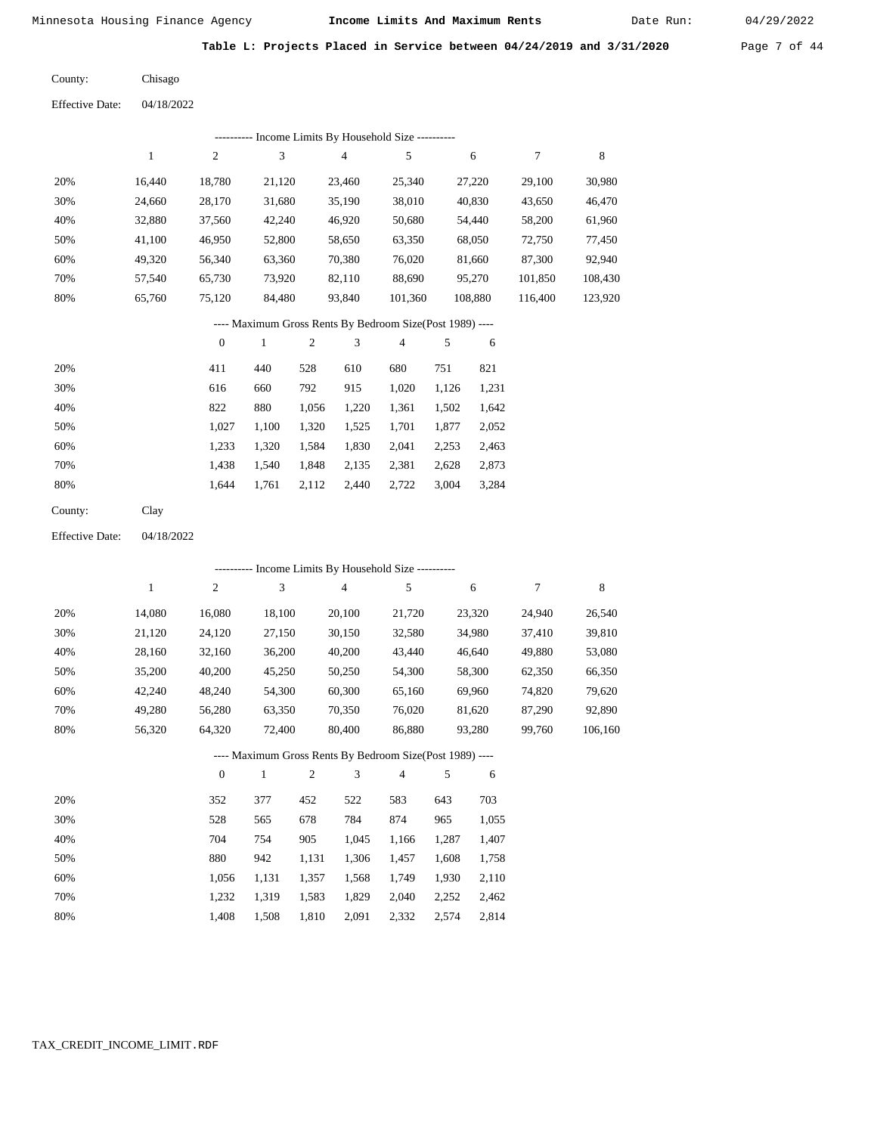Date Run:

**Table L: Projects Placed in Service between 04/24/2019 and 3/31/2020** Page 7 of 44

Chisago County:

| <b>Effective Date:</b> | 04/18/2022 |
|------------------------|------------|
|                        |            |

| ---------- Income Limits By Household Size ---------- |        |        |        |        |         |         |         |         |
|-------------------------------------------------------|--------|--------|--------|--------|---------|---------|---------|---------|
|                                                       |        | 2      | 3      | 4      | 5       | 6       |         | 8       |
| 20%                                                   | 16.440 | 18,780 | 21,120 | 23,460 | 25,340  | 27,220  | 29.100  | 30,980  |
| 30%                                                   | 24,660 | 28,170 | 31,680 | 35,190 | 38,010  | 40,830  | 43,650  | 46,470  |
| 40%                                                   | 32,880 | 37,560 | 42,240 | 46,920 | 50,680  | 54,440  | 58,200  | 61,960  |
| 50%                                                   | 41,100 | 46,950 | 52,800 | 58,650 | 63,350  | 68,050  | 72,750  | 77,450  |
| 60%                                                   | 49.320 | 56.340 | 63,360 | 70,380 | 76.020  | 81,660  | 87,300  | 92,940  |
| 70%                                                   | 57.540 | 65,730 | 73,920 | 82,110 | 88,690  | 95,270  | 101,850 | 108,430 |
| 80%                                                   | 65,760 | 75,120 | 84,480 | 93,840 | 101,360 | 108,880 | 116.400 | 123,920 |

# ---- Maximum Gross Rents By Bedroom Size(Post 1989) ----

|     | $\mathbf{0}$ |       | $\overline{c}$ | 3     | 4     | 5     | 6     |
|-----|--------------|-------|----------------|-------|-------|-------|-------|
| 20% | 411          | 440   | 528            | 610   | 680   | 751   | 821   |
| 30% | 616          | 660   | 792            | 915   | 1,020 | 1,126 | 1,231 |
| 40% | 822          | 880   | 1,056          | 1,220 | 1,361 | 1,502 | 1,642 |
| 50% | 1,027        | 1,100 | 1,320          | 1,525 | 1,701 | 1,877 | 2,052 |
| 60% | 1,233        | 1,320 | 1,584          | 1,830 | 2,041 | 2,253 | 2,463 |
| 70% | 1,438        | 1,540 | 1,848          | 2,135 | 2,381 | 2,628 | 2,873 |
| 80% | 1,644        | 1,761 | 2,112          | 2,440 | 2,722 | 3,004 | 3,284 |
|     |              |       |                |       |       |       |       |

| County: | Clay |
|---------|------|
|---------|------|

04/18/2022 Effective Date:

|     |        |                | ---------- Income Limits By Household Size ----------    |                |        |        |       |        |        |         |
|-----|--------|----------------|----------------------------------------------------------|----------------|--------|--------|-------|--------|--------|---------|
|     | 1      | $\overline{c}$ | 3                                                        |                | 4      | 5      |       | 6      | 7      | 8       |
| 20% | 14,080 | 16,080         | 18,100                                                   |                | 20,100 | 21,720 |       | 23,320 | 24,940 | 26,540  |
| 30% | 21,120 | 24,120         | 27,150                                                   |                | 30,150 | 32,580 |       | 34,980 | 37,410 | 39,810  |
| 40% | 28,160 | 32,160         | 36,200                                                   |                | 40,200 | 43,440 |       | 46,640 | 49,880 | 53,080  |
| 50% | 35,200 | 40,200         | 45,250                                                   |                | 50,250 | 54,300 |       | 58,300 | 62,350 | 66,350  |
| 60% | 42,240 | 48,240         | 54,300                                                   |                | 60,300 | 65,160 |       | 69,960 | 74,820 | 79,620  |
| 70% | 49,280 | 56,280         | 63,350                                                   |                | 70,350 | 76,020 |       | 81,620 | 87,290 | 92,890  |
| 80% | 56,320 | 64,320         | 72,400                                                   |                | 80,400 | 86,880 |       | 93,280 | 99,760 | 106,160 |
|     |        |                | ---- Maximum Gross Rents By Bedroom Size(Post 1989) ---- |                |        |        |       |        |        |         |
|     |        | $\mathbf{0}$   | 1                                                        | $\overline{2}$ | 3      | 4      | 5     | 6      |        |         |
| 20% |        | 352            | 377                                                      | 452            | 522    | 583    | 643   | 703    |        |         |
| 30% |        | 528            | 565                                                      | 678            | 784    | 874    | 965   | 1,055  |        |         |
| 40% |        | 704            | 754                                                      | 905            | 1,045  | 1,166  | 1,287 | 1,407  |        |         |
| 50% |        | 880            | 942                                                      | 1,131          | 1,306  | 1,457  | 1,608 | 1,758  |        |         |

| 70% | 1.232 1.319 1.583 1.829 2.040 2.252 2.462 |  |  |  |
|-----|-------------------------------------------|--|--|--|
| 80% | 1,408 1,508 1,810 2,091 2,332 2,574 2,814 |  |  |  |

1,357

1,568

1,749

1,930

2,110

1,131

1,056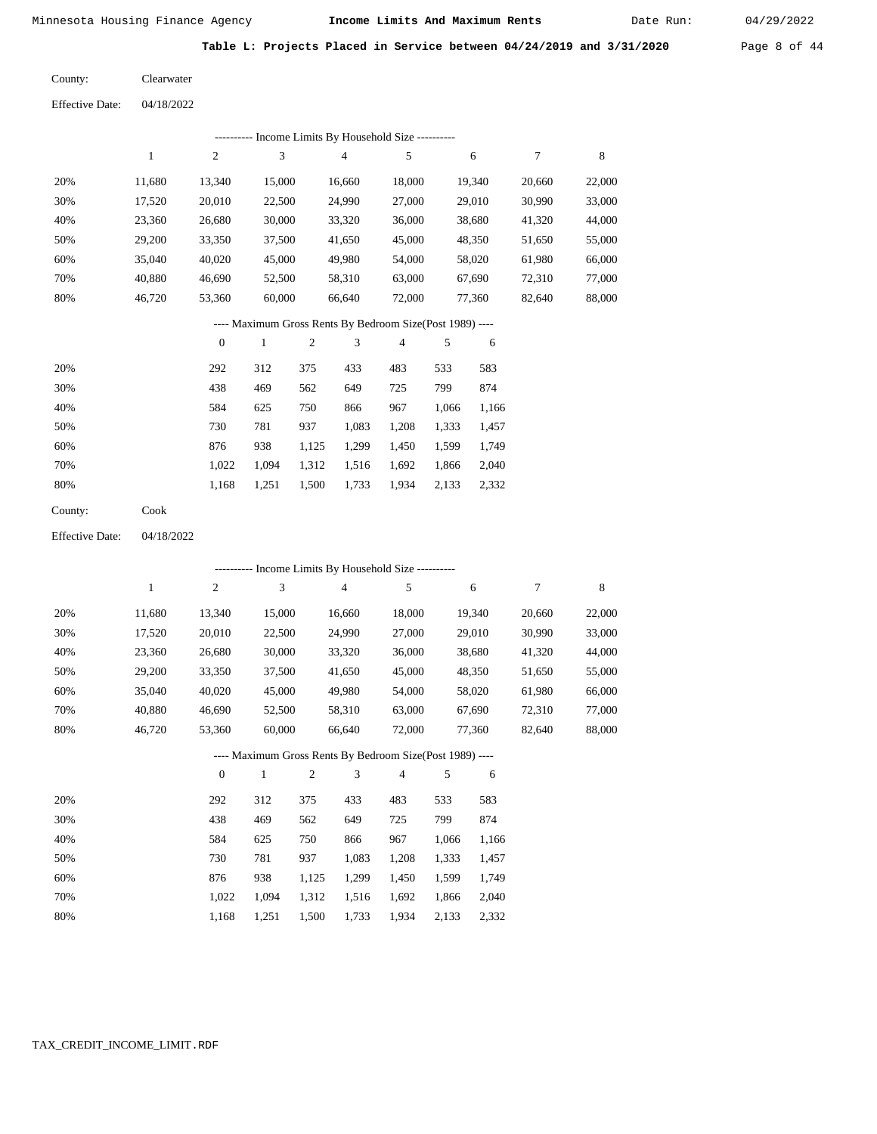Date Run:

**Table L: Projects Placed in Service between 04/24/2019 and 3/31/2020** Page 8 of 44

Clearwater County:

04/18/2022 Effective Date:

|     | ---------- Income Limits By Household Size ---------- |                  |              |     |        |                                                          |       |        |        |        |  |  |
|-----|-------------------------------------------------------|------------------|--------------|-----|--------|----------------------------------------------------------|-------|--------|--------|--------|--|--|
|     | $\mathbf{1}$                                          | $\overline{2}$   | 3            |     | 4      | 5                                                        |       | 6      | 7      | 8      |  |  |
| 20% | 11,680                                                | 13,340           | 15,000       |     | 16,660 | 18,000                                                   |       | 19,340 | 20,660 | 22,000 |  |  |
| 30% | 17,520                                                | 20,010           | 22,500       |     | 24,990 | 27,000                                                   |       | 29,010 | 30,990 | 33,000 |  |  |
| 40% | 23,360                                                | 26,680           | 30,000       |     | 33,320 | 36,000                                                   |       | 38,680 | 41,320 | 44,000 |  |  |
| 50% | 29,200                                                | 33,350           | 37,500       |     | 41,650 | 45,000                                                   |       | 48,350 | 51,650 | 55,000 |  |  |
| 60% | 35,040                                                | 40,020           | 45,000       |     | 49,980 | 54,000                                                   |       | 58,020 | 61,980 | 66,000 |  |  |
| 70% | 40,880                                                | 46,690           | 52,500       |     | 58,310 | 63,000                                                   |       | 67,690 | 72,310 | 77,000 |  |  |
| 80% | 46,720                                                | 53,360           | 60,000       |     | 66,640 | 72,000                                                   |       | 77,360 | 82,640 | 88,000 |  |  |
|     |                                                       |                  |              |     |        | ---- Maximum Gross Rents By Bedroom Size(Post 1989) ---- |       |        |        |        |  |  |
|     |                                                       | $\boldsymbol{0}$ | $\mathbf{1}$ | 2   | 3      | $\overline{4}$                                           | 5     | 6      |        |        |  |  |
| 20% |                                                       | 292              | 312          | 375 | 433    | 483                                                      | 533   | 583    |        |        |  |  |
| 30% |                                                       | 438              | 469          | 562 | 649    | 725                                                      | 799   | 874    |        |        |  |  |
| 40% |                                                       | 584              | 625          | 750 | 866    | 967                                                      | 1.066 | 1,166  |        |        |  |  |

| 50% | 730   |  |  | 781 937 1.083 1.208 1.333 1.457           |  |
|-----|-------|--|--|-------------------------------------------|--|
| 60% | 876 — |  |  | 938 1,125 1,299 1,450 1,599 1,749         |  |
| 70% |       |  |  | 1,022 1,094 1,312 1,516 1,692 1,866 2,040 |  |
| 80% |       |  |  | 1,168 1,251 1,500 1,733 1,934 2,133 2,332 |  |

Cook County:

04/18/2022 Effective Date:

|     |        |              |              |                |        | ---------- Income Limits By Household Size ----------    |       |        |        |             |
|-----|--------|--------------|--------------|----------------|--------|----------------------------------------------------------|-------|--------|--------|-------------|
|     | 1      | 2            | 3            |                | 4      | 5                                                        |       | 6      | 7      | $\,$ 8 $\,$ |
| 20% | 11,680 | 13,340       | 15,000       |                | 16,660 | 18,000                                                   |       | 19,340 | 20,660 | 22,000      |
| 30% | 17,520 | 20,010       | 22,500       |                | 24,990 | 27,000                                                   |       | 29,010 | 30,990 | 33,000      |
| 40% | 23,360 | 26,680       | 30,000       |                | 33,320 | 36,000                                                   |       | 38,680 | 41,320 | 44,000      |
| 50% | 29,200 | 33,350       | 37,500       |                | 41,650 | 45,000                                                   |       | 48,350 | 51,650 | 55,000      |
| 60% | 35,040 | 40,020       | 45,000       |                | 49,980 | 54,000                                                   |       | 58,020 | 61,980 | 66,000      |
| 70% | 40,880 | 46,690       | 52,500       |                | 58,310 | 63,000                                                   |       | 67,690 | 72,310 | 77,000      |
| 80% | 46,720 | 53,360       | 60,000       |                | 66,640 | 72,000                                                   |       | 77,360 | 82,640 | 88,000      |
|     |        |              |              |                |        | ---- Maximum Gross Rents By Bedroom Size(Post 1989) ---- |       |        |        |             |
|     |        | $\mathbf{0}$ | $\mathbf{1}$ | $\overline{2}$ | 3      | 4                                                        | 5     | 6      |        |             |
| 20% |        | 292          | 312          | 375            | 433    | 483                                                      | 533   | 583    |        |             |
| 30% |        | 438          | 469          | 562            | 649    | 725                                                      | 799   | 874    |        |             |
| 40% |        | 584          | 625          | 750            | 866    | 967                                                      | 1,066 | 1,166  |        |             |
| 50% |        | 730          | 781          | 937            | 1,083  | 1,208                                                    | 1,333 | 1,457  |        |             |
| 60% |        | 876          | 938          | 1,125          | 1,299  | 1,450                                                    | 1,599 | 1,749  |        |             |
| 70% |        | 1,022        | 1,094        | 1,312          | 1,516  | 1,692                                                    | 1,866 | 2,040  |        |             |

1,500 1,733

1,934

2,133 2,332

1,168

1,251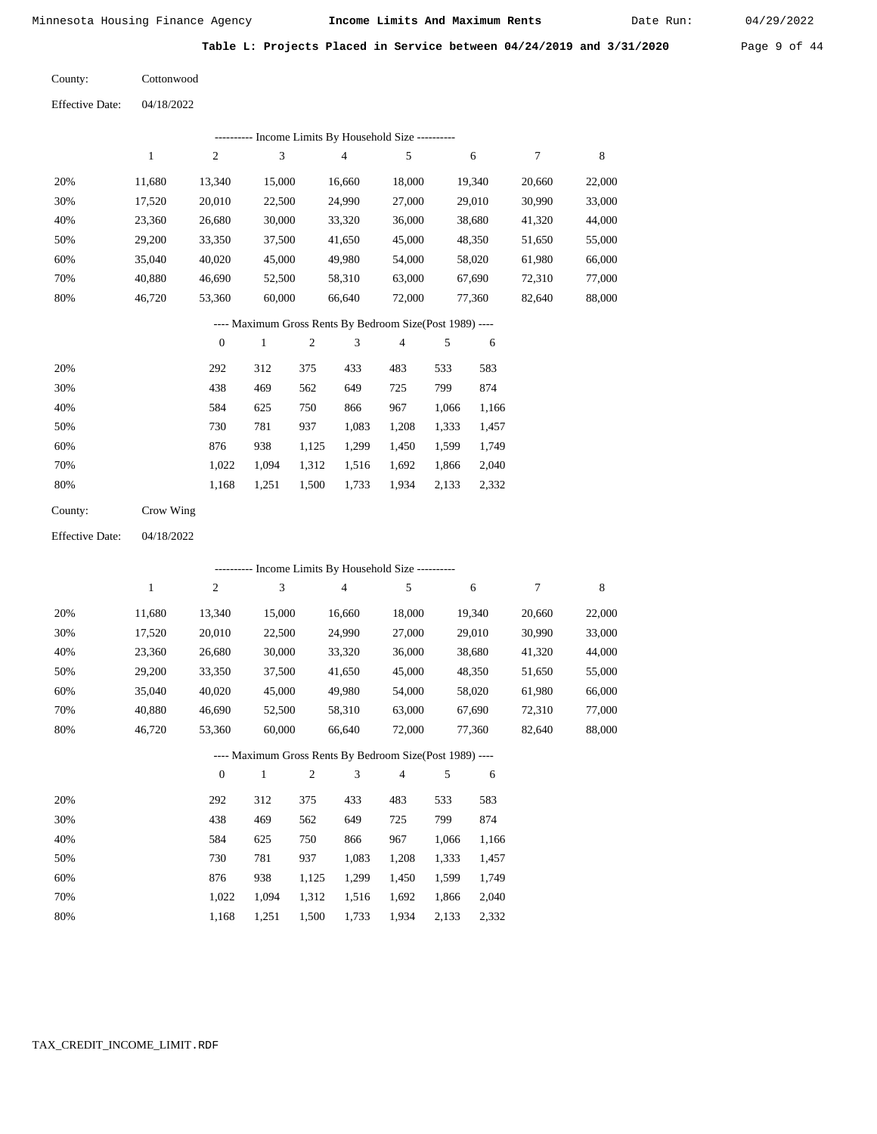Date Run:

**Table L: Projects Placed in Service between 04/24/2019 and 3/31/2020** Page 9 of 44

Cottonwood County:

04/18/2022 Effective Date:

|     |        |        |        | Income Limits By Household Size ---------- |        |        |        |        |
|-----|--------|--------|--------|--------------------------------------------|--------|--------|--------|--------|
|     |        | 2      | 3      | 4                                          |        | 6      |        | 8      |
| 20% | 11.680 | 13.340 | 15,000 | 16,660                                     | 18,000 | 19,340 | 20,660 | 22,000 |
| 30% | 17,520 | 20,010 | 22,500 | 24,990                                     | 27,000 | 29,010 | 30,990 | 33,000 |
| 40% | 23,360 | 26,680 | 30,000 | 33,320                                     | 36,000 | 38,680 | 41,320 | 44,000 |
| 50% | 29,200 | 33,350 | 37,500 | 41,650                                     | 45,000 | 48,350 | 51,650 | 55,000 |
| 60% | 35,040 | 40,020 | 45,000 | 49,980                                     | 54,000 | 58,020 | 61,980 | 66,000 |
| 70% | 40.880 | 46,690 | 52,500 | 58,310                                     | 63,000 | 67,690 | 72,310 | 77,000 |
| 80% | 46.720 | 53,360 | 60,000 | 66,640                                     | 72,000 | 77,360 | 82,640 | 88,000 |

---- Maximum Gross Rents By Bedroom Size(Post 1989) ----

|     | $\mathbf{0}$ |       | $\overline{c}$ | 3     | 4     | 5     | 6     |
|-----|--------------|-------|----------------|-------|-------|-------|-------|
| 20% | 292          | 312   | 375            | 433   | 483   | 533   | 583   |
| 30% | 438          | 469   | 562            | 649   | 725   | 799   | 874   |
| 40% | 584          | 625   | 750            | 866   | 967   | 1,066 | 1,166 |
| 50% | 730          | 781   | 937            | 1,083 | 1,208 | 1,333 | 1,457 |
| 60% | 876          | 938   | 1,125          | 1,299 | 1,450 | 1,599 | 1,749 |
| 70% | 1,022        | 1.094 | 1,312          | 1,516 | 1,692 | 1,866 | 2,040 |
| 80% | 1,168        | 1,251 | 1,500          | 1,733 | 1,934 | 2,133 | 2,332 |
|     |              |       |                |       |       |       |       |

Crow Wing County:

04/18/2022 Effective Date:

|     |        |                  |              |                |                | ---------- Income Limits By Household Size ----------    |       |        |        |        |
|-----|--------|------------------|--------------|----------------|----------------|----------------------------------------------------------|-------|--------|--------|--------|
|     | 1      | $\overline{c}$   | 3            |                | $\overline{4}$ | 5                                                        |       | 6      | 7      | 8      |
| 20% | 11,680 | 13,340           | 15,000       |                | 16,660         | 18,000                                                   |       | 19,340 | 20,660 | 22,000 |
| 30% | 17,520 | 20,010           | 22,500       |                | 24,990         | 27,000                                                   |       | 29,010 | 30,990 | 33,000 |
| 40% | 23,360 | 26,680           | 30,000       |                | 33,320         | 36,000                                                   |       | 38,680 | 41,320 | 44,000 |
| 50% | 29,200 | 33,350           | 37,500       |                | 41,650         | 45,000                                                   |       | 48,350 | 51,650 | 55,000 |
| 60% | 35,040 | 40,020           | 45,000       |                | 49,980         | 54,000                                                   |       | 58,020 | 61,980 | 66,000 |
| 70% | 40,880 | 46,690           | 52,500       |                | 58,310         | 63,000                                                   |       | 67,690 | 72,310 | 77,000 |
| 80% | 46,720 | 53,360           | 60,000       |                | 66,640         | 72,000                                                   |       | 77,360 | 82,640 | 88,000 |
|     |        |                  |              |                |                | ---- Maximum Gross Rents By Bedroom Size(Post 1989) ---- |       |        |        |        |
|     |        | $\boldsymbol{0}$ | $\mathbf{1}$ | $\overline{2}$ | 3              | 4                                                        | 5     | 6      |        |        |
| 20% |        | 292              | 312          | 375            | 433            | 483                                                      | 533   | 583    |        |        |
| 30% |        | 438              | 469          | 562            | 649            | 725                                                      | 799   | 874    |        |        |
| 40% |        | 584              | 625          | 750            | 866            | 967                                                      | 1,066 | 1,166  |        |        |
| 50% |        | 730              | 781          | 937            | 1,083          | 1,208                                                    | 1,333 | 1,457  |        |        |
| 60% |        | 876              | 938          | 1,125          | 1,299          | 1,450                                                    | 1,599 | 1,749  |        |        |
| 70% |        | 1,022            | 1,094        | 1,312          | 1,516          | 1,692                                                    | 1,866 | 2,040  |        |        |

 1,312 1,516 1,500

1,733

1,934

2,133

2,332

1,168

1,251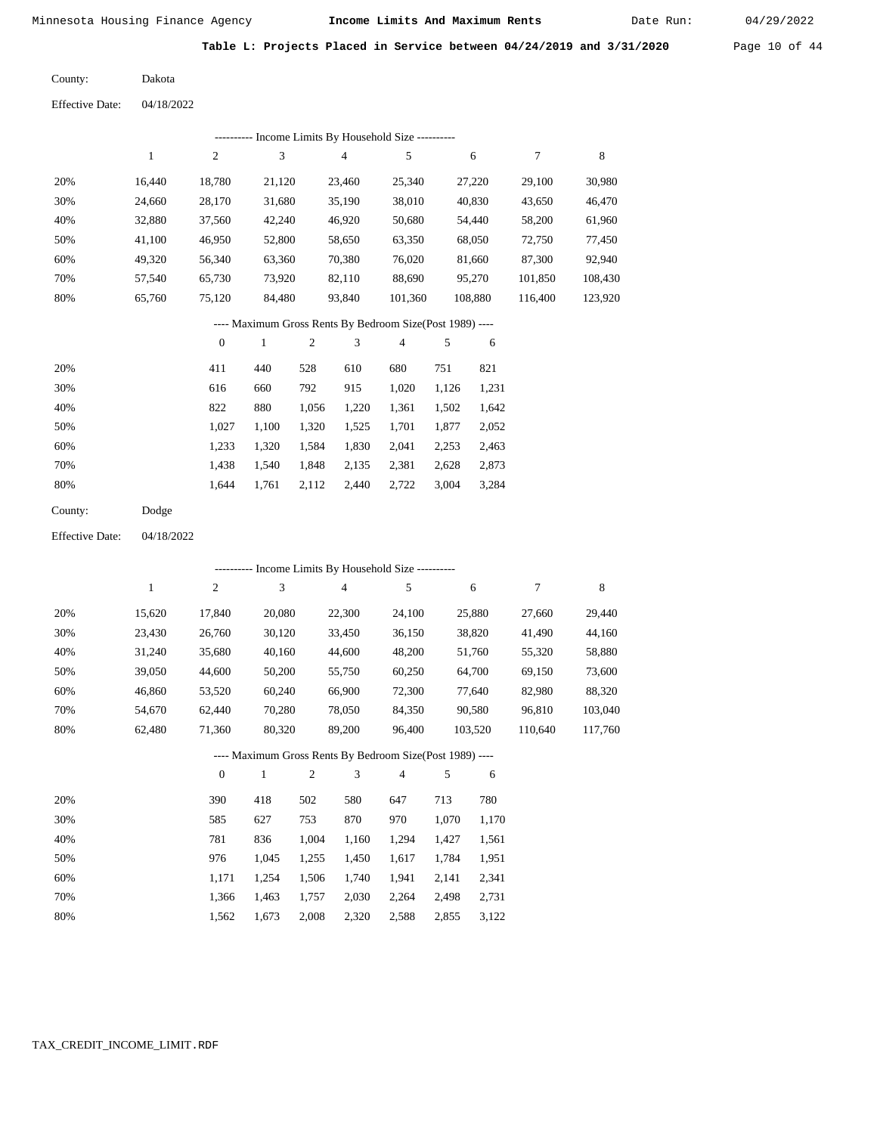Date Run:

**Table L: Projects Placed in Service between 04/24/2019 and 3/31/2020** Page 10 of 44

Dakota County:

04/18/2022 Effective Date:

|     | Income Limits By Household Size ---------- |        |        |        |         |         |         |         |  |  |  |  |  |
|-----|--------------------------------------------|--------|--------|--------|---------|---------|---------|---------|--|--|--|--|--|
|     |                                            | 2      | 3      | 4      | 5       | 6       | 7       | 8       |  |  |  |  |  |
| 20% | 16.440                                     | 18.780 | 21,120 | 23.460 | 25,340  | 27,220  | 29,100  | 30,980  |  |  |  |  |  |
| 30% | 24,660                                     | 28,170 | 31,680 | 35,190 | 38,010  | 40,830  | 43,650  | 46,470  |  |  |  |  |  |
| 40% | 32,880                                     | 37,560 | 42,240 | 46,920 | 50,680  | 54,440  | 58,200  | 61,960  |  |  |  |  |  |
| 50% | 41,100                                     | 46,950 | 52,800 | 58,650 | 63,350  | 68,050  | 72,750  | 77,450  |  |  |  |  |  |
| 60% | 49,320                                     | 56,340 | 63,360 | 70,380 | 76,020  | 81,660  | 87,300  | 92,940  |  |  |  |  |  |
| 70% | 57,540                                     | 65,730 | 73,920 | 82,110 | 88,690  | 95,270  | 101,850 | 108,430 |  |  |  |  |  |
| 80% | 65,760                                     | 75,120 | 84,480 | 93,840 | 101,360 | 108,880 | 116.400 | 123,920 |  |  |  |  |  |

---- Maximum Gross Rents By Bedroom Size(Post 1989) ----

|     | $\mathbf{0}$ |       | $\overline{2}$ | 3     | 4     | 5     | 6     |
|-----|--------------|-------|----------------|-------|-------|-------|-------|
| 20% | 411          | 440   | 528            | 610   | 680   | 751   | 821   |
| 30% | 616          | 660   | 792            | 915   | 1,020 | 1,126 | 1,231 |
| 40% | 822          | 880   | 1,056          | 1,220 | 1,361 | 1,502 | 1,642 |
| 50% | 1,027        | 1.100 | 1,320          | 1,525 | 1,701 | 1,877 | 2,052 |
| 60% | 1,233        | 1,320 | 1,584          | 1,830 | 2,041 | 2,253 | 2,463 |
| 70% | 1,438        | 1,540 | 1,848          | 2,135 | 2,381 | 2,628 | 2,873 |
| 80% | 1.644        | 1,761 | 2,112          | 2,440 | 2,722 | 3,004 | 3,284 |
|     |              |       |                |       |       |       |       |

04/18/2022 Effective Date:

|     |        | --------- Income Limits By Household Size ---------- |                                                          |                |                |        |       |         |         |         |  |  |  |
|-----|--------|------------------------------------------------------|----------------------------------------------------------|----------------|----------------|--------|-------|---------|---------|---------|--|--|--|
|     | 1      | $\mathfrak{2}$                                       | 3                                                        |                | $\overline{4}$ | 5      |       | 6       | 7       | 8       |  |  |  |
| 20% | 15,620 | 17,840                                               | 20,080                                                   |                | 22,300         | 24,100 |       | 25,880  | 27,660  | 29,440  |  |  |  |
| 30% | 23,430 | 26,760                                               | 30,120                                                   |                | 33,450         | 36,150 |       | 38,820  | 41,490  | 44,160  |  |  |  |
| 40% | 31,240 | 35,680                                               | 40,160                                                   |                | 44,600         | 48,200 |       | 51,760  | 55,320  | 58,880  |  |  |  |
| 50% | 39,050 | 44,600                                               | 50,200                                                   |                | 55,750         | 60,250 |       | 64,700  | 69,150  | 73,600  |  |  |  |
| 60% | 46,860 | 53,520                                               | 60,240                                                   |                | 66,900         | 72,300 |       | 77,640  | 82,980  | 88,320  |  |  |  |
| 70% | 54,670 | 62,440                                               | 70,280                                                   |                | 78,050         | 84,350 |       | 90,580  | 96,810  | 103,040 |  |  |  |
| 80% | 62,480 | 71,360                                               | 80,320                                                   |                | 89,200         | 96,400 |       | 103,520 | 110,640 | 117,760 |  |  |  |
|     |        |                                                      | ---- Maximum Gross Rents By Bedroom Size(Post 1989) ---- |                |                |        |       |         |         |         |  |  |  |
|     |        | $\mathbf{0}$                                         | 1                                                        | $\overline{2}$ | 3              | 4      | 5     | 6       |         |         |  |  |  |
| 20% |        | 390                                                  | 418                                                      | 502            | 580            | 647    | 713   | 780     |         |         |  |  |  |
| 30% |        | 585                                                  | 627                                                      | 753            | 870            | 970    | 1,070 | 1,170   |         |         |  |  |  |
| 40% |        | 781                                                  | 836                                                      | 1,004          | 1,160          | 1,294  | 1,427 | 1,561   |         |         |  |  |  |
| 50% |        | 976                                                  | 1,045                                                    | 1,255          | 1,450          | 1,617  | 1,784 | 1,951   |         |         |  |  |  |

|  |  | 1,366 1,463 1,757 2,030 2,264 2,498 2,731 |  |  |
|--|--|-------------------------------------------|--|--|
|  |  | 1.562 1.673 2.008 2.320 2.588 2.855 3.122 |  |  |

1,506

1,740

1,941

2,141

2,341

1,254

1,171

 60% 70% 80%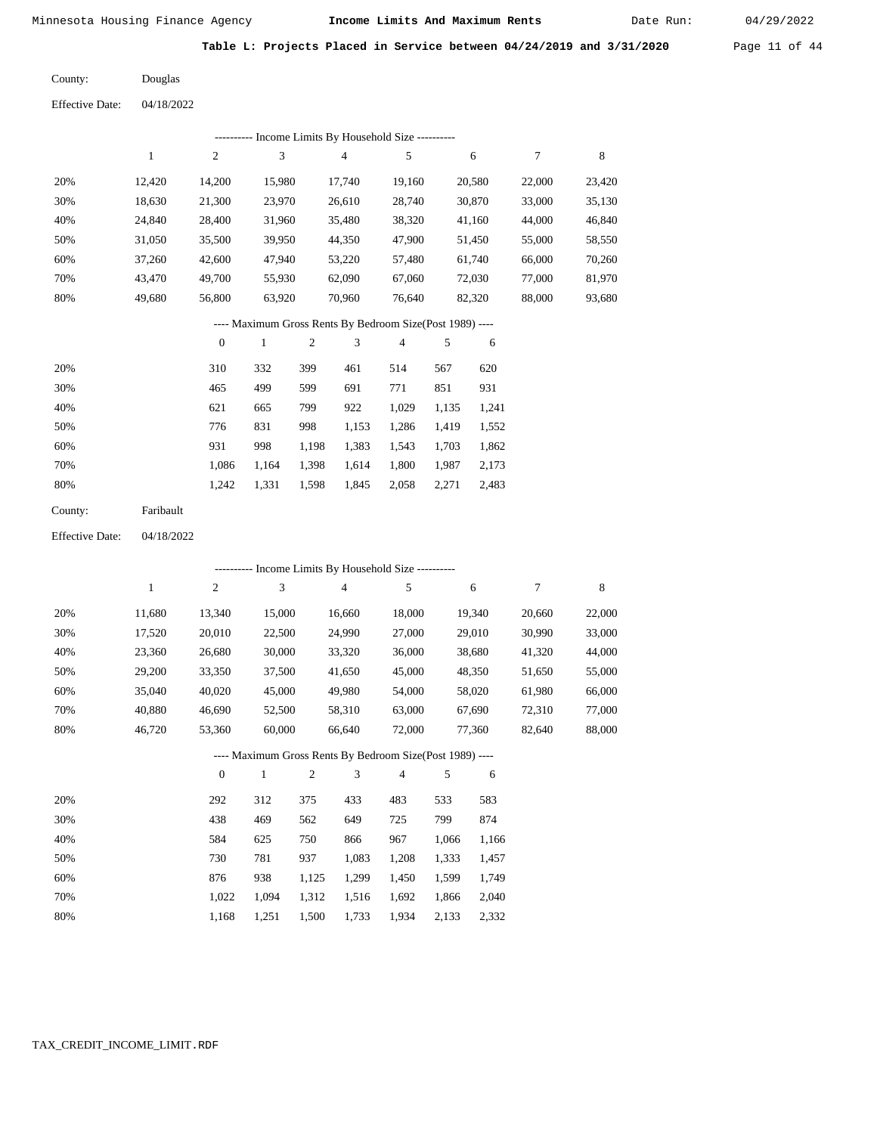Date Run:

**Table L: Projects Placed in Service between 04/24/2019 and 3/31/2020** Page 11 of 44

Douglas County:

| ---------- Income Limits By Household Size ---------- |        |        |        |        |        |        |        |        |  |  |
|-------------------------------------------------------|--------|--------|--------|--------|--------|--------|--------|--------|--|--|
|                                                       |        | 2      | 3      | 4      | 5      | 6      | 7      | 8      |  |  |
| 20%                                                   | 12.420 | 14,200 | 15.980 | 17,740 | 19,160 | 20,580 | 22,000 | 23,420 |  |  |
| 30%                                                   | 18,630 | 21,300 | 23,970 | 26,610 | 28,740 | 30,870 | 33,000 | 35,130 |  |  |
| 40%                                                   | 24.840 | 28,400 | 31,960 | 35,480 | 38,320 | 41,160 | 44,000 | 46,840 |  |  |
| 50%                                                   | 31,050 | 35,500 | 39,950 | 44,350 | 47,900 | 51,450 | 55,000 | 58,550 |  |  |
| 60%                                                   | 37,260 | 42,600 | 47,940 | 53,220 | 57,480 | 61,740 | 66,000 | 70,260 |  |  |
| 70%                                                   | 43.470 | 49,700 | 55,930 | 62,090 | 67,060 | 72,030 | 77,000 | 81,970 |  |  |
| 80%                                                   | 49,680 | 56,800 | 63,920 | 70,960 | 76,640 | 82,320 | 88,000 | 93,680 |  |  |

## ---- Maximum Gross Rents By Bedroom Size(Post 1989) ----

|     | $\mathbf{0}$ |       | 2     | 3     | 4     | 5     | 6     |
|-----|--------------|-------|-------|-------|-------|-------|-------|
| 20% | 310          | 332   | 399   | 461   | 514   | 567   | 620   |
| 30% | 465          | 499   | 599   | 691   | 771   | 851   | 931   |
| 40% | 621          | 665   | 799   | 922   | 1,029 | 1,135 | 1,241 |
| 50% | 776          | 831   | 998   | 1,153 | 1,286 | 1,419 | 1,552 |
| 60% | 931          | 998   | 1,198 | 1,383 | 1,543 | 1,703 | 1,862 |
| 70% | 1,086        | 1.164 | 1,398 | 1,614 | 1,800 | 1,987 | 2,173 |
| 80% | 1,242        | 1,331 | 1,598 | 1,845 | 2,058 | 2,271 | 2,483 |
|     |              |       |       |       |       |       |       |

| Faribault |
|-----------|
|           |

04/18/2022 Effective Date:

|     |        |                |              |                |                | ---------- Income Limits By Household Size ----------    |       |        |        |        |
|-----|--------|----------------|--------------|----------------|----------------|----------------------------------------------------------|-------|--------|--------|--------|
|     | 1      | 2              | 3            |                | $\overline{4}$ | 5                                                        |       | 6      | $\tau$ | 8      |
| 20% | 11,680 | 13,340         | 15,000       |                | 16,660         | 18,000                                                   |       | 19,340 | 20,660 | 22,000 |
| 30% | 17,520 | 20,010         | 22,500       |                | 24,990         | 27,000                                                   |       | 29,010 | 30,990 | 33,000 |
| 40% | 23,360 | 26,680         | 30,000       |                | 33,320         | 36,000                                                   |       | 38,680 | 41,320 | 44,000 |
| 50% | 29,200 | 33,350         | 37,500       |                | 41,650         | 45,000                                                   |       | 48,350 | 51,650 | 55,000 |
| 60% | 35,040 | 40,020         | 45,000       |                | 49,980         | 54,000                                                   |       | 58,020 | 61,980 | 66,000 |
| 70% | 40,880 | 46,690         | 52,500       |                | 58,310         | 63,000                                                   |       | 67,690 | 72,310 | 77,000 |
| 80% | 46,720 | 53,360         | 60,000       |                | 66,640         | 72,000                                                   |       | 77,360 | 82,640 | 88,000 |
|     |        |                |              |                |                | ---- Maximum Gross Rents By Bedroom Size(Post 1989) ---- |       |        |        |        |
|     |        | $\overline{0}$ | $\mathbf{1}$ | $\mathfrak{2}$ | 3              | 4                                                        | 5     | 6      |        |        |
| 20% |        | 292            | 312          | 375            | 433            | 483                                                      | 533   | 583    |        |        |
| 30% |        | 438            | 469          | 562            | 649            | 725                                                      | 799   | 874    |        |        |
| 40% |        | 584            | 625          | 750            | 866            | 967                                                      | 1,066 | 1,166  |        |        |
| 50% |        | 730            | 781          | 937            | 1,083          | 1,208                                                    | 1,333 | 1,457  |        |        |
| 60% |        | 876            | 938          | 1,125          | 1,299          | 1,450                                                    | 1,599 | 1,749  |        |        |
| 70% |        | 1,022          | 1,094        | 1,312          | 1,516          | 1,692                                                    | 1,866 | 2,040  |        |        |
| 80% |        | 1,168          | 1,251        | 1,500          | 1,733          | 1,934                                                    | 2,133 | 2,332  |        |        |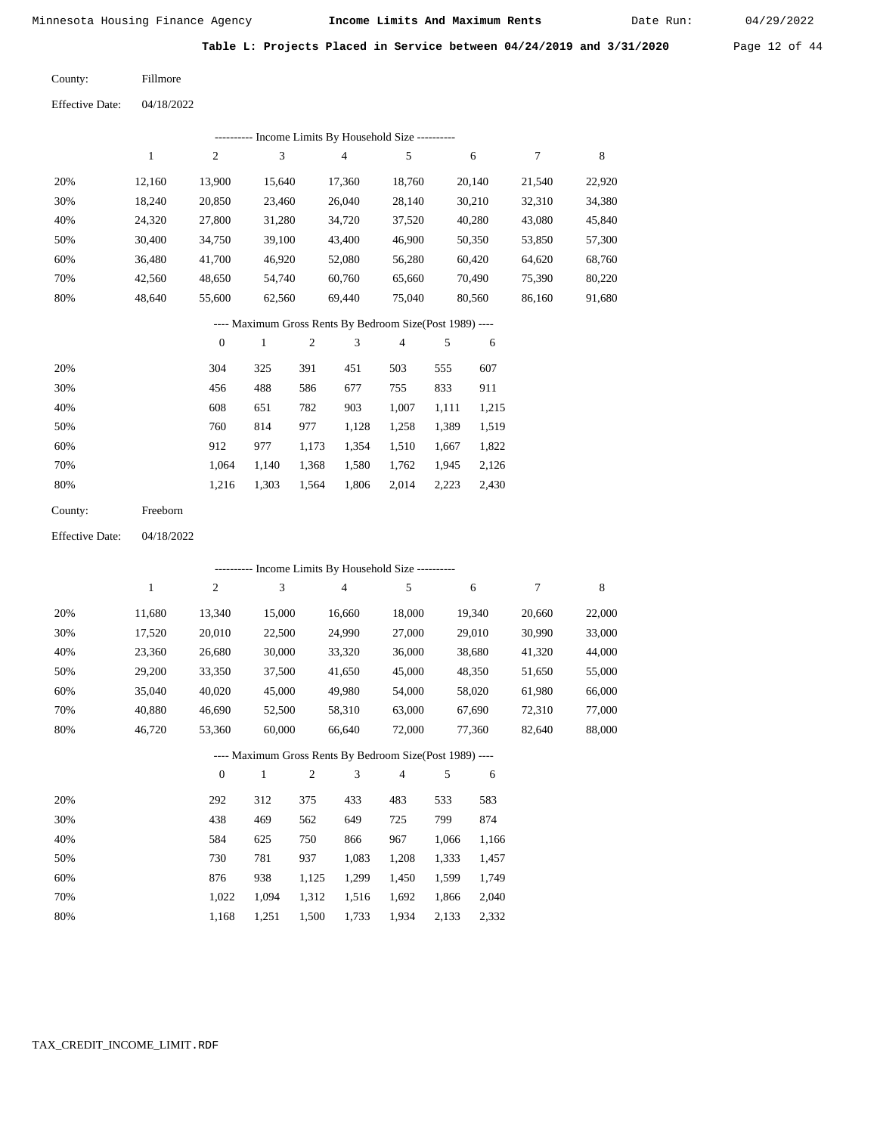Date Run:

**Table L: Projects Placed in Service between 04/24/2019 and 3/31/2020** Page 12 of 44

Fillmore County:

| Effective Date: | 04/18/2022 |
|-----------------|------------|
|                 |            |

|     | ---------- Income Limits By Household Size ---------- |        |        |        |        |        |        |        |  |  |
|-----|-------------------------------------------------------|--------|--------|--------|--------|--------|--------|--------|--|--|
|     |                                                       | 2      | 3      | 4      | 5      | 6      |        | 8      |  |  |
| 20% | 12.160                                                | 13,900 | 15.640 | 17,360 | 18.760 | 20,140 | 21,540 | 22,920 |  |  |
| 30% | 18,240                                                | 20,850 | 23,460 | 26,040 | 28,140 | 30,210 | 32,310 | 34,380 |  |  |
| 40% | 24,320                                                | 27,800 | 31,280 | 34,720 | 37,520 | 40,280 | 43,080 | 45,840 |  |  |
| 50% | 30,400                                                | 34,750 | 39,100 | 43,400 | 46,900 | 50,350 | 53,850 | 57,300 |  |  |
| 60% | 36.480                                                | 41,700 | 46,920 | 52,080 | 56,280 | 60,420 | 64,620 | 68,760 |  |  |
| 70% | 42.560                                                | 48,650 | 54,740 | 60,760 | 65,660 | 70.490 | 75,390 | 80,220 |  |  |
| 80% | 48,640                                                | 55,600 | 62,560 | 69,440 | 75,040 | 80,560 | 86,160 | 91,680 |  |  |
|     |                                                       |        |        |        |        |        |        |        |  |  |

## ---- Maximum Gross Rents By Bedroom Size(Post 1989) ----

|     | $\mathbf{0}$ |       | 2     | 3     | 4     | 5     | 6     |
|-----|--------------|-------|-------|-------|-------|-------|-------|
| 20% | 304          | 325   | 391   | 451   | 503   | 555   | 607   |
| 30% | 456          | 488   | 586   | 677   | 755   | 833   | 911   |
| 40% | 608          | 651   | 782   | 903   | 1,007 | 1,111 | 1,215 |
| 50% | 760          | 814   | 977   | 1,128 | 1,258 | 1,389 | 1,519 |
| 60% | 912          | 977   | 1,173 | 1,354 | 1,510 | 1,667 | 1,822 |
| 70% | 1.064        | 1,140 | 1,368 | 1,580 | 1,762 | 1,945 | 2,126 |
| 80% | 1,216        | 1,303 | 1,564 | 1,806 | 2,014 | 2,223 | 2,430 |
|     |              |       |       |       |       |       |       |

| County: | Freeborn |
|---------|----------|
|---------|----------|

04/18/2022 Effective Date:

|     |        |                |              |                |                | ---------- Income Limits By Household Size ----------    |       |        |        |        |
|-----|--------|----------------|--------------|----------------|----------------|----------------------------------------------------------|-------|--------|--------|--------|
|     | 1      | 2              | 3            |                | $\overline{4}$ | 5                                                        |       | 6      | $\tau$ | 8      |
| 20% | 11,680 | 13,340         | 15,000       |                | 16,660         | 18,000                                                   |       | 19,340 | 20,660 | 22,000 |
| 30% | 17,520 | 20,010         | 22,500       |                | 24,990         | 27,000                                                   |       | 29,010 | 30,990 | 33,000 |
| 40% | 23,360 | 26,680         | 30,000       |                | 33,320         | 36,000                                                   |       | 38,680 | 41,320 | 44,000 |
| 50% | 29,200 | 33,350         | 37,500       |                | 41,650         | 45,000                                                   |       | 48,350 | 51,650 | 55,000 |
| 60% | 35,040 | 40,020         | 45,000       |                | 49,980         | 54,000                                                   |       | 58,020 | 61,980 | 66,000 |
| 70% | 40,880 | 46,690         | 52,500       |                | 58,310         | 63,000                                                   |       | 67,690 | 72,310 | 77,000 |
| 80% | 46,720 | 53,360         | 60,000       |                | 66,640         | 72,000                                                   |       | 77,360 | 82,640 | 88,000 |
|     |        |                |              |                |                | ---- Maximum Gross Rents By Bedroom Size(Post 1989) ---- |       |        |        |        |
|     |        | $\overline{0}$ | $\mathbf{1}$ | $\mathfrak{2}$ | 3              | 4                                                        | 5     | 6      |        |        |
| 20% |        | 292            | 312          | 375            | 433            | 483                                                      | 533   | 583    |        |        |
| 30% |        | 438            | 469          | 562            | 649            | 725                                                      | 799   | 874    |        |        |
| 40% |        | 584            | 625          | 750            | 866            | 967                                                      | 1,066 | 1,166  |        |        |
| 50% |        | 730            | 781          | 937            | 1,083          | 1,208                                                    | 1,333 | 1,457  |        |        |
| 60% |        | 876            | 938          | 1,125          | 1,299          | 1,450                                                    | 1,599 | 1,749  |        |        |
| 70% |        | 1,022          | 1,094        | 1,312          | 1,516          | 1,692                                                    | 1,866 | 2,040  |        |        |
| 80% |        | 1,168          | 1,251        | 1,500          | 1,733          | 1,934                                                    | 2,133 | 2,332  |        |        |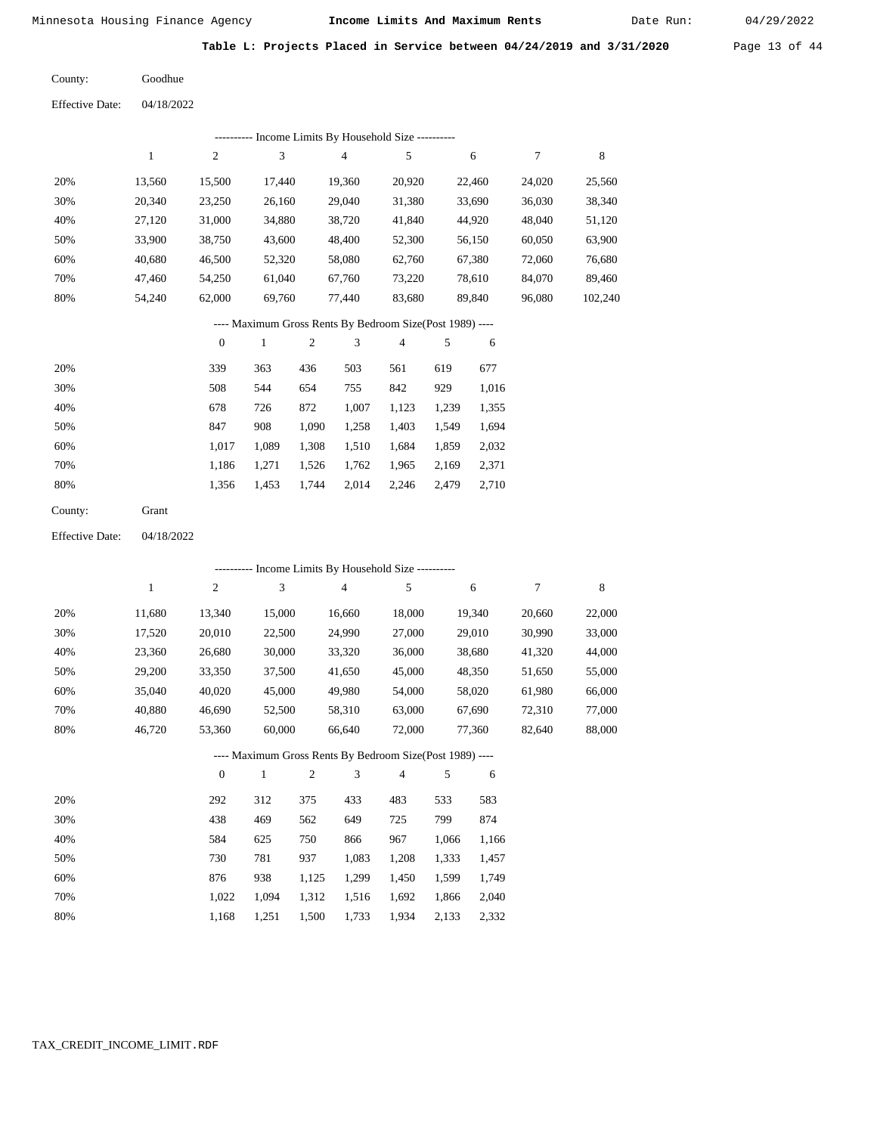Date Run:

**Table L: Projects Placed in Service between 04/24/2019 and 3/31/2020** Page 13 of 44

Goodhue County:

| <b>Effective Date:</b> | 04/18/2022   |                  |              |                  |                                                          |                |       |        |                  |         |
|------------------------|--------------|------------------|--------------|------------------|----------------------------------------------------------|----------------|-------|--------|------------------|---------|
|                        |              |                  |              |                  | --------- Income Limits By Household Size ----------     |                |       |        |                  |         |
|                        | $\mathbf{1}$ | $\sqrt{2}$       | 3            |                  | $\overline{4}$                                           | 5              |       | 6      | $\boldsymbol{7}$ | 8       |
| 20%                    | 13,560       | 15,500           | 17,440       |                  | 19,360                                                   | 20,920         |       | 22,460 | 24,020           | 25,560  |
| 30%                    | 20,340       | 23,250           | 26,160       |                  | 29,040                                                   | 31,380         |       | 33,690 | 36,030           | 38,340  |
| 40%                    | 27,120       | 31,000           | 34,880       |                  | 38,720                                                   | 41,840         |       | 44,920 | 48,040           | 51,120  |
| 50%                    | 33,900       | 38,750           | 43,600       |                  | 48,400                                                   | 52,300         |       | 56,150 | 60,050           | 63,900  |
| 60%                    | 40,680       | 46,500           | 52,320       |                  | 58,080                                                   | 62,760         |       | 67,380 | 72,060           | 76,680  |
| 70%                    | 47,460       | 54,250           | 61,040       |                  | 67,760                                                   | 73,220         |       | 78,610 | 84,070           | 89,460  |
| 80%                    | 54,240       | 62,000           | 69,760       |                  | 77,440                                                   | 83,680         |       | 89,840 | 96,080           | 102,240 |
|                        |              |                  |              |                  | ---- Maximum Gross Rents By Bedroom Size(Post 1989) ---- |                |       |        |                  |         |
|                        |              | $\boldsymbol{0}$ | $\,1$        | $\boldsymbol{2}$ | $\mathfrak{Z}$                                           | 4              | 5     | 6      |                  |         |
| 20%                    |              | 339              | 363          | 436              | 503                                                      | 561            | 619   | 677    |                  |         |
| 30%                    |              | 508              | 544          | 654              | 755                                                      | 842            | 929   | 1,016  |                  |         |
| 40%                    |              | 678              | 726          | 872              | 1,007                                                    | 1,123          | 1,239 | 1,355  |                  |         |
| 50%                    |              | 847              | 908          | 1,090            | 1,258                                                    | 1,403          | 1,549 | 1,694  |                  |         |
| 60%                    |              | 1,017            | 1,089        | 1,308            | 1,510                                                    | 1,684          | 1,859 | 2,032  |                  |         |
| 70%                    |              | 1,186            | 1,271        | 1,526            | 1,762                                                    | 1,965          | 2,169 | 2,371  |                  |         |
| 80%                    |              | 1,356            | 1,453        | 1,744            | 2,014                                                    | 2,246          | 2,479 | 2,710  |                  |         |
| County:                | Grant        |                  |              |                  |                                                          |                |       |        |                  |         |
| <b>Effective Date:</b> | 04/18/2022   |                  |              |                  |                                                          |                |       |        |                  |         |
|                        |              |                  |              |                  | ---------- Income Limits By Household Size ----------    |                |       |        |                  |         |
|                        | $\mathbf{1}$ | $\overline{2}$   | 3            |                  | $\overline{4}$                                           | 5              |       | 6      | 7                | 8       |
| 20%                    | 11,680       | 13,340           | 15,000       |                  | 16,660                                                   | 18,000         |       | 19,340 | 20,660           | 22,000  |
| 30%                    | 17,520       | 20,010           | 22,500       |                  | 24,990                                                   | 27,000         |       | 29,010 | 30,990           | 33,000  |
| 40%                    | 23,360       | 26,680           | 30,000       |                  | 33,320                                                   | 36,000         |       | 38,680 | 41,320           | 44,000  |
| 50%                    | 29,200       | 33,350           | 37,500       |                  | 41,650                                                   | 45,000         |       | 48,350 | 51,650           | 55,000  |
| 60%                    | 35,040       | 40,020           | 45,000       |                  | 49,980                                                   | 54,000         |       | 58,020 | 61,980           | 66,000  |
| 70%                    | 40,880       | 46,690           | 52,500       |                  | 58,310                                                   | 63,000         |       | 67,690 | 72,310           | 77,000  |
| 80%                    | 46,720       | 53,360           | 60,000       |                  | 66,640                                                   | 72,000         |       | 77,360 | 82,640           | 88,000  |
|                        |              |                  |              |                  | ---- Maximum Gross Rents By Bedroom Size(Post 1989) ---- |                |       |        |                  |         |
|                        |              | $\mathbf{0}$     | $\mathbf{1}$ | $\overline{c}$   | 3                                                        | $\overline{4}$ | 5     | 6      |                  |         |
| 20%                    |              | 292              | 312          | 375              | 433                                                      | 483            | 533   | 583    |                  |         |
| 30%                    |              | 438              | 469          | 562              | 649                                                      | 725            | 799   | 874    |                  |         |
| 40%                    |              | 584              | 625          | 750              | 866                                                      | 967            | 1,066 | 1,166  |                  |         |
| 50%                    |              | 730              | 781          | 937              | 1,083                                                    | 1,208          | 1,333 | 1,457  |                  |         |
| 60%                    |              | 876              | 938          | 1,125            | 1,299                                                    | 1,450          | 1,599 | 1,749  |                  |         |
| 70%                    |              | 1,022            | 1,094        | 1,312            | 1,516                                                    | 1,692          | 1,866 | 2,040  |                  |         |
| 80%                    |              | 1,168            | 1,251        | 1,500            | 1,733                                                    | 1,934          | 2,133 | 2,332  |                  |         |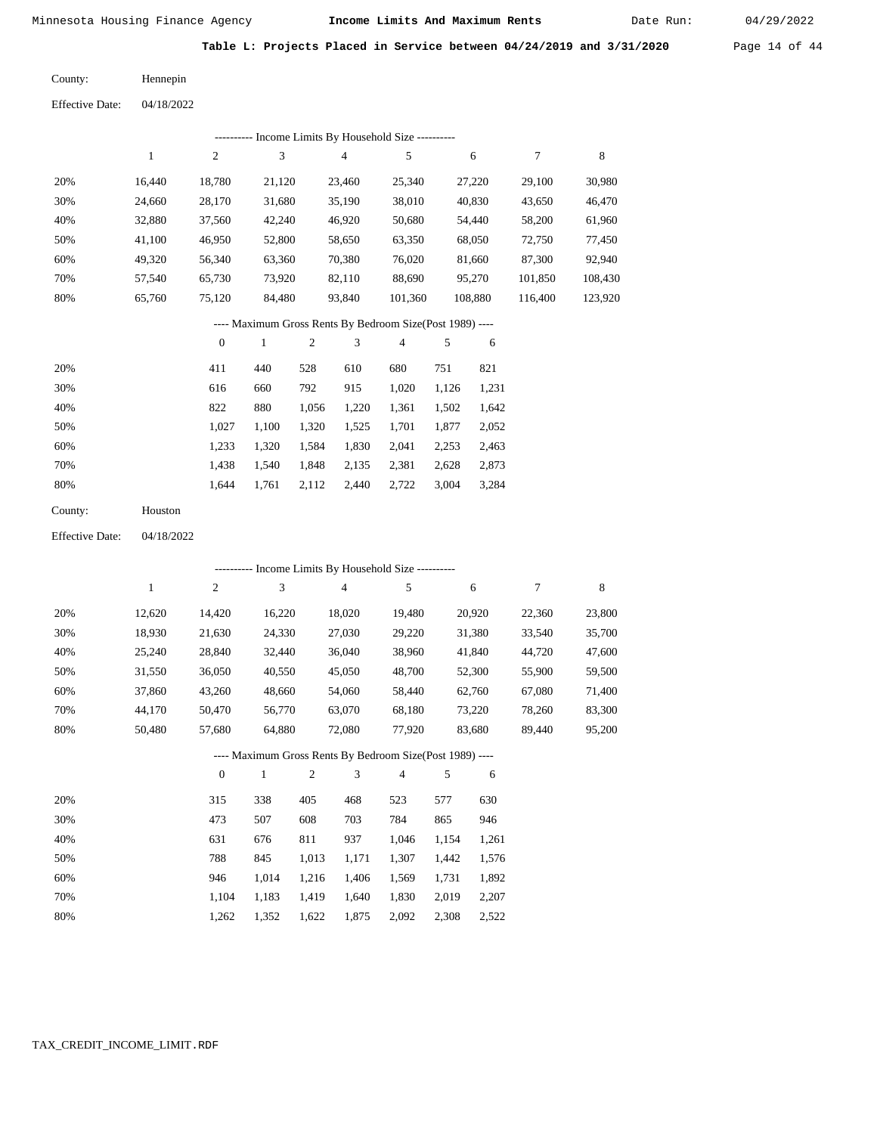Date Run:

**Table L: Projects Placed in Service between 04/24/2019 and 3/31/2020** Page 14 of 44

04/18/2022 Hennepin County: Effective Date:

| Liittist Date. | $9 + 19/2922$ |
|----------------|---------------|
|                |               |
|                |               |
|                |               |

| Income Limits By Household Size ---------- |        |                |        |        |         |         |         |         |
|--------------------------------------------|--------|----------------|--------|--------|---------|---------|---------|---------|
|                                            |        | $\overline{c}$ | 3      | 4      | 5       | 6       |         | 8       |
| 20%                                        | 16.440 | 18,780         | 21,120 | 23.460 | 25,340  | 27,220  | 29.100  | 30,980  |
| 30%                                        | 24,660 | 28,170         | 31,680 | 35,190 | 38,010  | 40,830  | 43,650  | 46,470  |
| 40%                                        | 32,880 | 37,560         | 42,240 | 46,920 | 50,680  | 54,440  | 58,200  | 61,960  |
| 50%                                        | 41,100 | 46,950         | 52,800 | 58,650 | 63,350  | 68,050  | 72,750  | 77,450  |
| 60%                                        | 49,320 | 56,340         | 63,360 | 70,380 | 76,020  | 81,660  | 87,300  | 92,940  |
| 70%                                        | 57,540 | 65,730         | 73,920 | 82,110 | 88,690  | 95,270  | 101,850 | 108,430 |
| 80%                                        | 65,760 | 75,120         | 84,480 | 93,840 | 101,360 | 108,880 | 116,400 | 123,920 |

## ---- Maximum Gross Rents By Bedroom Size(Post 1989) ----

|     | $\mathbf{0}$ |       | $\overline{c}$ | 3     | 4     | 5     | 6     |
|-----|--------------|-------|----------------|-------|-------|-------|-------|
| 20% | 411          | 440   | 528            | 610   | 680   | 751   | 821   |
| 30% | 616          | 660   | 792            | 915   | 1,020 | 1,126 | 1,231 |
| 40% | 822          | 880   | 1,056          | 1,220 | 1,361 | 1,502 | 1,642 |
| 50% | 1.027        | 1,100 | 1,320          | 1,525 | 1,701 | 1,877 | 2,052 |
| 60% | 1,233        | 1,320 | 1,584          | 1,830 | 2,041 | 2,253 | 2,463 |
| 70% | 1,438        | 1,540 | 1,848          | 2,135 | 2,381 | 2,628 | 2,873 |
| 80% | 1.644        | 1,761 | 2,112          | 2.440 | 2,722 | 3,004 | 3,284 |
|     |              |       |                |       |       |       |       |

04/18/2022 Effective Date:

|                                                          | - Income Limits By Household Size ---------- |          |              |                |                |                |       |        |        |        |
|----------------------------------------------------------|----------------------------------------------|----------|--------------|----------------|----------------|----------------|-------|--------|--------|--------|
|                                                          | 1                                            | 2        | 3            |                | $\overline{4}$ | 5              |       | 6      | 7      | 8      |
| 20%                                                      | 12,620                                       | 14,420   | 16,220       |                | 18,020         | 19,480         |       | 20,920 | 22,360 | 23,800 |
| 30%                                                      | 18,930                                       | 21,630   | 24,330       |                | 27,030         | 29,220         |       | 31,380 | 33,540 | 35,700 |
| 40%                                                      | 25,240                                       | 28,840   | 32,440       |                | 36,040         | 38,960         |       | 41,840 | 44,720 | 47,600 |
| 50%                                                      | 31,550                                       | 36,050   | 40,550       |                | 45,050         | 48,700         |       | 52,300 | 55,900 | 59,500 |
| 60%                                                      | 37,860                                       | 43,260   | 48,660       |                | 54,060         | 58,440         |       | 62,760 | 67,080 | 71,400 |
| 70%                                                      | 44,170                                       | 50,470   | 56,770       |                | 63,070         | 68,180         |       | 73,220 | 78,260 | 83,300 |
| 80%                                                      | 50,480                                       | 57,680   | 64,880       |                | 72,080         | 77,920         |       | 83,680 | 89,440 | 95,200 |
| ---- Maximum Gross Rents By Bedroom Size(Post 1989) ---- |                                              |          |              |                |                |                |       |        |        |        |
|                                                          |                                              | $\theta$ | $\mathbf{1}$ | $\mathfrak{2}$ | 3              | $\overline{4}$ | 5     | 6      |        |        |
| 20%                                                      |                                              | 315      | 338          | 405            | 468            | 523            | 577   | 630    |        |        |
| 30%                                                      |                                              | 473      | 507          | 608            | 703            | 784            | 865   | 946    |        |        |
| 40%                                                      |                                              | 631      | 676          | 811            | 937            | 1,046          | 1,154 | 1,261  |        |        |
| 50%                                                      |                                              | 788      | 845          | 1,013          | 1,171          | 1,307          | 1,442 | 1,576  |        |        |
| 60%                                                      |                                              | 946      | 1,014        | 1,216          | 1,406          | 1,569          | 1,731 | 1,892  |        |        |
| 70%                                                      |                                              | 1,104    | 1,183        | 1,419          | 1,640          | 1,830          | 2,019 | 2,207  |        |        |

1,352 1,622 1,875 2,092 2,308

2,522

1,262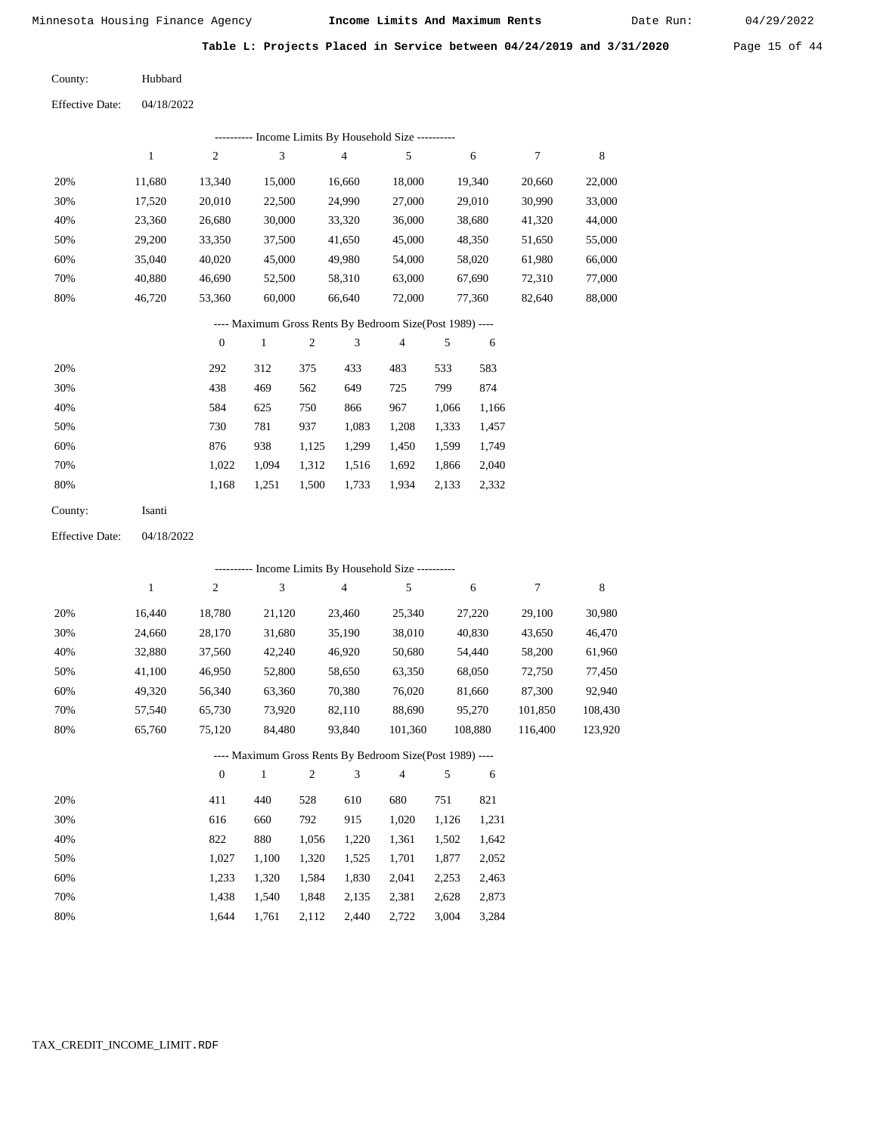Date Run:

**Table L: Projects Placed in Service between 04/24/2019 and 3/31/2020** Page 15 of 44

Effective Date: 04/18/2022 Hubbard County:

|                        |              |                  |              |            | --------- Income Limits By Household Size ----------     |         |       |         |         |             |
|------------------------|--------------|------------------|--------------|------------|----------------------------------------------------------|---------|-------|---------|---------|-------------|
|                        | $\mathbf{1}$ | $\mathbf{2}$     | 3            |            | $\overline{4}$                                           | 5       |       | 6       | 7       | $\,$ 8 $\,$ |
| 20%                    | 11,680       | 13,340           | 15,000       |            | 16,660                                                   | 18,000  |       | 19,340  | 20,660  | 22,000      |
| 30%                    | 17,520       | 20,010           | 22,500       |            | 24,990                                                   | 27,000  |       | 29,010  | 30,990  | 33,000      |
| 40%                    | 23,360       | 26,680           | 30,000       |            | 33,320                                                   | 36,000  |       | 38,680  | 41,320  | 44,000      |
| 50%                    | 29,200       | 33,350           | 37,500       |            | 41,650                                                   | 45,000  |       | 48,350  | 51,650  | 55,000      |
| 60%                    | 35,040       | 40,020           | 45,000       |            | 49,980                                                   | 54,000  |       | 58,020  | 61,980  | 66,000      |
| 70%                    | 40,880       | 46,690           | 52,500       |            | 58,310                                                   | 63,000  |       | 67,690  | 72,310  | 77,000      |
| 80%                    | 46,720       | 53,360           | 60,000       |            | 66,640                                                   | 72,000  |       | 77,360  | 82,640  | 88,000      |
|                        |              |                  |              |            | ---- Maximum Gross Rents By Bedroom Size(Post 1989) ---- |         |       |         |         |             |
|                        |              | $\boldsymbol{0}$ | $\mathbf{1}$ | $\sqrt{2}$ | 3                                                        | 4       | 5     | 6       |         |             |
| 20%                    |              | 292              | 312          | 375        | 433                                                      | 483     | 533   | 583     |         |             |
| 30%                    |              | 438              | 469          | 562        | 649                                                      | 725     | 799   | 874     |         |             |
| 40%                    |              | 584              | 625          | 750        | 866                                                      | 967     | 1,066 | 1,166   |         |             |
| 50%                    |              | 730              | 781          | 937        | 1,083                                                    | 1,208   | 1,333 | 1,457   |         |             |
| 60%                    |              | 876              | 938          | 1,125      | 1,299                                                    | 1,450   | 1,599 | 1,749   |         |             |
| 70%                    |              | 1,022            | 1,094        | 1,312      | 1,516                                                    | 1,692   | 1,866 | 2,040   |         |             |
| 80%                    |              | 1,168            | 1,251        | 1,500      | 1,733                                                    | 1,934   | 2,133 | 2,332   |         |             |
| County:                | Isanti       |                  |              |            |                                                          |         |       |         |         |             |
| <b>Effective Date:</b> | 04/18/2022   |                  |              |            |                                                          |         |       |         |         |             |
|                        |              |                  |              |            | --------- Income Limits By Household Size ----------     |         |       |         |         |             |
|                        | 1            | $\boldsymbol{2}$ | 3            |            | $\overline{4}$                                           | 5       |       | 6       | 7       | 8           |
| 20%                    | 16,440       | 18,780           | 21,120       |            | 23,460                                                   | 25,340  |       | 27,220  | 29,100  | 30,980      |
| 30%                    | 24,660       | 28,170           | 31,680       |            | 35,190                                                   | 38,010  |       | 40,830  | 43,650  | 46,470      |
| 40%                    | 32,880       | 37,560           | 42,240       |            | 46,920                                                   | 50,680  |       | 54,440  | 58,200  | 61,960      |
| 50%                    | 41,100       | 46,950           | 52,800       |            | 58,650                                                   | 63,350  |       | 68,050  | 72,750  | 77,450      |
| 60%                    | 49,320       | 56,340           | 63,360       |            | 70,380                                                   | 76,020  |       | 81,660  | 87,300  | 92,940      |
| 70%                    | 57,540       | 65,730           | 73,920       |            | 82,110                                                   | 88,690  |       | 95,270  | 101,850 | 108,430     |
| 80%                    | 65,760       | 75,120           | 84,480       |            | 93,840                                                   | 101,360 |       | 108,880 | 116,400 | 123,920     |
|                        |              |                  |              |            | ---- Maximum Gross Rents By Bedroom Size(Post 1989) ---- |         |       |         |         |             |
|                        |              | $\boldsymbol{0}$ | $\mathbf{1}$ | 2          | 3                                                        | 4       | 5     | 6       |         |             |
| 20%                    |              | 411              | 440          | 528        | 610                                                      | 680     | 751   | 821     |         |             |
| 30%                    |              | 616              | 660          | 792        | 915                                                      | 1,020   | 1,126 | 1,231   |         |             |
| 40%                    |              | 822              | 880          | 1,056      | 1,220                                                    | 1,361   | 1,502 | 1,642   |         |             |
| 50%                    |              | 1,027            | 1,100        | 1,320      | 1,525                                                    | 1,701   | 1,877 | 2,052   |         |             |
| 60%                    |              | 1,233            | 1,320        | 1,584      | 1,830                                                    | 2,041   | 2,253 | 2,463   |         |             |
| 70%                    |              | 1,438            | 1,540        | 1,848      | 2,135                                                    | 2,381   | 2,628 | 2,873   |         |             |
| 80%                    |              | 1,644            | 1,761        | 2,112      | 2,440                                                    | 2,722   | 3,004 | 3,284   |         |             |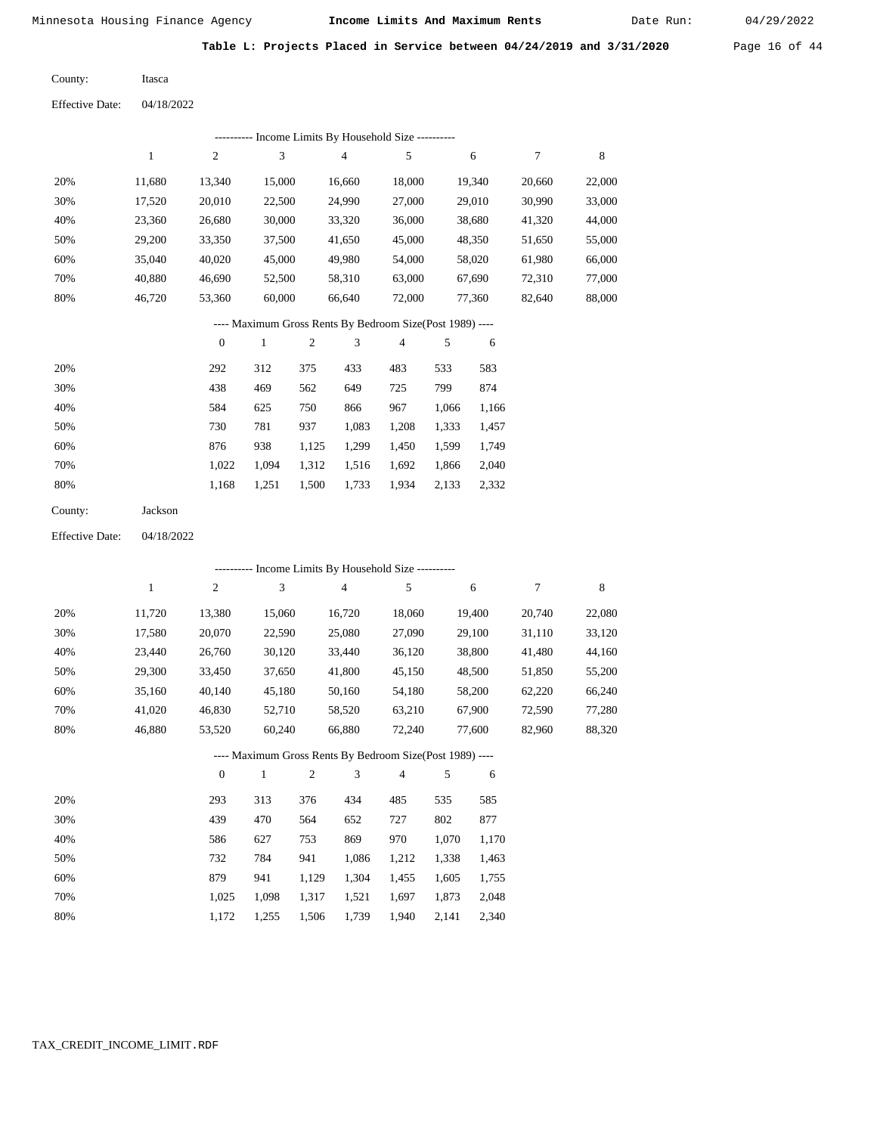Itasca

Minnesota Housing Finance Agency **Income Limits And Maximum Rents** 04/29/2022

Date Run:

**Table L: Projects Placed in Service between 04/24/2019 and 3/31/2020** Page 16 of 44

County:

04/18/2022 Effective Date:

|                        |              |                  |                                                          |            | --------- Income Limits By Household Size ---------- |                |       |        |        |             |
|------------------------|--------------|------------------|----------------------------------------------------------|------------|------------------------------------------------------|----------------|-------|--------|--------|-------------|
|                        | $\mathbf{1}$ | $\overline{c}$   | 3                                                        |            | $\overline{4}$                                       | 5              |       | 6      | 7      | $\,$ 8 $\,$ |
| 20%                    | 11,680       | 13,340           | 15,000                                                   |            | 16,660                                               | 18,000         |       | 19,340 | 20,660 | 22,000      |
| 30%                    | 17,520       | 20,010           | 22,500                                                   |            | 24,990                                               | 27,000         |       | 29,010 | 30,990 | 33,000      |
| 40%                    | 23,360       | 26,680           | 30,000                                                   |            | 33,320                                               | 36,000         |       | 38,680 | 41,320 | 44,000      |
| 50%                    | 29,200       | 33,350           | 37,500                                                   |            | 41,650                                               | 45,000         |       | 48,350 | 51,650 | 55,000      |
| 60%                    | 35,040       | 40,020           | 45,000                                                   |            | 49,980                                               | 54,000         |       | 58,020 | 61,980 | 66,000      |
| 70%                    | 40,880       | 46,690           | 52,500                                                   |            | 58,310                                               | 63,000         |       | 67,690 | 72,310 | 77,000      |
| 80%                    | 46,720       | 53,360           | 60,000                                                   |            | 66,640                                               | 72,000         |       | 77,360 | 82,640 | 88,000      |
|                        |              |                  | ---- Maximum Gross Rents By Bedroom Size(Post 1989) ---- |            |                                                      |                |       |        |        |             |
|                        |              | $\boldsymbol{0}$ | $\mathbf{1}$                                             | $\sqrt{2}$ | 3                                                    | $\overline{4}$ | 5     | 6      |        |             |
| 20%                    |              | 292              | 312                                                      | 375        | 433                                                  | 483            | 533   | 583    |        |             |
| 30%                    |              | 438              | 469                                                      | 562        | 649                                                  | 725            | 799   | 874    |        |             |
| 40%                    |              | 584              | 625                                                      | 750        | 866                                                  | 967            | 1,066 | 1,166  |        |             |
| 50%                    |              | 730              | 781                                                      | 937        | 1,083                                                | 1,208          | 1,333 | 1,457  |        |             |
| 60%                    |              | 876              | 938                                                      | 1,125      | 1,299                                                | 1,450          | 1,599 | 1,749  |        |             |
| 70%                    |              | 1,022            | 1,094                                                    | 1,312      | 1,516                                                | 1,692          | 1,866 | 2,040  |        |             |
| 80%                    |              | 1,168            | 1,251                                                    | 1,500      | 1,733                                                | 1,934          | 2,133 | 2,332  |        |             |
| County:                | Jackson      |                  |                                                          |            |                                                      |                |       |        |        |             |
| <b>Effective Date:</b> | 04/18/2022   |                  |                                                          |            |                                                      |                |       |        |        |             |
|                        |              |                  |                                                          |            | --------- Income Limits By Household Size ---------- |                |       |        |        |             |

|     |        |                |        |       | meonie minius B ; riousenoiu is |                                                          |       |        |        |        |
|-----|--------|----------------|--------|-------|---------------------------------|----------------------------------------------------------|-------|--------|--------|--------|
|     | 1      | $\overline{c}$ | 3      |       | 4                               | 5                                                        |       | 6      | 7      | 8      |
| 20% | 11,720 | 13,380         | 15,060 |       | 16,720                          | 18,060                                                   |       | 19,400 | 20,740 | 22,080 |
| 30% | 17,580 | 20,070         | 22,590 |       | 25,080                          | 27,090                                                   |       | 29,100 | 31,110 | 33,120 |
| 40% | 23,440 | 26,760         | 30,120 |       | 33,440                          | 36,120                                                   |       | 38,800 | 41,480 | 44,160 |
| 50% | 29,300 | 33,450         | 37,650 |       | 41,800                          | 45,150                                                   |       | 48,500 | 51,850 | 55,200 |
| 60% | 35,160 | 40,140         | 45,180 |       | 50,160                          | 54,180                                                   |       | 58,200 | 62,220 | 66,240 |
| 70% | 41,020 | 46,830         | 52,710 |       | 58,520                          | 63,210                                                   |       | 67,900 | 72,590 | 77,280 |
| 80% | 46,880 | 53,520         | 60,240 |       | 66,880                          | 72,240                                                   |       | 77,600 | 82,960 | 88,320 |
|     |        |                |        |       |                                 | ---- Maximum Gross Rents By Bedroom Size(Post 1989) ---- |       |        |        |        |
|     |        | $\mathbf{0}$   | 1      | 2     | 3                               | $\overline{4}$                                           | 5     | 6      |        |        |
| 20% |        | 293            | 313    | 376   | 434                             | 485                                                      | 535   | 585    |        |        |
| 30% |        | 439            | 470    | 564   | 652                             | 727                                                      | 802   | 877    |        |        |
| 40% |        | 586            | 627    | 753   | 869                             | 970                                                      | 1,070 | 1,170  |        |        |
| 50% |        | 732            | 784    | 941   | 1,086                           | 1,212                                                    | 1,338 | 1,463  |        |        |
| 60% |        | 879            | 941    | 1,129 | 1,304                           | 1,455                                                    | 1,605 | 1,755  |        |        |
| 70% |        | 1,025          | 1,098  | 1,317 | 1,521                           | 1,697                                                    | 1,873 | 2,048  |        |        |

 1,025 1,098 1,317 1,521 1,697 1,873 2,048 1,172 1,255 1,506 1,739 1,940 2,141 2,340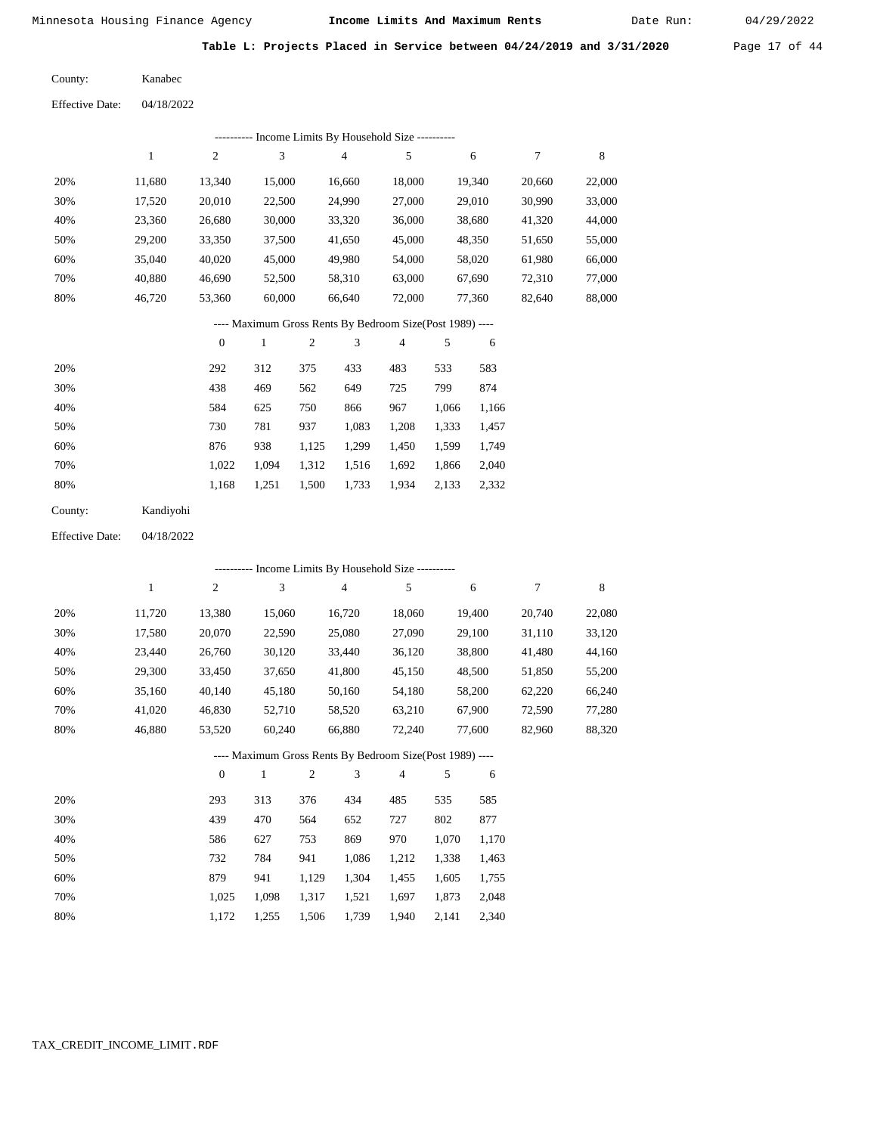40,880 46,720  46,690 53,360

Minnesota Housing Finance Agency **Income Limits And Maximum Rents** 04/29/2022

Date Run:

**Table L: Projects Placed in Service between 04/24/2019 and 3/31/2020** Page 17 of 44

| County: | Kanabec |
|---------|---------|
|         |         |

 70% 80%

| <b>Effective Date:</b> | 04/18/2022 |                |        |                                            |        |        |
|------------------------|------------|----------------|--------|--------------------------------------------|--------|--------|
|                        |            |                |        | Income Limits By Household Size ---------- |        |        |
|                        | 1          | $\overline{c}$ | 3      | 4                                          | 5      | 6      |
| 20%                    | 11,680     | 13.340         | 15,000 | 16,660                                     | 18,000 | 19,340 |
| 30%                    | 17,520     | 20,010         | 22,500 | 24,990                                     | 27,000 | 29,010 |
| 40%                    | 23,360     | 26,680         | 30,000 | 33,320                                     | 36,000 | 38,680 |
| 50%                    | 29,200     | 33.350         | 37,500 | 41,650                                     | 45,000 | 48,350 |
| 60%                    | 35,040     | 40,020         | 45,000 | 49,980                                     | 54,000 | 58,020 |

 52,500 60,000

#### ---- Maximum Gross Rents By Bedroom Size(Post 1989) ----

 58,310 66,640  63,000 72,000  67,690 77,360  20,660 30,990 41,320 51,650 61,980 72,310 82,640

7

 22,000 33,000 44,000 55,000 66,000 77,000 88,000

8

|     | $\mathbf{0}$ |       | 2     | 3     | 4     | 5     | 6     |
|-----|--------------|-------|-------|-------|-------|-------|-------|
| 20% | 292          | 312   | 375   | 433   | 483   | 533   | 583   |
| 30% | 438          | 469   | 562   | 649   | 725   | 799   | 874   |
| 40% | 584          | 625   | 750   | 866   | 967   | 1,066 | 1,166 |
| 50% | 730          | 781   | 937   | 1,083 | 1,208 | 1,333 | 1,457 |
| 60% | 876          | 938   | 1,125 | 1,299 | 1,450 | 1,599 | 1,749 |
| 70% | 1,022        | 1.094 | 1,312 | 1,516 | 1,692 | 1,866 | 2,040 |
| 80% | 1,168        | 1,251 | 1,500 | 1,733 | 1,934 | 2,133 | 2,332 |

| County: | Kandiyohi |
|---------|-----------|
|         |           |

04/18/2022 Effective Date:

|     | ---------- Income Limits By Household Size ---------- |              |        |                |                                                          |                |       |        |        |        |  |
|-----|-------------------------------------------------------|--------------|--------|----------------|----------------------------------------------------------|----------------|-------|--------|--------|--------|--|
|     | 1                                                     | $\mathbf{2}$ | 3      |                | $\overline{4}$                                           | 5              |       | 6      | 7      | 8      |  |
| 20% | 11,720                                                | 13,380       | 15,060 |                | 16,720                                                   | 18,060         |       | 19,400 | 20,740 | 22,080 |  |
| 30% | 17,580                                                | 20,070       | 22,590 |                | 25,080                                                   | 27,090         |       | 29,100 | 31,110 | 33,120 |  |
| 40% | 23,440                                                | 26,760       | 30,120 |                | 33,440                                                   | 36,120         |       | 38,800 | 41,480 | 44,160 |  |
| 50% | 29,300                                                | 33,450       | 37,650 |                | 41,800                                                   | 45,150         |       | 48,500 | 51,850 | 55,200 |  |
| 60% | 35,160                                                | 40,140       | 45,180 |                | 50,160                                                   | 54,180         |       | 58,200 | 62,220 | 66,240 |  |
| 70% | 41,020                                                | 46,830       | 52,710 |                | 58,520                                                   | 63,210         |       | 67,900 | 72,590 | 77,280 |  |
| 80% | 46,880                                                | 53,520       | 60,240 |                | 66,880                                                   | 72,240         |       | 77,600 | 82,960 | 88,320 |  |
|     |                                                       |              |        |                | ---- Maximum Gross Rents By Bedroom Size(Post 1989) ---- |                |       |        |        |        |  |
|     |                                                       | $\theta$     | 1      | $\mathfrak{2}$ | 3                                                        | $\overline{4}$ | 5     | 6      |        |        |  |
| 20% |                                                       | 293          | 313    | 376            | 434                                                      | 485            | 535   | 585    |        |        |  |
| 30% |                                                       | 439          | 470    | 564            | 652                                                      | 727            | 802   | 877    |        |        |  |
| 40% |                                                       | 586          | 627    | 753            | 869                                                      | 970            | 1,070 | 1,170  |        |        |  |
| 50% |                                                       | 732          | 784    | 941            | 1,086                                                    | 1,212          | 1,338 | 1,463  |        |        |  |
| 60% |                                                       | 879          | 941    | 1,129          | 1,304                                                    | 1,455          | 1,605 | 1,755  |        |        |  |

 1,025 1,172

 1,098 1,255  1,317 1,506  1,521 1,739  1,697 1,940  1,873 2,141  2,048 2,340

 70% 80%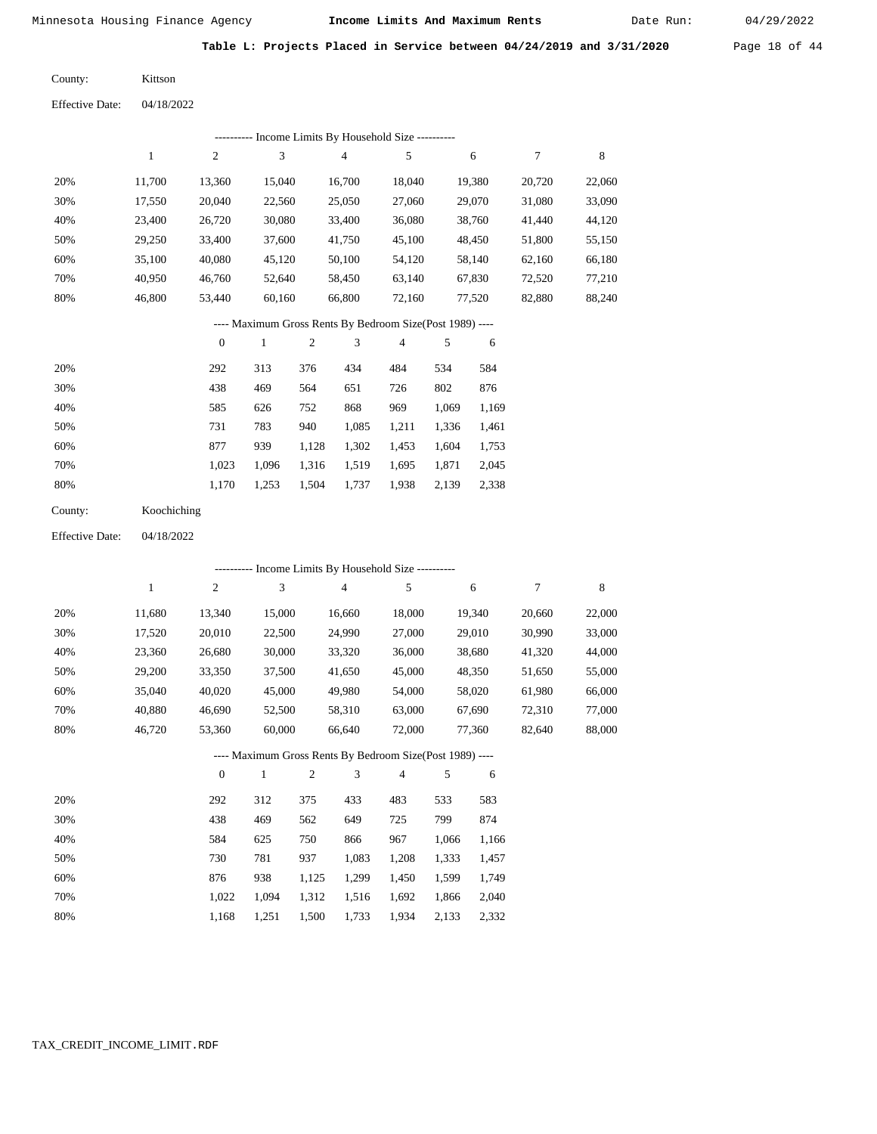Date Run:

**Table L: Projects Placed in Service between 04/24/2019 and 3/31/2020** Page 18 of 44

04/18/2022 Kittson County: Effective Date:

|     |        |        |        | ---------- Income Limits By Household Size ---------- |        |        |        |        |
|-----|--------|--------|--------|-------------------------------------------------------|--------|--------|--------|--------|
|     |        | 2      | 3      | $\overline{4}$                                        | 5      | 6      |        | 8      |
| 20% | 11.700 | 13,360 | 15,040 | 16.700                                                | 18,040 | 19,380 | 20,720 | 22,060 |
| 30% | 17,550 | 20,040 | 22,560 | 25,050                                                | 27,060 | 29,070 | 31,080 | 33,090 |
| 40% | 23,400 | 26,720 | 30,080 | 33,400                                                | 36,080 | 38,760 | 41,440 | 44,120 |
| 50% | 29.250 | 33,400 | 37,600 | 41,750                                                | 45,100 | 48,450 | 51,800 | 55,150 |
| 60% | 35,100 | 40,080 | 45,120 | 50,100                                                | 54,120 | 58,140 | 62,160 | 66,180 |
| 70% | 40.950 | 46,760 | 52,640 | 58,450                                                | 63,140 | 67,830 | 72,520 | 77,210 |
| 80% | 46.800 | 53.440 | 60,160 | 66,800                                                | 72,160 | 77,520 | 82,880 | 88,240 |

## ---- Maximum Gross Rents By Bedroom Size(Post 1989) ----

|     | $\mathbf{0}$ |       | $\overline{c}$ | 3     | 4     | 5     | 6     |
|-----|--------------|-------|----------------|-------|-------|-------|-------|
| 20% | 292          | 313   | 376            | 434   | 484   | 534   | 584   |
| 30% | 438          | 469   | 564            | 651   | 726   | 802   | 876   |
| 40% | 585          | 626   | 752            | 868   | 969   | 1,069 | 1,169 |
| 50% | 731          | 783   | 940            | 1,085 | 1.211 | 1,336 | 1,461 |
| 60% | 877          | 939   | 1,128          | 1,302 | 1,453 | 1,604 | 1,753 |
| 70% | 1,023        | 1.096 | 1,316          | 1,519 | 1,695 | 1,871 | 2,045 |
| 80% | 1,170        | 1,253 | 1,504          | 1,737 | 1,938 | 2,139 | 2,338 |

| County: | Koochiching |
|---------|-------------|
|---------|-------------|

04/18/2022 Effective Date:

|     | ---------- Income Limits By Household Size ---------- |                |              |                |        |                                                          |       |        |        |        |  |
|-----|-------------------------------------------------------|----------------|--------------|----------------|--------|----------------------------------------------------------|-------|--------|--------|--------|--|
|     | 1                                                     | $\overline{c}$ | 3            |                | 4      | 5                                                        |       | 6      | 7      | 8      |  |
| 20% | 11,680                                                | 13,340         | 15,000       |                | 16,660 | 18,000                                                   |       | 19,340 | 20,660 | 22,000 |  |
| 30% | 17,520                                                | 20,010         | 22,500       |                | 24,990 | 27,000                                                   |       | 29,010 | 30,990 | 33,000 |  |
| 40% | 23,360                                                | 26,680         | 30,000       |                | 33,320 | 36,000                                                   |       | 38,680 | 41,320 | 44,000 |  |
| 50% | 29,200                                                | 33,350         | 37,500       |                | 41,650 | 45,000                                                   |       | 48,350 | 51,650 | 55,000 |  |
| 60% | 35,040                                                | 40,020         | 45,000       |                | 49,980 | 54,000                                                   |       | 58,020 | 61,980 | 66,000 |  |
| 70% | 40,880                                                | 46,690         | 52,500       |                | 58,310 | 63,000                                                   |       | 67,690 | 72,310 | 77,000 |  |
| 80% | 46,720                                                | 53,360         | 60,000       |                | 66,640 | 72,000                                                   |       | 77,360 | 82,640 | 88,000 |  |
|     |                                                       |                |              |                |        | ---- Maximum Gross Rents By Bedroom Size(Post 1989) ---- |       |        |        |        |  |
|     |                                                       | $\mathbf{0}$   | $\mathbf{1}$ | $\overline{2}$ | 3      | 4                                                        | 5     | 6      |        |        |  |
| 20% |                                                       | 292            | 312          | 375            | 433    | 483                                                      | 533   | 583    |        |        |  |
| 30% |                                                       | 438            | 469          | 562            | 649    | 725                                                      | 799   | 874    |        |        |  |
| 40% |                                                       | 584            | 625          | 750            | 866    | 967                                                      | 1,066 | 1,166  |        |        |  |
| 50% |                                                       | 730            | 781          | 937            | 1,083  | 1,208                                                    | 1,333 | 1,457  |        |        |  |
| 60% |                                                       | 876            | 938          | 1,125          | 1,299  | 1,450                                                    | 1,599 | 1,749  |        |        |  |
| 70% |                                                       | 1,022          | 1,094        | 1,312          | 1,516  | 1,692                                                    | 1,866 | 2,040  |        |        |  |

1,168

1,251

1,500

1,733

1,934

2,133

2,332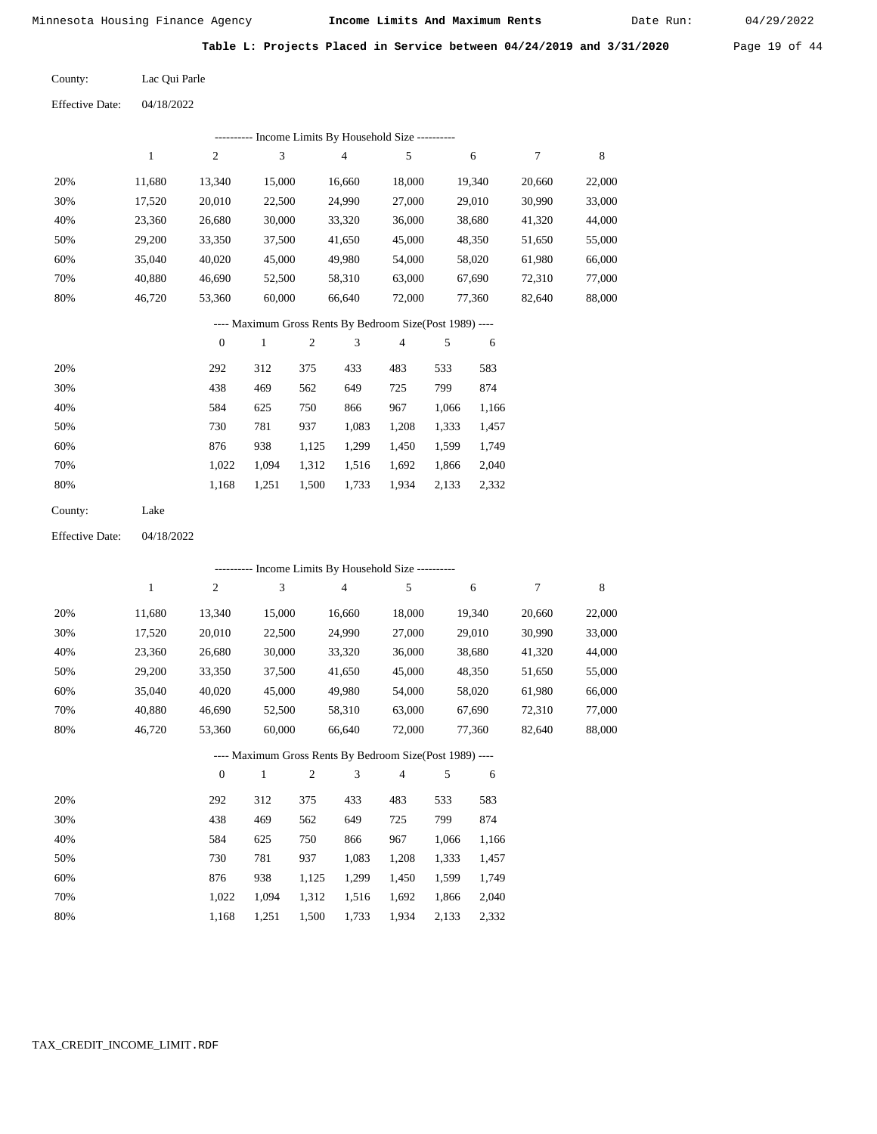Date Run:

**Table L: Projects Placed in Service between 04/24/2019 and 3/31/2020** Page 19 of 44

Lac Qui Parle County:

04/18/2022 Effective Date:

|                        |              |                  |              |                | --------- Income Limits By Household Size ----------     |                |       |        |                  |         |
|------------------------|--------------|------------------|--------------|----------------|----------------------------------------------------------|----------------|-------|--------|------------------|---------|
|                        | $\mathbf{1}$ | $\overline{c}$   | 3            |                | $\overline{4}$                                           | 5              |       | 6      | $\tau$           | 8       |
| 20%                    | 11,680       | 13,340           | 15,000       |                | 16,660                                                   | 18,000         |       | 19,340 | 20,660           | 22,000  |
| 30%                    | 17,520       | 20,010           | 22,500       |                | 24,990                                                   | 27,000         |       | 29,010 | 30,990           | 33,000  |
| 40%                    | 23,360       | 26,680           | 30,000       |                | 33,320                                                   | 36,000         |       | 38,680 | 41,320           | 44,000  |
| 50%                    | 29,200       | 33,350           | 37,500       |                | 41,650                                                   | 45,000         |       | 48,350 | 51,650           | 55,000  |
| 60%                    | 35,040       | 40,020           | 45,000       |                | 49,980                                                   | 54,000         |       | 58,020 | 61,980           | 66,000  |
| 70%                    | 40,880       | 46,690           | 52,500       |                | 58,310                                                   | 63,000         |       | 67,690 | 72,310           | 77,000  |
| 80%                    | 46,720       | 53,360           | 60,000       |                | 66,640                                                   | 72,000         |       | 77,360 | 82,640           | 88,000  |
|                        |              |                  |              |                | ---- Maximum Gross Rents By Bedroom Size(Post 1989) ---- |                |       |        |                  |         |
|                        |              | $\mathbf{0}$     | $\mathbf{1}$ | $\overline{c}$ | 3                                                        | $\overline{4}$ | 5     | 6      |                  |         |
| 20%                    |              | 292              | 312          | 375            | 433                                                      | 483            | 533   | 583    |                  |         |
| 30%                    |              | 438              | 469          | 562            | 649                                                      | 725            | 799   | 874    |                  |         |
| 40%                    |              | 584              | 625          | 750            | 866                                                      | 967            | 1,066 | 1,166  |                  |         |
| 50%                    |              | 730              | 781          | 937            | 1,083                                                    | 1,208          | 1,333 | 1,457  |                  |         |
| 60%                    |              | 876              | 938          | 1,125          | 1,299                                                    | 1,450          | 1,599 | 1,749  |                  |         |
| 70%                    |              | 1,022            | 1,094        | 1,312          | 1,516                                                    | 1,692          | 1,866 | 2,040  |                  |         |
| 80%                    |              | 1,168            | 1,251        | 1,500          | 1,733                                                    | 1,934          | 2,133 | 2,332  |                  |         |
| County:                | Lake         |                  |              |                |                                                          |                |       |        |                  |         |
| <b>Effective Date:</b> | 04/18/2022   |                  |              |                |                                                          |                |       |        |                  |         |
|                        |              |                  |              |                | --------- Income Limits By Household Size ---------      |                |       |        |                  |         |
|                        | $\mathbf{1}$ | $\mathfrak{2}$   | 3            |                | $\overline{4}$                                           | 5              |       | 6      | $\boldsymbol{7}$ | $\,8\,$ |
| 20%                    | 11,680       | 13,340           | 15,000       |                | 16,660                                                   | 18,000         |       | 19,340 | 20,660           | 22,000  |
| 30%                    | 17,520       | 20,010           | 22,500       |                | 24,990                                                   | 27,000         |       | 29,010 | 30,990           | 33,000  |
| 40%                    | 23,360       | 26,680           | 30,000       |                | 33,320                                                   | 36,000         |       | 38,680 | 41,320           | 44,000  |
| 50%                    | 29,200       | 33,350           | 37,500       |                | 41,650                                                   | 45,000         |       | 48,350 | 51,650           | 55,000  |
| 60%                    | 35,040       | 40,020           | 45,000       |                | 49,980                                                   | 54,000         |       | 58,020 | 61,980           | 66,000  |
| 70%                    | 40,880       | 46,690           | 52,500       |                | 58,310                                                   | 63,000         |       | 67,690 | 72,310           | 77,000  |
| 80%                    | 46,720       | 53,360           | 60,000       |                | 66,640                                                   | 72,000         |       | 77,360 | 82,640           | 88,000  |
|                        |              |                  |              |                | ---- Maximum Gross Rents By Bedroom Size(Post 1989) ---- |                |       |        |                  |         |
|                        |              | $\boldsymbol{0}$ | $\mathbf{1}$ | $\sqrt{2}$     | 3                                                        | 4              | 5     | 6      |                  |         |
| 20%                    |              | 292              | 312          | 375            | 433                                                      | 483            | 533   | 583    |                  |         |
| 30%                    |              | 438              | 469          | 562            | 649                                                      | 725            | 799   | 874    |                  |         |

 584 730 876 1,022 1,168  625 781 938 1,094 1,251

 750 937 1,125 1,312 1,500

 866 1,083 1,299 1,516 1,733

 967 1,208 1,450 1,692 1,934

 1,066 1,166 1,333 1,599 1,866 2,133

 1,457 1,749 2,040 2,332

 40% 50% 60% 70% 80%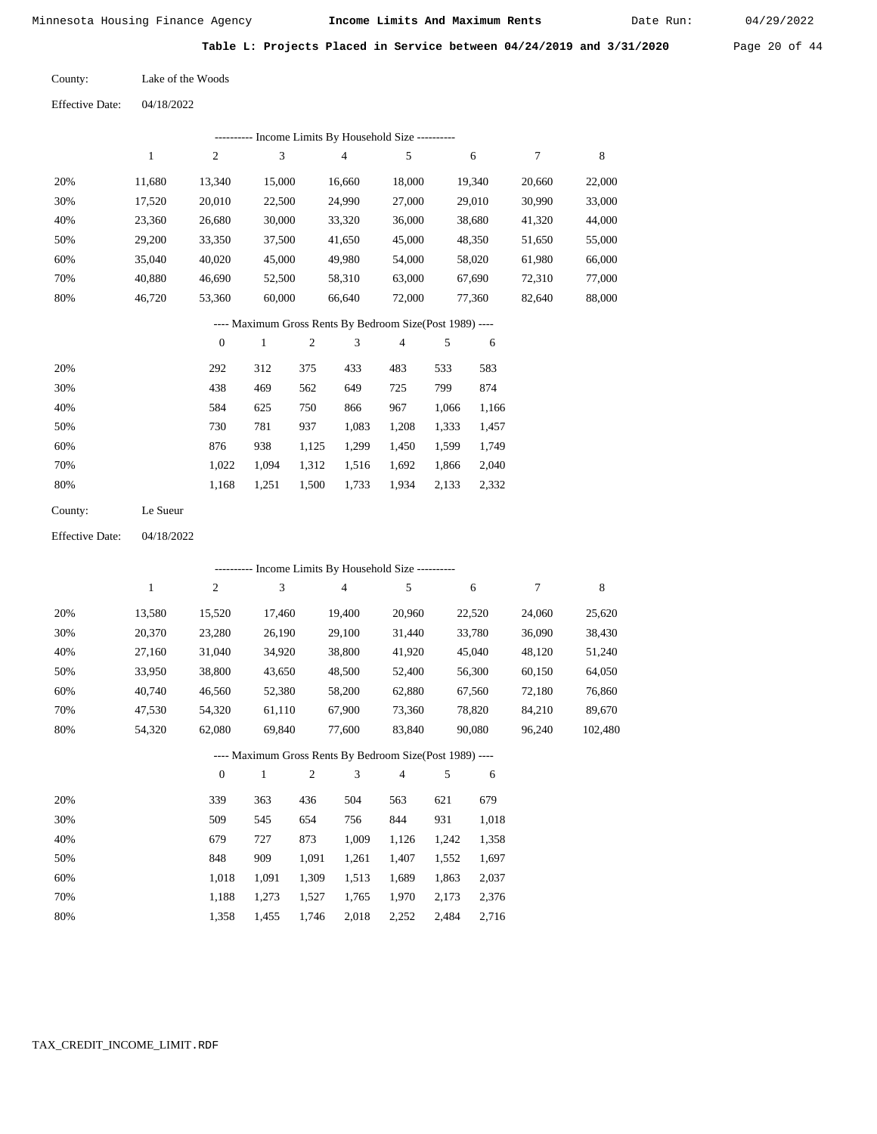Date Run:

**Table L: Projects Placed in Service between 04/24/2019 and 3/31/2020** Page 20 of 44

Lake of the Woods County:

Effective Date: 04/18/2022

| ---------- Income Limits By Household Size ----------    |        |        |        |        |        |        |        |        |  |
|----------------------------------------------------------|--------|--------|--------|--------|--------|--------|--------|--------|--|
|                                                          |        | 2      | 3      | 4      | 5      | 6      | 7      | 8      |  |
| 20%                                                      | 11.680 | 13,340 | 15,000 | 16,660 | 18,000 | 19,340 | 20,660 | 22,000 |  |
| 30%                                                      | 17,520 | 20,010 | 22,500 | 24,990 | 27,000 | 29,010 | 30,990 | 33,000 |  |
| 40%                                                      | 23,360 | 26,680 | 30,000 | 33,320 | 36,000 | 38,680 | 41,320 | 44,000 |  |
| 50%                                                      | 29,200 | 33,350 | 37,500 | 41,650 | 45,000 | 48,350 | 51,650 | 55,000 |  |
| 60%                                                      | 35,040 | 40,020 | 45,000 | 49,980 | 54,000 | 58,020 | 61,980 | 66,000 |  |
| 70%                                                      | 40.880 | 46.690 | 52,500 | 58,310 | 63,000 | 67.690 | 72,310 | 77,000 |  |
| 80%                                                      | 46.720 | 53,360 | 60,000 | 66.640 | 72,000 | 77.360 | 82.640 | 88,000 |  |
| ---- Maximum Gross Rents By Bedroom Size(Post 1989) ---- |        |        |        |        |        |        |        |        |  |

|     | $\mathbf{0}$ |       | $\overline{c}$ | 3     | 4     |       | 6     |
|-----|--------------|-------|----------------|-------|-------|-------|-------|
| 20% | 292          | 312   | 375            | 433   | 483   | 533   | 583   |
| 30% | 438          | 469   | 562            | 649   | 725   | 799   | 874   |
| 40% | 584          | 625   | 750            | 866   | 967   | 1,066 | 1,166 |
| 50% | 730          | 781   | 937            | 1,083 | 1,208 | 1,333 | 1,457 |
| 60% | 876          | 938   | 1,125          | 1,299 | 1,450 | 1,599 | 1,749 |
| 70% | 1.022        | 1.094 | 1,312          | 1,516 | 1,692 | 1,866 | 2,040 |
| 80% | 1,168        | 1,251 | 1,500          | 1,733 | 1,934 | 2,133 | 2,332 |
|     |              |       |                |       |       |       |       |

| County: | Le Sueur |
|---------|----------|
|---------|----------|

Effective Date: 04/18/2022

|     |        |              | ---------- Income Limits By Household Size ----------    |     |        |                |     |        |        |         |
|-----|--------|--------------|----------------------------------------------------------|-----|--------|----------------|-----|--------|--------|---------|
|     | 1      | 2            | 3                                                        |     | 4      | 5              |     | 6      | 7      | 8       |
| 20% | 13,580 | 15,520       | 17,460                                                   |     | 19,400 | 20,960         |     | 22,520 | 24,060 | 25,620  |
| 30% | 20,370 | 23,280       | 26,190                                                   |     | 29,100 | 31,440         |     | 33,780 | 36,090 | 38,430  |
| 40% | 27,160 | 31,040       | 34,920                                                   |     | 38,800 | 41,920         |     | 45,040 | 48,120 | 51,240  |
| 50% | 33,950 | 38,800       | 43,650                                                   |     | 48,500 | 52,400         |     | 56,300 | 60,150 | 64,050  |
| 60% | 40,740 | 46,560       | 52,380                                                   |     | 58,200 | 62,880         |     | 67,560 | 72,180 | 76,860  |
| 70% | 47,530 | 54,320       | 61,110                                                   |     | 67,900 | 73,360         |     | 78,820 | 84,210 | 89,670  |
| 80% | 54,320 | 62,080       | 69,840                                                   |     | 77,600 | 83,840         |     | 90,080 | 96,240 | 102,480 |
|     |        |              | ---- Maximum Gross Rents By Bedroom Size(Post 1989) ---- |     |        |                |     |        |        |         |
|     |        | $\mathbf{0}$ | 1                                                        | 2   | 3      | $\overline{4}$ | 5   | 6      |        |         |
| 20% |        | 330          | 363                                                      | 136 | 504    | 563            | 621 | 670    |        |         |

| 20% | 339   | 363   | 436   | 504   | 563   | 621   | 679   |
|-----|-------|-------|-------|-------|-------|-------|-------|
| 30% | 509   | 545   | 654   | 756   | 844   | 931   | 1,018 |
| 40% | 679   | 727   | 873   | 1.009 | 1.126 | 1.242 | 1,358 |
| 50% | 848   | 909   | 1.091 | 1.261 | 1.407 | 1.552 | 1,697 |
| 60% | 1.018 | 1.091 | 1,309 | 1,513 | 1,689 | 1,863 | 2,037 |
| 70% | 1.188 | 1.273 | 1.527 | 1.765 | 1.970 | 2.173 | 2,376 |
| 80% | 1.358 | 1.455 | 1,746 | 2,018 | 2,252 | 2.484 | 2,716 |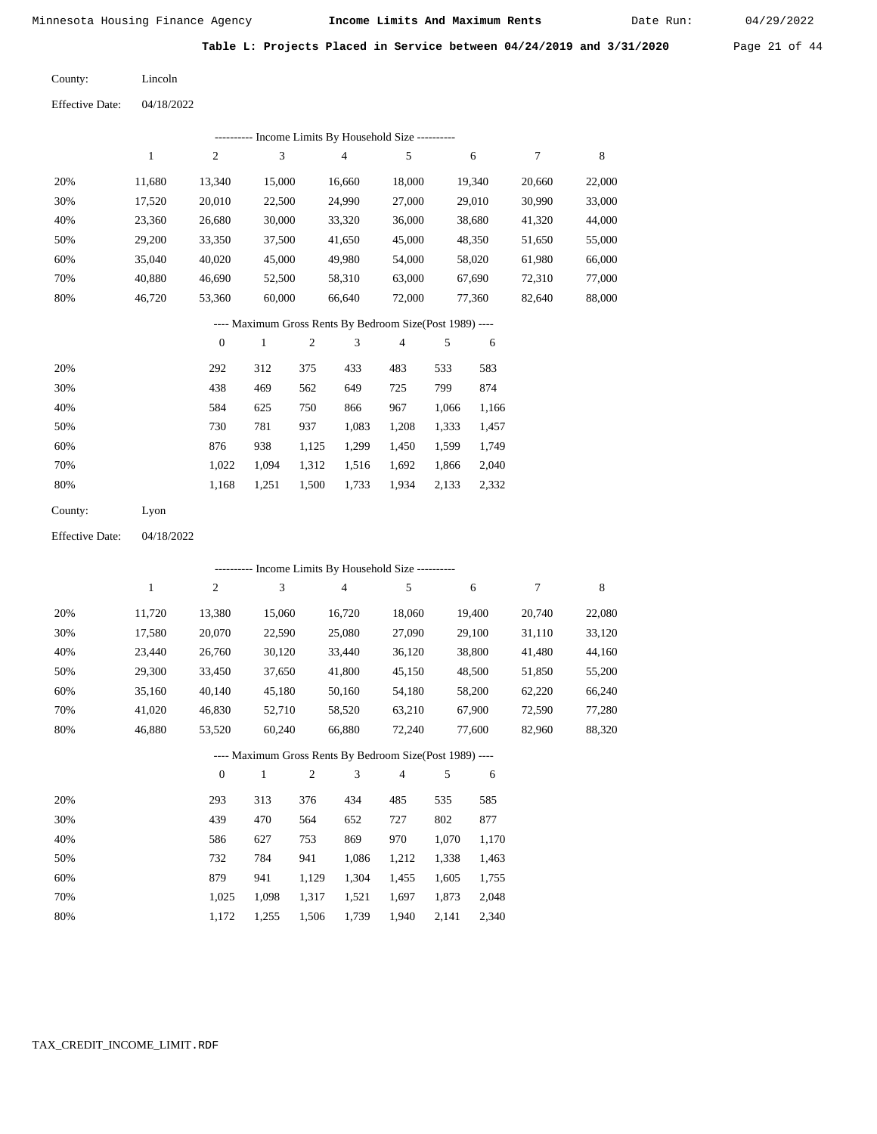Date Run:

**Table L: Projects Placed in Service between 04/24/2019 and 3/31/2020** Page 21 of 44

Lincoln County:  $Eff$ ective

| <b>Effective Date:</b> | 04/18/2022 |
|------------------------|------------|
|                        |            |

|     | ---------- Income Limits By Household Size ---------- |        |        |        |        |        |        |        |  |  |
|-----|-------------------------------------------------------|--------|--------|--------|--------|--------|--------|--------|--|--|
|     |                                                       | 2      | 3      | 4      | 5      | 6      |        | 8      |  |  |
| 20% | 11,680                                                | 13.340 | 15,000 | 16,660 | 18,000 | 19,340 | 20,660 | 22,000 |  |  |
| 30% | 17,520                                                | 20,010 | 22,500 | 24,990 | 27,000 | 29,010 | 30,990 | 33,000 |  |  |
| 40% | 23,360                                                | 26,680 | 30,000 | 33,320 | 36,000 | 38,680 | 41,320 | 44,000 |  |  |
| 50% | 29,200                                                | 33,350 | 37,500 | 41,650 | 45,000 | 48,350 | 51,650 | 55,000 |  |  |
| 60% | 35,040                                                | 40,020 | 45,000 | 49,980 | 54,000 | 58,020 | 61,980 | 66,000 |  |  |
| 70% | 40,880                                                | 46,690 | 52,500 | 58,310 | 63,000 | 67,690 | 72,310 | 77,000 |  |  |
| 80% | 46,720                                                | 53,360 | 60,000 | 66,640 | 72,000 | 77,360 | 82,640 | 88,000 |  |  |
|     |                                                       |        |        |        |        |        |        |        |  |  |

## ---- Maximum Gross Rents By Bedroom Size(Post 1989) ----

|     | $\mathbf{0}$ |       | 2     | 3     | 4     | 5     | 6     |
|-----|--------------|-------|-------|-------|-------|-------|-------|
| 20% | 292          | 312   | 375   | 433   | 483   | 533   | 583   |
| 30% | 438          | 469   | 562   | 649   | 725   | 799   | 874   |
| 40% | 584          | 625   | 750   | 866   | 967   | 1,066 | 1,166 |
| 50% | 730          | 781   | 937   | 1,083 | 1,208 | 1,333 | 1,457 |
| 60% | 876          | 938   | 1,125 | 1,299 | 1,450 | 1,599 | 1,749 |
| 70% | 1.022        | 1,094 | 1,312 | 1,516 | 1,692 | 1,866 | 2,040 |
| 80% | 1,168        | 1,251 | 1,500 | 1,733 | 1,934 | 2,133 | 2,332 |
|     |              |       |       |       |       |       |       |

| County:<br>Lyon |
|-----------------|
|-----------------|

04/18/2022 Effective Date:

|     | ---------- Income Limits By Household Size ---------- |                |              |                |                                                          |                |       |        |        |        |
|-----|-------------------------------------------------------|----------------|--------------|----------------|----------------------------------------------------------|----------------|-------|--------|--------|--------|
|     | $\mathbf{1}$                                          | $\overline{c}$ | 3            |                | $\overline{4}$                                           | 5              |       | 6      | 7      | 8      |
| 20% | 11,720                                                | 13,380         | 15,060       |                | 16,720                                                   | 18,060         |       | 19,400 | 20,740 | 22,080 |
| 30% | 17,580                                                | 20,070         | 22,590       |                | 25,080                                                   | 27,090         |       | 29,100 | 31,110 | 33,120 |
| 40% | 23,440                                                | 26,760         | 30,120       |                | 33,440                                                   | 36,120         |       | 38,800 | 41,480 | 44,160 |
| 50% | 29,300                                                | 33,450         | 37,650       |                | 41,800                                                   | 45,150         |       | 48,500 | 51,850 | 55,200 |
| 60% | 35,160                                                | 40,140         | 45,180       |                | 50,160                                                   | 54,180         |       | 58,200 | 62,220 | 66,240 |
| 70% | 41,020                                                | 46,830         | 52,710       |                | 58,520                                                   | 63,210         |       | 67,900 | 72,590 | 77,280 |
| 80% | 46,880                                                | 53,520         | 60,240       |                | 66,880                                                   | 72,240         |       | 77,600 | 82,960 | 88,320 |
|     |                                                       |                |              |                | ---- Maximum Gross Rents By Bedroom Size(Post 1989) ---- |                |       |        |        |        |
|     |                                                       | $\overline{0}$ | $\mathbf{1}$ | $\mathfrak{2}$ | 3                                                        | $\overline{4}$ | 5     | 6      |        |        |
| 20% |                                                       | 293            | 313          | 376            | 434                                                      | 485            | 535   | 585    |        |        |
| 30% |                                                       | 439            | 470          | 564            | 652                                                      | 727            | 802   | 877    |        |        |
| 40% |                                                       | 586            | 627          | 753            | 869                                                      | 970            | 1,070 | 1,170  |        |        |
| 50% |                                                       | 732            | 784          | 941            | 1,086                                                    | 1,212          | 1,338 | 1,463  |        |        |
| 60% |                                                       | 879            | 941          | 1,129          | 1,304                                                    | 1,455          | 1,605 | 1,755  |        |        |

 1,025 1,172

 1,098 1,255  1,317 1,506

 1,521 1,739

 1,697 1,940  1,873 2,141

 2,048 2,340

 70% 80%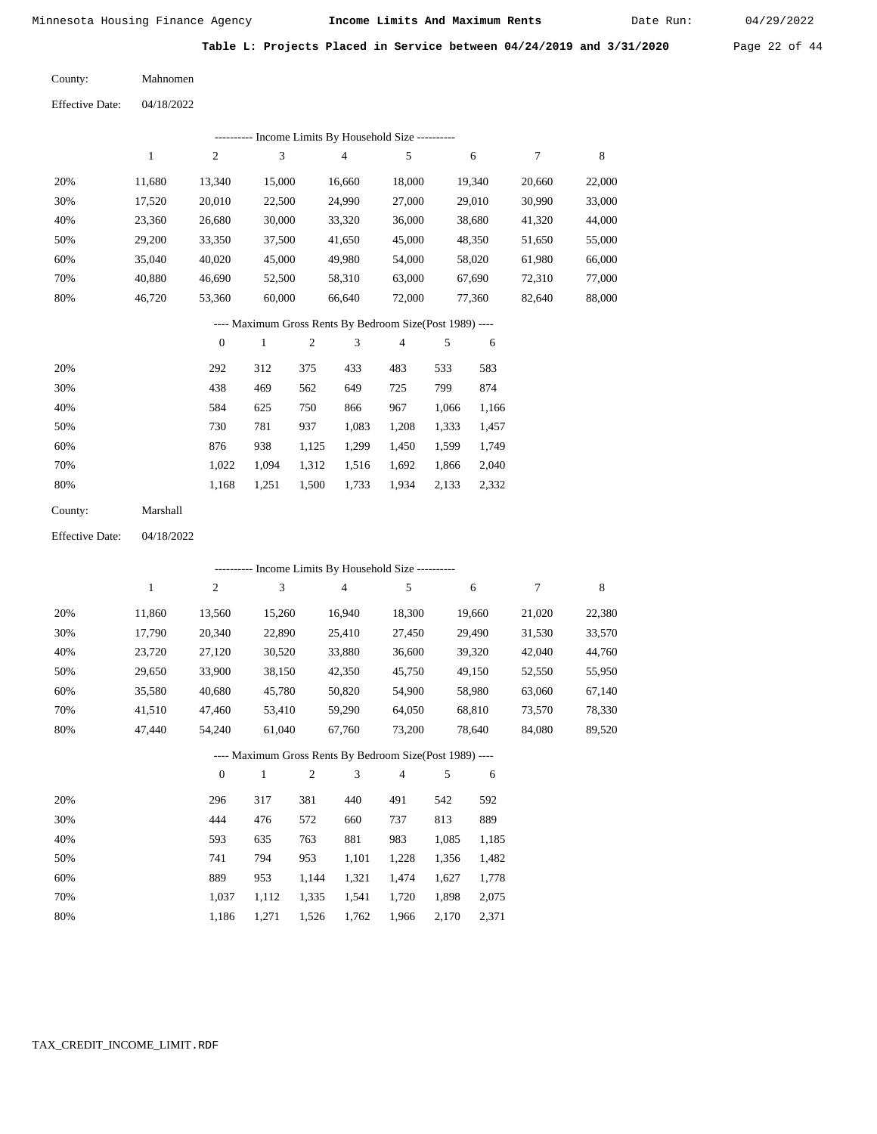Date Run:

**Table L: Projects Placed in Service between 04/24/2019 and 3/31/2020** Page 22 of 44

| County: | Mahnomen |
|---------|----------|
|         |          |

|     | ---------- Income Limits By Household Size ---------- |        |        |        |        |        |        |        |  |  |
|-----|-------------------------------------------------------|--------|--------|--------|--------|--------|--------|--------|--|--|
|     |                                                       | 2      | 3      | 4      | 5      | 6      | 7      | 8      |  |  |
| 20% | 11.680                                                | 13,340 | 15,000 | 16,660 | 18,000 | 19.340 | 20,660 | 22,000 |  |  |
| 30% | 17,520                                                | 20,010 | 22,500 | 24,990 | 27,000 | 29,010 | 30,990 | 33,000 |  |  |
| 40% | 23,360                                                | 26,680 | 30,000 | 33,320 | 36,000 | 38,680 | 41,320 | 44,000 |  |  |
| 50% | 29,200                                                | 33,350 | 37,500 | 41,650 | 45,000 | 48,350 | 51,650 | 55,000 |  |  |
| 60% | 35,040                                                | 40,020 | 45,000 | 49,980 | 54,000 | 58,020 | 61,980 | 66,000 |  |  |
| 70% | 40,880                                                | 46,690 | 52,500 | 58,310 | 63,000 | 67,690 | 72,310 | 77,000 |  |  |
| 80% | 46,720                                                | 53,360 | 60,000 | 66,640 | 72,000 | 77,360 | 82,640 | 88,000 |  |  |
|     |                                                       |        |        |        |        |        |        |        |  |  |

# ---- Maximum Gross Rents By Bedroom Size(Post 1989) ----

|     | $\mathbf{0}$ |       | $\overline{c}$ | 3     | 4     | 5     | 6     |
|-----|--------------|-------|----------------|-------|-------|-------|-------|
| 20% | 292          | 312   | 375            | 433   | 483   | 533   | 583   |
| 30% | 438          | 469   | 562            | 649   | 725   | 799   | 874   |
| 40% | 584          | 625   | 750            | 866   | 967   | 1,066 | 1,166 |
| 50% | 730          | 781   | 937            | 1,083 | 1,208 | 1,333 | 1,457 |
| 60% | 876          | 938   | 1,125          | 1,299 | 1,450 | 1,599 | 1,749 |
| 70% | 1.022        | 1.094 | 1,312          | 1,516 | 1,692 | 1,866 | 2,040 |
| 80% | 1,168        | 1,251 | 1,500          | 1,733 | 1,934 | 2,133 | 2,332 |
|     |              |       |                |       |       |       |       |

| Marshall |
|----------|
|          |

04/18/2022 Effective Date:

|     | ---------- Income Limits By Household Size ---------- |                |              |                |                                                          |                |       |        |        |             |
|-----|-------------------------------------------------------|----------------|--------------|----------------|----------------------------------------------------------|----------------|-------|--------|--------|-------------|
|     | 1                                                     | $\overline{c}$ | 3            |                | $\overline{4}$                                           | 5              |       | 6      | 7      | $\,$ 8 $\,$ |
| 20% | 11,860                                                | 13,560         | 15,260       |                | 16,940                                                   | 18,300         |       | 19,660 | 21,020 | 22,380      |
| 30% | 17,790                                                | 20,340         | 22,890       |                | 25,410                                                   | 27,450         |       | 29,490 | 31,530 | 33,570      |
| 40% | 23,720                                                | 27,120         | 30,520       |                | 33,880                                                   | 36,600         |       | 39,320 | 42,040 | 44,760      |
| 50% | 29,650                                                | 33,900         | 38,150       |                | 42,350                                                   | 45,750         |       | 49,150 | 52,550 | 55,950      |
| 60% | 35,580                                                | 40,680         | 45,780       |                | 50,820                                                   | 54,900         |       | 58,980 | 63,060 | 67,140      |
| 70% | 41,510                                                | 47,460         | 53,410       |                | 59,290                                                   | 64,050         |       | 68,810 | 73,570 | 78,330      |
| 80% | 47,440                                                | 54,240         | 61,040       |                | 67,760                                                   | 73,200         |       | 78,640 | 84,080 | 89,520      |
|     |                                                       |                |              |                | ---- Maximum Gross Rents By Bedroom Size(Post 1989) ---- |                |       |        |        |             |
|     |                                                       | $\overline{0}$ | $\mathbf{1}$ | $\overline{2}$ | 3                                                        | $\overline{4}$ | 5     | 6      |        |             |
| 20% |                                                       | 296            | 317          | 381            | 440                                                      | 491            | 542   | 592    |        |             |
| 30% |                                                       | 444            | 476          | 572            | 660                                                      | 737            | 813   | 889    |        |             |
| 40% |                                                       | 593            | 635          | 763            | 881                                                      | 983            | 1,085 | 1,185  |        |             |
| 50% |                                                       | 741            | 794          | 953            | 1,101                                                    | 1,228          | 1,356 | 1,482  |        |             |
| 60% |                                                       | 889            | 953          | 1,144          | 1,321                                                    | 1,474          | 1,627 | 1,778  |        |             |
| 70% |                                                       | 1,037          | 1,112        | 1,335          | 1,541                                                    | 1,720          | 1,898 | 2,075  |        |             |

1,186

1,271

1,526

1,762

1,966 2,170 2,371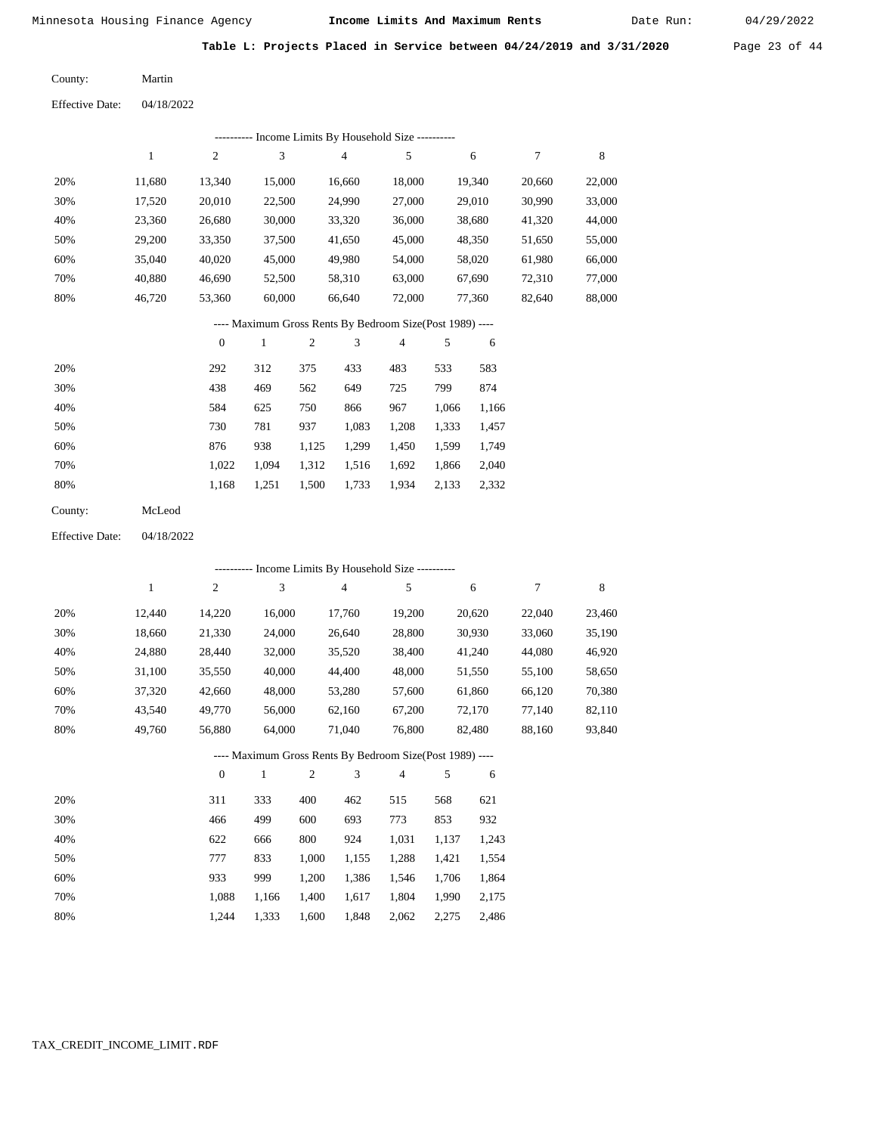Date Run:

**Table L: Projects Placed in Service between 04/24/2019 and 3/31/2020** Page 23 of 44

Martin County:

| Income Limits By Household Size ---------- |        |        |        |        |        |        |        |        |  |
|--------------------------------------------|--------|--------|--------|--------|--------|--------|--------|--------|--|
|                                            |        | 2      | 3      | 4      | 5      | 6      |        | 8      |  |
| 20%                                        | 11.680 | 13.340 | 15,000 | 16.660 | 18,000 | 19.340 | 20,660 | 22,000 |  |
| 30%                                        | 17,520 | 20,010 | 22,500 | 24,990 | 27,000 | 29,010 | 30,990 | 33,000 |  |
| 40%                                        | 23,360 | 26,680 | 30,000 | 33,320 | 36,000 | 38,680 | 41,320 | 44,000 |  |
| 50%                                        | 29,200 | 33,350 | 37,500 | 41,650 | 45,000 | 48,350 | 51,650 | 55,000 |  |
| 60%                                        | 35,040 | 40,020 | 45,000 | 49,980 | 54,000 | 58,020 | 61,980 | 66,000 |  |
| 70%                                        | 40,880 | 46,690 | 52,500 | 58,310 | 63,000 | 67,690 | 72,310 | 77,000 |  |
| 80%                                        | 46.720 | 53,360 | 60,000 | 66,640 | 72,000 | 77,360 | 82,640 | 88,000 |  |

## ---- Maximum Gross Rents By Bedroom Size(Post 1989) ----

|     | $\mathbf{0}$ |       | 2     | 3     | 4     | 5     | 6     |
|-----|--------------|-------|-------|-------|-------|-------|-------|
| 20% | 292          | 312   | 375   | 433   | 483   | 533   | 583   |
| 30% | 438          | 469   | 562   | 649   | 725   | 799   | 874   |
| 40% | 584          | 625   | 750   | 866   | 967   | 1,066 | 1,166 |
| 50% | 730          | 781   | 937   | 1,083 | 1,208 | 1,333 | 1,457 |
| 60% | 876          | 938   | 1,125 | 1,299 | 1,450 | 1,599 | 1,749 |
| 70% | 1,022        | 1,094 | 1,312 | 1,516 | 1,692 | 1,866 | 2,040 |
| 80% | 1,168        | 1,251 | 1,500 | 1,733 | 1,934 | 2,133 | 2,332 |
|     |              |       |       |       |       |       |       |

| County: | McLeod |
|---------|--------|
|         |        |

04/18/2022 Effective Date:

|     |              |                |        |                |                | ---------- Income Limits By Household Size ----------    |       |        |        |        |
|-----|--------------|----------------|--------|----------------|----------------|----------------------------------------------------------|-------|--------|--------|--------|
|     | $\mathbf{1}$ | $\overline{c}$ | 3      |                | $\overline{4}$ | 5                                                        |       | 6      | 7      | 8      |
| 20% | 12,440       | 14,220         | 16,000 |                | 17,760         | 19,200                                                   |       | 20,620 | 22,040 | 23,460 |
| 30% | 18,660       | 21,330         | 24,000 |                | 26,640         | 28,800                                                   |       | 30,930 | 33,060 | 35,190 |
| 40% | 24,880       | 28,440         | 32,000 |                | 35,520         | 38,400                                                   |       | 41,240 | 44,080 | 46,920 |
| 50% | 31,100       | 35,550         | 40,000 |                | 44,400         | 48,000                                                   |       | 51,550 | 55,100 | 58,650 |
| 60% | 37,320       | 42,660         | 48,000 |                | 53,280         | 57,600                                                   |       | 61,860 | 66,120 | 70,380 |
| 70% | 43,540       | 49,770         | 56,000 |                | 62,160         | 67,200                                                   |       | 72,170 | 77,140 | 82,110 |
| 80% | 49,760       | 56,880         | 64,000 |                | 71,040         | 76,800                                                   |       | 82,480 | 88,160 | 93,840 |
|     |              |                |        |                |                | ---- Maximum Gross Rents By Bedroom Size(Post 1989) ---- |       |        |        |        |
|     |              | $\mathbf{0}$   | 1      | $\overline{2}$ | 3              | $\overline{4}$                                           | 5     | 6      |        |        |
| 20% |              | 311            | 333    | 400            | 462            | 515                                                      | 568   | 621    |        |        |
| 30% |              | 466            | 499    | 600            | 693            | 773                                                      | 853   | 932    |        |        |
| 40% |              | 622            | 666    | 800            | 924            | 1,031                                                    | 1,137 | 1,243  |        |        |
| 50% |              | 777            | 833    | 1,000          | 1,155          | 1,288                                                    | 1,421 | 1,554  |        |        |
| 60% |              | 933            | 999    | 1,200          | 1,386          | 1,546                                                    | 1,706 | 1,864  |        |        |

## TAX\_CREDIT\_INCOME\_LIMIT.RDF

 1,088 1,244  1,166 1,333  1,400 1,600

 1,617 1,848  1,804 2,062  1,990 2,275

 2,175 2,486

 70% 80%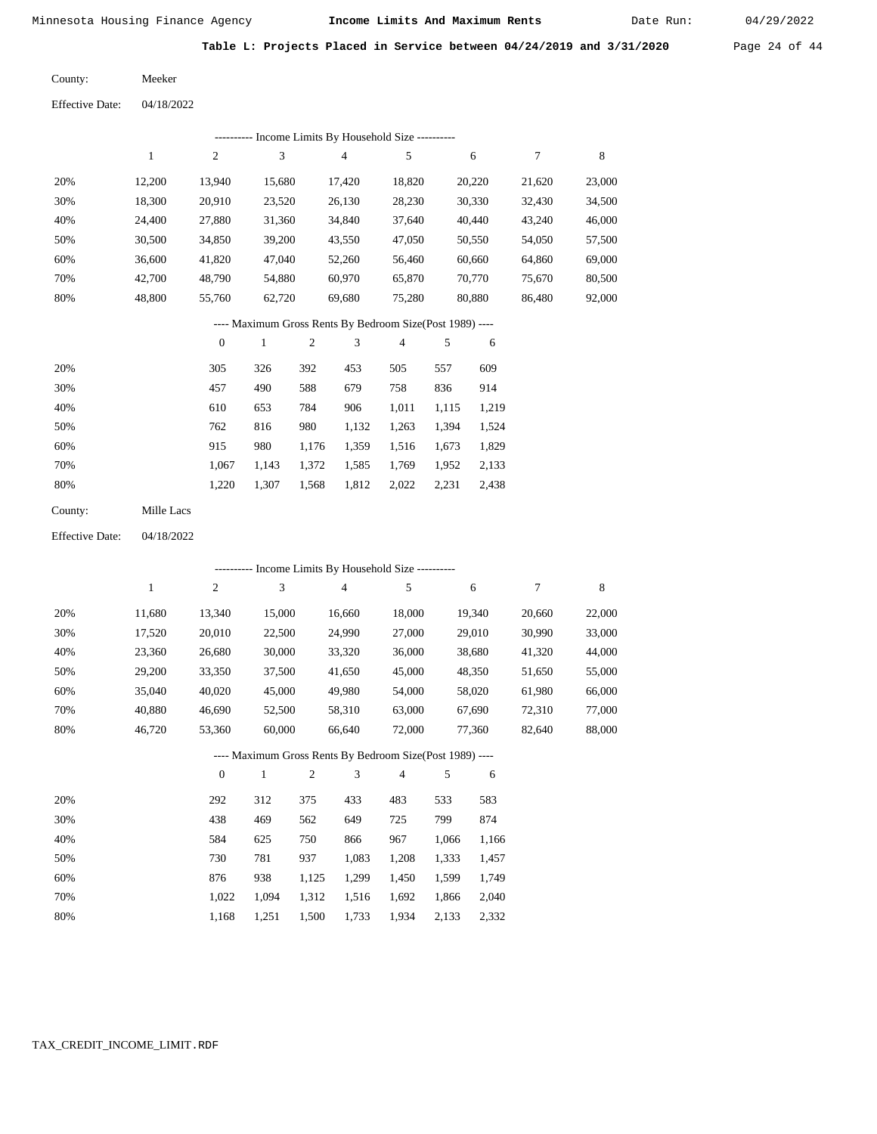Date Run:

**Table L: Projects Placed in Service between 04/24/2019 and 3/31/2020** Page 24 of 44

| County: | Meeker |
|---------|--------|
|         |        |

| <b>Effective Date:</b> | 04/18/2022 |
|------------------------|------------|
|------------------------|------------|

|     | Income Limits By Household Size ---------- |        |        |        |        |        |        |        |  |  |  |
|-----|--------------------------------------------|--------|--------|--------|--------|--------|--------|--------|--|--|--|
|     |                                            | 2      | 3      | 4      | 5      | 6      |        | 8      |  |  |  |
| 20% | 12.200                                     | 13.940 | 15,680 | 17.420 | 18,820 | 20,220 | 21,620 | 23,000 |  |  |  |
| 30% | 18,300                                     | 20,910 | 23,520 | 26,130 | 28,230 | 30,330 | 32,430 | 34,500 |  |  |  |
| 40% | 24.400                                     | 27,880 | 31,360 | 34,840 | 37,640 | 40,440 | 43,240 | 46,000 |  |  |  |
| 50% | 30,500                                     | 34,850 | 39,200 | 43,550 | 47,050 | 50,550 | 54,050 | 57,500 |  |  |  |
| 60% | 36,600                                     | 41.820 | 47,040 | 52,260 | 56,460 | 60,660 | 64,860 | 69,000 |  |  |  |
| 70% | 42,700                                     | 48.790 | 54,880 | 60,970 | 65,870 | 70,770 | 75,670 | 80,500 |  |  |  |
| 80% | 48.800                                     | 55,760 | 62,720 | 69,680 | 75,280 | 80,880 | 86,480 | 92,000 |  |  |  |

## ---- Maximum Gross Rents By Bedroom Size(Post 1989) ----

|     | $\mathbf{0}$ |       | 2     | 3     | 4     | 5     | 6     |
|-----|--------------|-------|-------|-------|-------|-------|-------|
| 20% | 305          | 326   | 392   | 453   | 505   | 557   | 609   |
| 30% | 457          | 490   | 588   | 679   | 758   | 836   | 914   |
| 40% | 610          | 653   | 784   | 906   | 1,011 | 1,115 | 1,219 |
| 50% | 762          | 816   | 980   | 1,132 | 1,263 | 1,394 | 1,524 |
| 60% | 915          | 980   | 1.176 | 1,359 | 1,516 | 1,673 | 1,829 |
| 70% | 1,067        | 1,143 | 1,372 | 1,585 | 1,769 | 1,952 | 2,133 |
| 80% | 1,220        | 1,307 | 1,568 | 1,812 | 2,022 | 2,231 | 2,438 |
|     |              |       |       |       |       |       |       |

| County: | Mille Lacs |
|---------|------------|
|         |            |

04/18/2022 Effective Date:

|     |        |                |              |                | --------- Income Limits By Household Size ----------     |                |       |        |        |        |
|-----|--------|----------------|--------------|----------------|----------------------------------------------------------|----------------|-------|--------|--------|--------|
|     | 1      | 2              | 3            |                | $\overline{4}$                                           | 5              |       | 6      | 7      | 8      |
| 20% | 11,680 | 13,340         | 15,000       |                | 16,660                                                   | 18,000         |       | 19,340 | 20,660 | 22,000 |
| 30% | 17,520 | 20,010         | 22,500       |                | 24,990                                                   | 27,000         |       | 29,010 | 30,990 | 33,000 |
| 40% | 23,360 | 26,680         | 30,000       |                | 33,320                                                   | 36,000         |       | 38,680 | 41,320 | 44,000 |
| 50% | 29,200 | 33,350         | 37,500       |                | 41,650                                                   | 45,000         |       | 48,350 | 51,650 | 55,000 |
| 60% | 35,040 | 40,020         | 45,000       |                | 49,980                                                   | 54,000         |       | 58,020 | 61,980 | 66,000 |
| 70% | 40,880 | 46,690         | 52,500       |                | 58,310                                                   | 63,000         |       | 67,690 | 72,310 | 77,000 |
| 80% | 46,720 | 53,360         | 60,000       |                | 66,640                                                   | 72,000         |       | 77,360 | 82,640 | 88,000 |
|     |        |                |              |                | ---- Maximum Gross Rents By Bedroom Size(Post 1989) ---- |                |       |        |        |        |
|     |        | $\overline{0}$ | $\mathbf{1}$ | $\overline{2}$ | 3                                                        | $\overline{4}$ | 5     | 6      |        |        |
| 20% |        | 292            | 312          | 375            | 433                                                      | 483            | 533   | 583    |        |        |
| 30% |        | 438            | 469          | 562            | 649                                                      | 725            | 799   | 874    |        |        |
| 40% |        | 584            | 625          | 750            | 866                                                      | 967            | 1,066 | 1,166  |        |        |
| 50% |        | 730            | 781          | 937            | 1,083                                                    | 1,208          | 1,333 | 1,457  |        |        |
| 60% |        | 876            | 938          | 1,125          | 1,299                                                    | 1,450          | 1,599 | 1,749  |        |        |
| 70% |        | 1,022          | 1,094        | 1,312          | 1,516                                                    | 1,692          | 1,866 | 2,040  |        |        |

1,500 1,733

1,934 2,133 2,332

1,168

1,251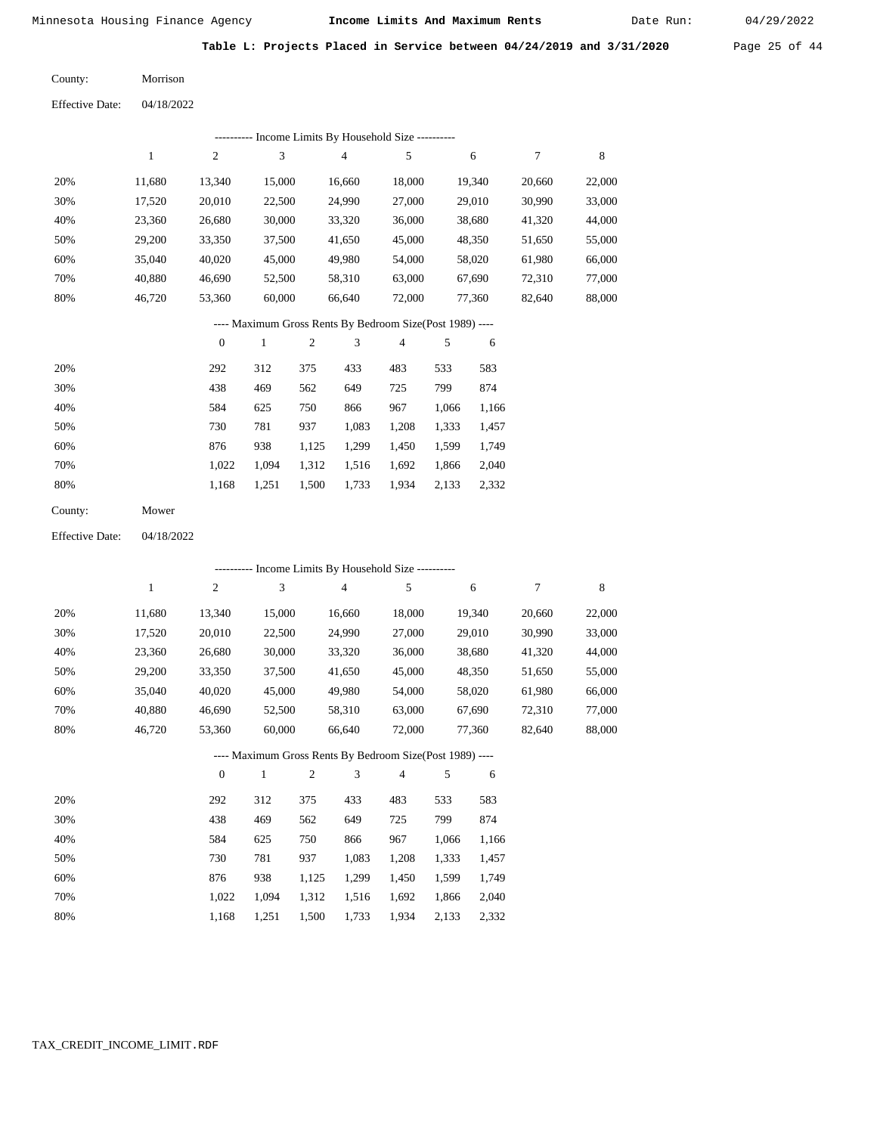40,880 46,720  46,690 53,360

Minnesota Housing Finance Agency **Income Limits And Maximum Rents** 04/29/2022

Date Run:

**Table L: Projects Placed in Service between 04/24/2019 and 3/31/2020** Page 25 of 44

 20,660 30,990 41,320 51,650 61,980 72,310 82,640

7

 22,000 33,000 44,000 55,000 66,000 77,000 88,000

8

04/18/2022 Morrison County: Effective Date:

| тятествуе тлате. | $U+10/2U+2$ |        |        |                |                                            |        |  |
|------------------|-------------|--------|--------|----------------|--------------------------------------------|--------|--|
|                  |             |        |        |                | Income Limits By Household Size ---------- |        |  |
|                  | 1           | 2      | 3      | $\overline{4}$ | 5                                          | 6      |  |
| 20%              | 11,680      | 13.340 | 15,000 | 16,660         | 18,000                                     | 19,340 |  |
| 30%              | 17,520      | 20,010 | 22,500 | 24,990         | 27,000                                     | 29,010 |  |
| 40%              | 23,360      | 26,680 | 30,000 | 33,320         | 36,000                                     | 38,680 |  |
| 50%              | 29,200      | 33,350 | 37,500 | 41,650         | 45,000                                     | 48,350 |  |
| 60%              | 35,040      | 40,020 | 45,000 | 49,980         | 54,000                                     | 58,020 |  |
|                  |             |        |        |                |                                            |        |  |

 52,500 60,000

## ---- Maximum Gross Rents By Bedroom Size(Post 1989) ----

 63,000 72,000  67,690 77,360

 58,310 66,640

|     | $\mathbf{0}$ |       | 2     | 3     | 4     | 5     | 6     |
|-----|--------------|-------|-------|-------|-------|-------|-------|
| 20% | 292          | 312   | 375   | 433   | 483   | 533   | 583   |
| 30% | 438          | 469   | 562   | 649   | 725   | 799   | 874   |
| 40% | 584          | 625   | 750   | 866   | 967   | 1,066 | 1,166 |
| 50% | 730          | 781   | 937   | 1,083 | 1,208 | 1,333 | 1,457 |
| 60% | 876          | 938   | 1,125 | 1,299 | 1,450 | 1,599 | 1,749 |
| 70% | 1.022        | 1.094 | 1,312 | 1,516 | 1,692 | 1,866 | 2,040 |
| 80% | 1,168        | 1,251 | 1,500 | 1,733 | 1,934 | 2,133 | 2,332 |
|     |              |       |       |       |       |       |       |

| County: | Mower |
|---------|-------|
|---------|-------|

 70% 80%

04/18/2022 Effective Date:

|     | --------- Income Limits By Household Size ---------- |                |        |                |                |                                                          |       |        |        |        |  |  |
|-----|------------------------------------------------------|----------------|--------|----------------|----------------|----------------------------------------------------------|-------|--------|--------|--------|--|--|
|     | 1                                                    | $\overline{c}$ | 3      |                | $\overline{4}$ | 5                                                        |       | 6      | 7      | 8      |  |  |
| 20% | 11,680                                               | 13,340         | 15,000 |                | 16,660         | 18,000                                                   |       | 19,340 | 20,660 | 22,000 |  |  |
| 30% | 17,520                                               | 20,010         | 22,500 |                | 24,990         | 27,000                                                   |       | 29,010 | 30,990 | 33,000 |  |  |
| 40% | 23,360                                               | 26,680         | 30,000 |                | 33,320         | 36,000                                                   |       | 38,680 | 41,320 | 44,000 |  |  |
| 50% | 29,200                                               | 33,350         | 37,500 |                | 41,650         | 45,000                                                   |       | 48,350 | 51,650 | 55,000 |  |  |
| 60% | 35,040                                               | 40,020         | 45,000 |                | 49,980         | 54,000                                                   |       | 58,020 | 61,980 | 66,000 |  |  |
| 70% | 40,880                                               | 46,690         | 52,500 |                | 58,310         | 63,000                                                   |       | 67,690 | 72,310 | 77,000 |  |  |
| 80% | 46,720                                               | 53,360         | 60,000 |                | 66,640         | 72,000                                                   |       | 77,360 | 82,640 | 88,000 |  |  |
|     |                                                      |                |        |                |                | ---- Maximum Gross Rents By Bedroom Size(Post 1989) ---- |       |        |        |        |  |  |
|     |                                                      | $\mathbf{0}$   | 1      | $\overline{2}$ | 3              | 4                                                        | 5     | 6      |        |        |  |  |
| 20% |                                                      | 292            | 312    | 375            | 433            | 483                                                      | 533   | 583    |        |        |  |  |
| 30% |                                                      | 438            | 469    | 562            | 649            | 725                                                      | 799   | 874    |        |        |  |  |
| 40% |                                                      | 584            | 625    | 750            | 866            | 967                                                      | 1,066 | 1,166  |        |        |  |  |
| 50% |                                                      | 730            | 781    | 937            | 1,083          | 1,208                                                    | 1,333 | 1,457  |        |        |  |  |
| 60% |                                                      | 876            | 938    | 1,125          | 1,299          | 1,450                                                    | 1,599 | 1,749  |        |        |  |  |
| 70% |                                                      | 1,022          | 1,094  | 1,312          | 1,516          | 1,692                                                    | 1,866 | 2,040  |        |        |  |  |

1,168

1,251

1,500

1,733

1,934 2,133 2,332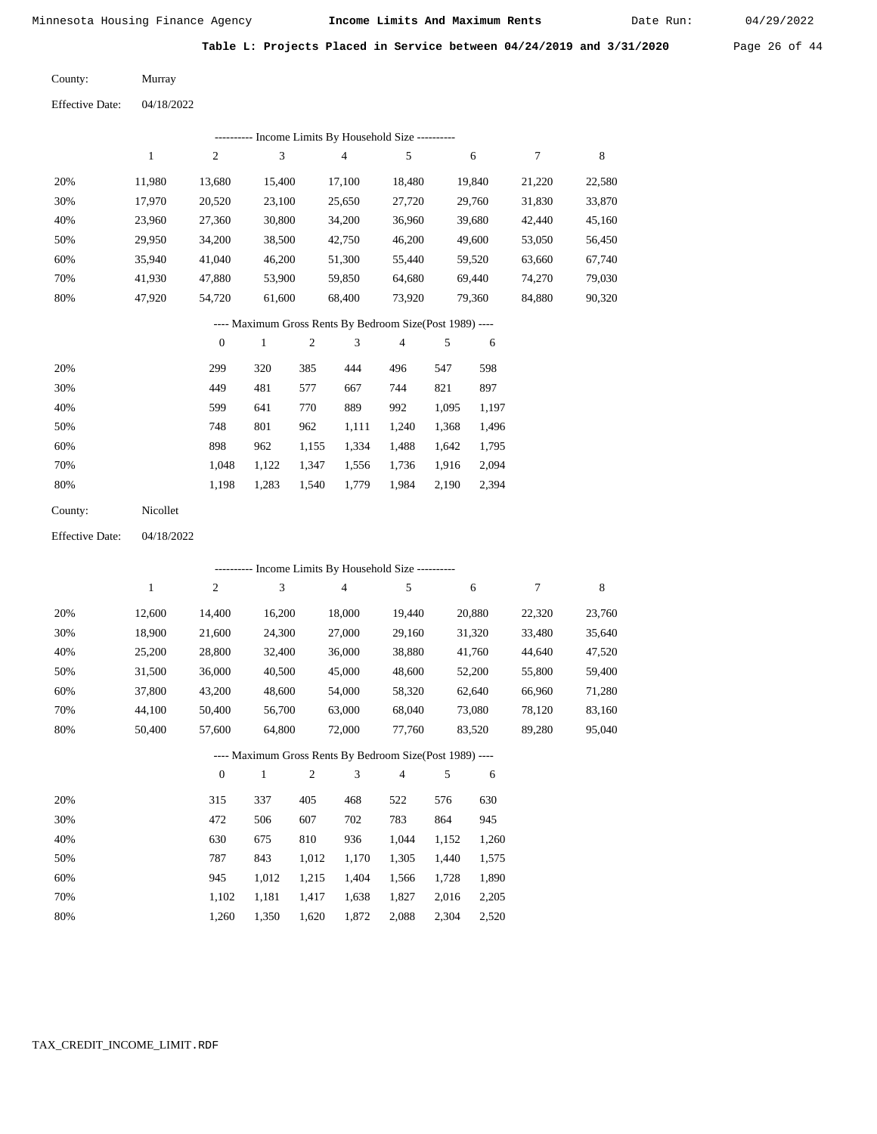Date Run:

**Table L: Projects Placed in Service between 04/24/2019 and 3/31/2020** Page 26 of 44

Murray County:

04/18/2022 Effective Date:

|     | Income Limits By Household Size ---------- |        |        |        |        |        |        |        |  |  |  |  |
|-----|--------------------------------------------|--------|--------|--------|--------|--------|--------|--------|--|--|--|--|
|     |                                            | 2      | 3      | 4      | 5      | 6      | 7      | 8      |  |  |  |  |
| 20% | 11,980                                     | 13,680 | 15,400 | 17,100 | 18,480 | 19,840 | 21,220 | 22,580 |  |  |  |  |
| 30% | 17,970                                     | 20,520 | 23,100 | 25,650 | 27,720 | 29,760 | 31,830 | 33,870 |  |  |  |  |
| 40% | 23,960                                     | 27,360 | 30,800 | 34,200 | 36,960 | 39,680 | 42,440 | 45,160 |  |  |  |  |
| 50% | 29,950                                     | 34,200 | 38,500 | 42,750 | 46,200 | 49,600 | 53,050 | 56,450 |  |  |  |  |
| 60% | 35,940                                     | 41,040 | 46,200 | 51,300 | 55,440 | 59,520 | 63,660 | 67,740 |  |  |  |  |
| 70% | 41,930                                     | 47,880 | 53,900 | 59,850 | 64,680 | 69.440 | 74,270 | 79,030 |  |  |  |  |
| 80% | 47,920                                     | 54,720 | 61,600 | 68,400 | 73,920 | 79,360 | 84,880 | 90,320 |  |  |  |  |
|     |                                            |        |        |        |        |        |        |        |  |  |  |  |

## ---- Maximum Gross Rents By Bedroom Size(Post 1989) ----

|     | $\mathbf{0}$ |       | $\overline{c}$ | 3     | 4     | 5     | 6     |
|-----|--------------|-------|----------------|-------|-------|-------|-------|
| 20% | 299          | 320   | 385            | 444   | 496   | 547   | 598   |
| 30% | 449          | 481   | 577            | 667   | 744   | 821   | 897   |
| 40% | 599          | 641   | 770            | 889   | 992   | 1,095 | 1,197 |
| 50% | 748          | 801   | 962            | 1,111 | 1,240 | 1,368 | 1,496 |
| 60% | 898          | 962   | 1,155          | 1,334 | 1,488 | 1,642 | 1,795 |
| 70% | 1.048        | 1,122 | 1,347          | 1,556 | 1,736 | 1,916 | 2,094 |
| 80% | 1,198        | 1,283 | 1,540          | 1,779 | 1,984 | 2,190 | 2,394 |
|     |              |       |                |       |       |       |       |

04/18/2022 Effective Date:

|     | ---------- Income Limits By Household Size ----------    |                |              |                |                |                |       |        |        |        |  |  |
|-----|----------------------------------------------------------|----------------|--------------|----------------|----------------|----------------|-------|--------|--------|--------|--|--|
|     | 1                                                        | $\overline{c}$ | 3            |                | $\overline{4}$ | 5              |       | 6      | 7      | 8      |  |  |
| 20% | 12,600                                                   | 14,400         | 16,200       |                | 18,000         | 19,440         |       | 20,880 | 22,320 | 23,760 |  |  |
| 30% | 18,900                                                   | 21,600         | 24,300       |                | 27,000         | 29,160         |       | 31,320 | 33,480 | 35,640 |  |  |
| 40% | 25,200                                                   | 28,800         | 32,400       |                | 36,000         | 38,880         |       | 41,760 | 44,640 | 47,520 |  |  |
| 50% | 31,500                                                   | 36,000         | 40,500       |                | 45,000         | 48,600         |       | 52,200 | 55,800 | 59,400 |  |  |
| 60% | 37,800                                                   | 43,200         | 48,600       |                | 54,000         | 58,320         |       | 62,640 | 66,960 | 71,280 |  |  |
| 70% | 44,100                                                   | 50,400         | 56,700       |                | 63,000         | 68,040         |       | 73,080 | 78,120 | 83,160 |  |  |
| 80% | 50,400                                                   | 57,600         | 64,800       |                | 72,000         | 77,760         |       | 83,520 | 89,280 | 95,040 |  |  |
|     | ---- Maximum Gross Rents By Bedroom Size(Post 1989) ---- |                |              |                |                |                |       |        |        |        |  |  |
|     |                                                          | $\theta$       | $\mathbf{1}$ | $\mathfrak{2}$ | 3              | $\overline{4}$ | 5     | 6      |        |        |  |  |
| 20% |                                                          | 315            | 337          | 405            | 468            | 522            | 576   | 630    |        |        |  |  |
| 30% |                                                          | 472            | 506          | 607            | 702            | 783            | 864   | 945    |        |        |  |  |
| 40% |                                                          | 630            | 675          | 810            | 936            | 1,044          | 1,152 | 1,260  |        |        |  |  |
| 50% |                                                          | 787            | 843          | 1,012          | 1,170          | 1,305          | 1,440 | 1,575  |        |        |  |  |
| 60% |                                                          | 945            | 1,012        | 1,215          | 1,404          | 1,566          | 1,728 | 1,890  |        |        |  |  |
| 70% |                                                          | 1,102          | 1,181        | 1,417          | 1,638          | 1,827          | 2,016 | 2,205  |        |        |  |  |

1,260

1,350

1,620

1,872

2,088

2,304

2,520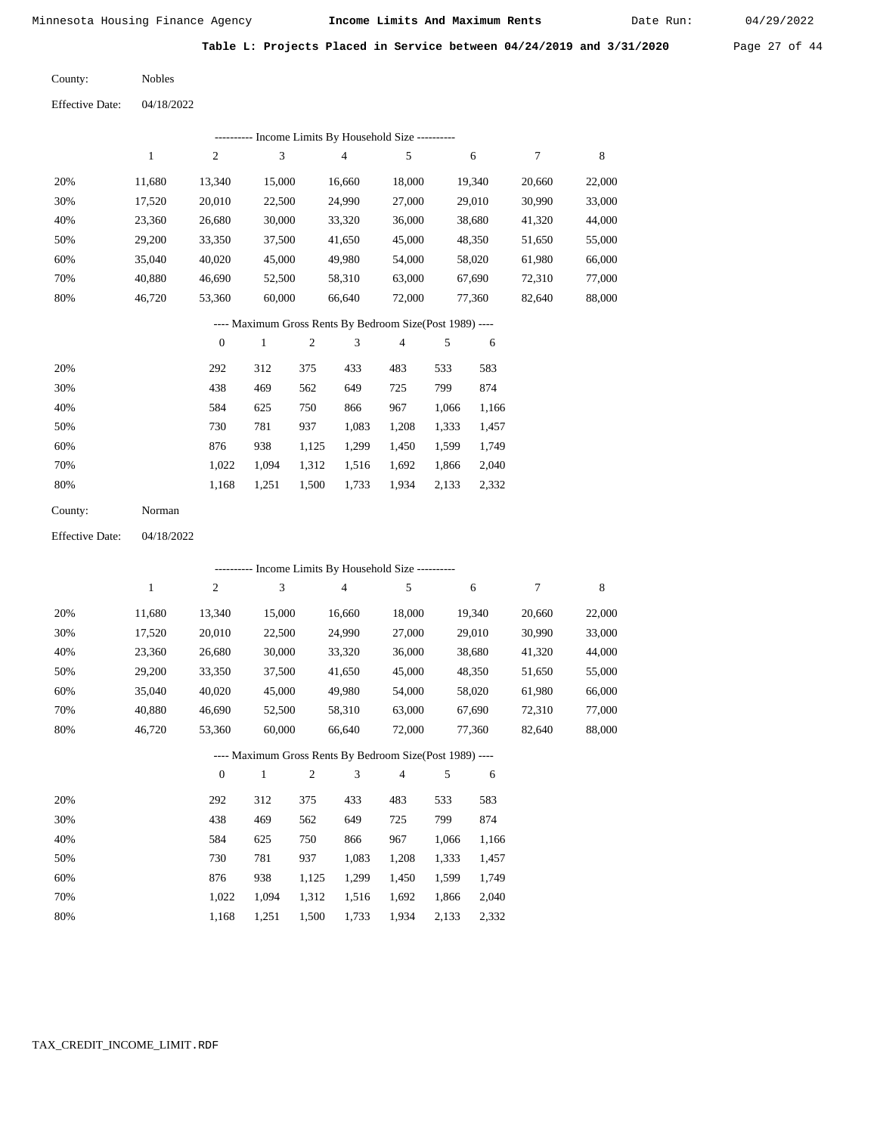Date Run:

**Table L: Projects Placed in Service between 04/24/2019 and 3/31/2020** Page 27 of 44

Nobles County:

|     | Income Limits By Household Size ---------- |        |        |        |        |        |        |        |  |  |  |  |  |
|-----|--------------------------------------------|--------|--------|--------|--------|--------|--------|--------|--|--|--|--|--|
|     |                                            | 2      | 3      | 4      | 5      | 6      |        | 8      |  |  |  |  |  |
| 20% | 11.680                                     | 13.340 | 15,000 | 16,660 | 18,000 | 19,340 | 20,660 | 22,000 |  |  |  |  |  |
| 30% | 17,520                                     | 20,010 | 22,500 | 24,990 | 27,000 | 29,010 | 30,990 | 33,000 |  |  |  |  |  |
| 40% | 23,360                                     | 26,680 | 30,000 | 33,320 | 36,000 | 38,680 | 41,320 | 44,000 |  |  |  |  |  |
| 50% | 29,200                                     | 33,350 | 37,500 | 41,650 | 45,000 | 48,350 | 51,650 | 55,000 |  |  |  |  |  |
| 60% | 35,040                                     | 40,020 | 45,000 | 49,980 | 54,000 | 58,020 | 61,980 | 66,000 |  |  |  |  |  |
| 70% | 40.880                                     | 46,690 | 52,500 | 58,310 | 63,000 | 67,690 | 72,310 | 77,000 |  |  |  |  |  |
| 80% | 46.720                                     | 53,360 | 60,000 | 66,640 | 72,000 | 77,360 | 82,640 | 88,000 |  |  |  |  |  |

# ---- Maximum Gross Rents By Bedroom Size(Post 1989) ----

|     | $\mathbf{0}$ |       | $\overline{c}$ | 3     | $\overline{4}$ | 5     | 6     |
|-----|--------------|-------|----------------|-------|----------------|-------|-------|
| 20% | 292          | 312   | 375            | 433   | 483            | 533   | 583   |
| 30% | 438          | 469   | 562            | 649   | 725            | 799   | 874   |
| 40% | 584          | 625   | 750            | 866   | 967            | 1,066 | 1,166 |
| 50% | 730          | 781   | 937            | 1,083 | 1,208          | 1,333 | 1,457 |
| 60% | 876          | 938   | 1,125          | 1,299 | 1,450          | 1,599 | 1,749 |
| 70% | 1.022        | 1,094 | 1,312          | 1,516 | 1,692          | 1,866 | 2,040 |
| 80% | 1,168        | 1,251 | 1,500          | 1,733 | 1,934          | 2,133 | 2,332 |
|     |              |       |                |       |                |       |       |

| County: | Norman |
|---------|--------|
|---------|--------|

04/18/2022 Effective Date:

|     | --------- Income Limits By Household Size ----------     |                |              |                |                |                |       |        |        |        |  |  |
|-----|----------------------------------------------------------|----------------|--------------|----------------|----------------|----------------|-------|--------|--------|--------|--|--|
|     | 1                                                        | 2              | 3            |                | $\overline{4}$ | 5              |       | 6      | 7      | 8      |  |  |
| 20% | 11,680                                                   | 13,340         | 15,000       |                | 16,660         | 18,000         |       | 19,340 | 20,660 | 22,000 |  |  |
| 30% | 17,520                                                   | 20,010         | 22,500       |                | 24,990         | 27,000         |       | 29,010 | 30,990 | 33,000 |  |  |
| 40% | 23,360                                                   | 26,680         | 30,000       |                | 33,320         | 36,000         |       | 38,680 | 41,320 | 44,000 |  |  |
| 50% | 29,200                                                   | 33,350         | 37,500       |                | 41,650         | 45,000         |       | 48,350 | 51,650 | 55,000 |  |  |
| 60% | 35,040                                                   | 40,020         | 45,000       |                | 49,980         | 54,000         |       | 58,020 | 61,980 | 66,000 |  |  |
| 70% | 40,880                                                   | 46,690         | 52,500       |                | 58,310         | 63,000         |       | 67,690 | 72,310 | 77,000 |  |  |
| 80% | 46,720                                                   | 53,360         | 60,000       |                | 66,640         | 72,000         |       | 77,360 | 82,640 | 88,000 |  |  |
|     | ---- Maximum Gross Rents By Bedroom Size(Post 1989) ---- |                |              |                |                |                |       |        |        |        |  |  |
|     |                                                          | $\overline{0}$ | $\mathbf{1}$ | $\overline{2}$ | 3              | $\overline{4}$ | 5     | 6      |        |        |  |  |
| 20% |                                                          | 292            | 312          | 375            | 433            | 483            | 533   | 583    |        |        |  |  |
| 30% |                                                          | 438            | 469          | 562            | 649            | 725            | 799   | 874    |        |        |  |  |
| 40% |                                                          | 584            | 625          | 750            | 866            | 967            | 1,066 | 1,166  |        |        |  |  |
| 50% |                                                          | 730            | 781          | 937            | 1,083          | 1,208          | 1,333 | 1,457  |        |        |  |  |
| 60% |                                                          | 876            | 938          | 1,125          | 1,299          | 1,450          | 1,599 | 1,749  |        |        |  |  |
| 70% |                                                          | 1,022          | 1,094        | 1,312          | 1,516          | 1,692          | 1,866 | 2,040  |        |        |  |  |

1,168 1,251 1,500 1,733 1,934 2,133 2,332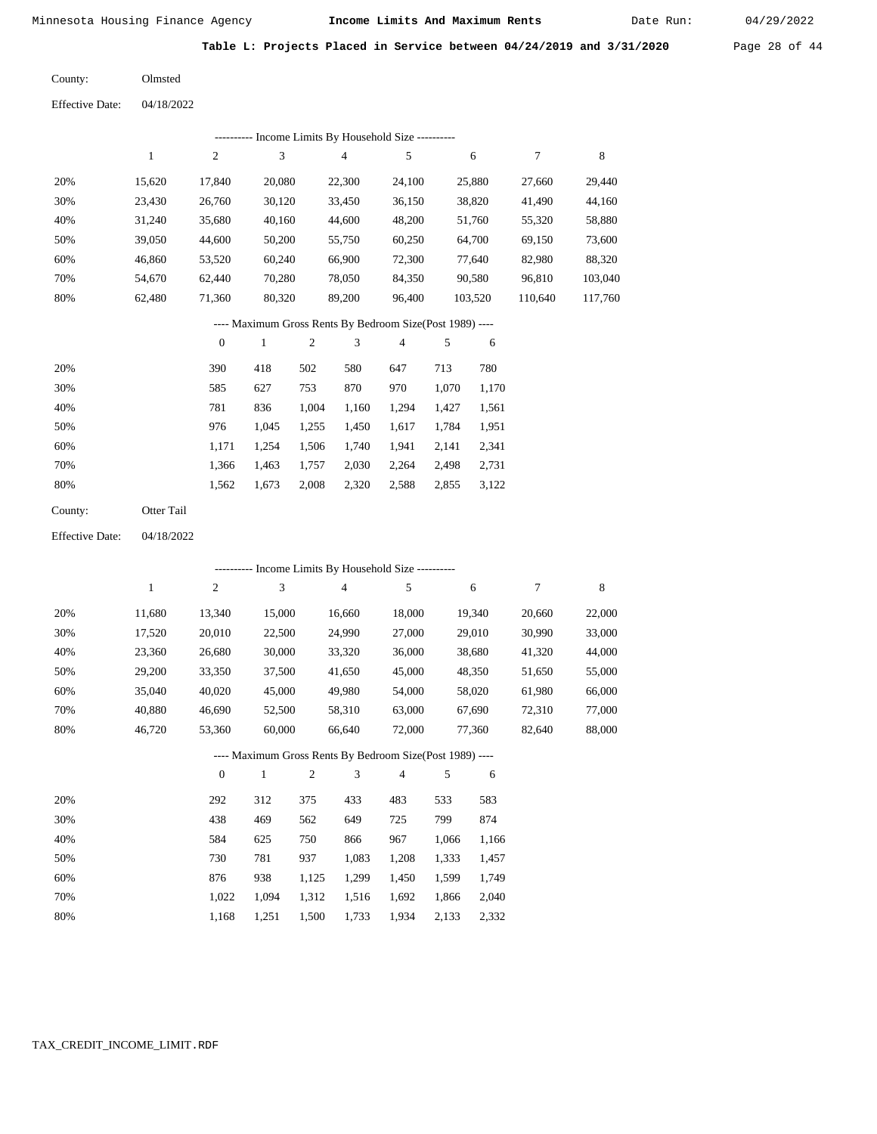Date Run:

**Table L: Projects Placed in Service between 04/24/2019 and 3/31/2020** Page 28 of 44

04/18/2022 Olmsted County: Effective Date:

| - Income Limits By Household Size ---------- |        |        |        |        |        |         |         |         |  |  |  |  |
|----------------------------------------------|--------|--------|--------|--------|--------|---------|---------|---------|--|--|--|--|
|                                              |        | 2      | 3      | 4      | 5      | 6       |         | 8       |  |  |  |  |
| 20%                                          | 15,620 | 17.840 | 20,080 | 22,300 | 24,100 | 25,880  | 27.660  | 29,440  |  |  |  |  |
| 30%                                          | 23,430 | 26,760 | 30,120 | 33,450 | 36,150 | 38,820  | 41,490  | 44,160  |  |  |  |  |
| 40%                                          | 31,240 | 35,680 | 40,160 | 44,600 | 48,200 | 51,760  | 55,320  | 58,880  |  |  |  |  |
| 50%                                          | 39,050 | 44,600 | 50,200 | 55,750 | 60,250 | 64,700  | 69,150  | 73,600  |  |  |  |  |
| 60%                                          | 46,860 | 53,520 | 60,240 | 66,900 | 72,300 | 77,640  | 82,980  | 88,320  |  |  |  |  |
| 70%                                          | 54.670 | 62.440 | 70.280 | 78,050 | 84,350 | 90,580  | 96.810  | 103,040 |  |  |  |  |
| 80%                                          | 62,480 | 71,360 | 80,320 | 89,200 | 96,400 | 103,520 | 110,640 | 117.760 |  |  |  |  |

## ---- Maximum Gross Rents By Bedroom Size(Post 1989) ----

|     | $\mathbf{0}$ |       | $\overline{c}$ | 3     | 4     | 5     | 6     |
|-----|--------------|-------|----------------|-------|-------|-------|-------|
| 20% | 390          | 418   | 502            | 580   | 647   | 713   | 780   |
| 30% | 585          | 627   | 753            | 870   | 970   | 1,070 | 1,170 |
| 40% | 781          | 836   | 1,004          | 1,160 | 1,294 | 1,427 | 1,561 |
| 50% | 976          | 1.045 | 1,255          | 1,450 | 1,617 | 1,784 | 1,951 |
| 60% | 1.171        | 1.254 | 1,506          | 1,740 | 1,941 | 2,141 | 2,341 |
| 70% | 1,366        | 1,463 | 1,757          | 2,030 | 2,264 | 2,498 | 2,731 |
| 80% | 1,562        | 1,673 | 2,008          | 2,320 | 2,588 | 2,855 | 3,122 |
|     |              |       |                |       |       |       |       |

| County: | Otter Tail |
|---------|------------|
|---------|------------|

04/18/2022 Effective Date:

|     | - Income Limits By Household Size ---------- |          |              |                |                                                          |                |       |        |        |        |  |  |
|-----|----------------------------------------------|----------|--------------|----------------|----------------------------------------------------------|----------------|-------|--------|--------|--------|--|--|
|     | 1                                            | 2        | 3            |                | 4                                                        | 5              |       | 6      | 7      | 8      |  |  |
| 20% | 11,680                                       | 13,340   | 15,000       |                | 16,660                                                   | 18,000         |       | 19,340 | 20,660 | 22,000 |  |  |
| 30% | 17,520                                       | 20,010   | 22,500       |                | 24,990                                                   | 27,000         |       | 29,010 | 30,990 | 33,000 |  |  |
| 40% | 23,360                                       | 26,680   | 30,000       |                | 33,320                                                   | 36,000         |       | 38,680 | 41,320 | 44,000 |  |  |
| 50% | 29,200                                       | 33,350   | 37,500       |                | 41,650                                                   | 45,000         |       | 48,350 | 51,650 | 55,000 |  |  |
| 60% | 35,040                                       | 40,020   | 45,000       |                | 49,980                                                   | 54,000         |       | 58,020 | 61,980 | 66,000 |  |  |
| 70% | 40,880                                       | 46,690   | 52,500       |                | 58,310                                                   | 63,000         |       | 67,690 | 72,310 | 77,000 |  |  |
| 80% | 46,720                                       | 53,360   | 60,000       |                | 66,640                                                   | 72,000         |       | 77,360 | 82,640 | 88,000 |  |  |
|     |                                              |          |              |                | ---- Maximum Gross Rents By Bedroom Size(Post 1989) ---- |                |       |        |        |        |  |  |
|     |                                              | $\theta$ | $\mathbf{1}$ | $\mathfrak{2}$ | 3                                                        | $\overline{4}$ | 5     | 6      |        |        |  |  |
| 20% |                                              | 292      | 312          | 375            | 433                                                      | 483            | 533   | 583    |        |        |  |  |
| 30% |                                              | 438      | 469          | 562            | 649                                                      | 725            | 799   | 874    |        |        |  |  |
| 40% |                                              | 584      | 625          | 750            | 866                                                      | 967            | 1,066 | 1,166  |        |        |  |  |
| 50% |                                              | 730      | 781          | 937            | 1,083                                                    | 1,208          | 1,333 | 1,457  |        |        |  |  |
| 60% |                                              | 876      | 938          | 1,125          | 1,299                                                    | 1,450          | 1,599 | 1,749  |        |        |  |  |
| 70% |                                              | 1,022    | 1,094        | 1,312          | 1,516                                                    | 1,692          | 1,866 | 2,040  |        |        |  |  |

1,168

1,251

1,500

1,733

1,934

2,133

2,332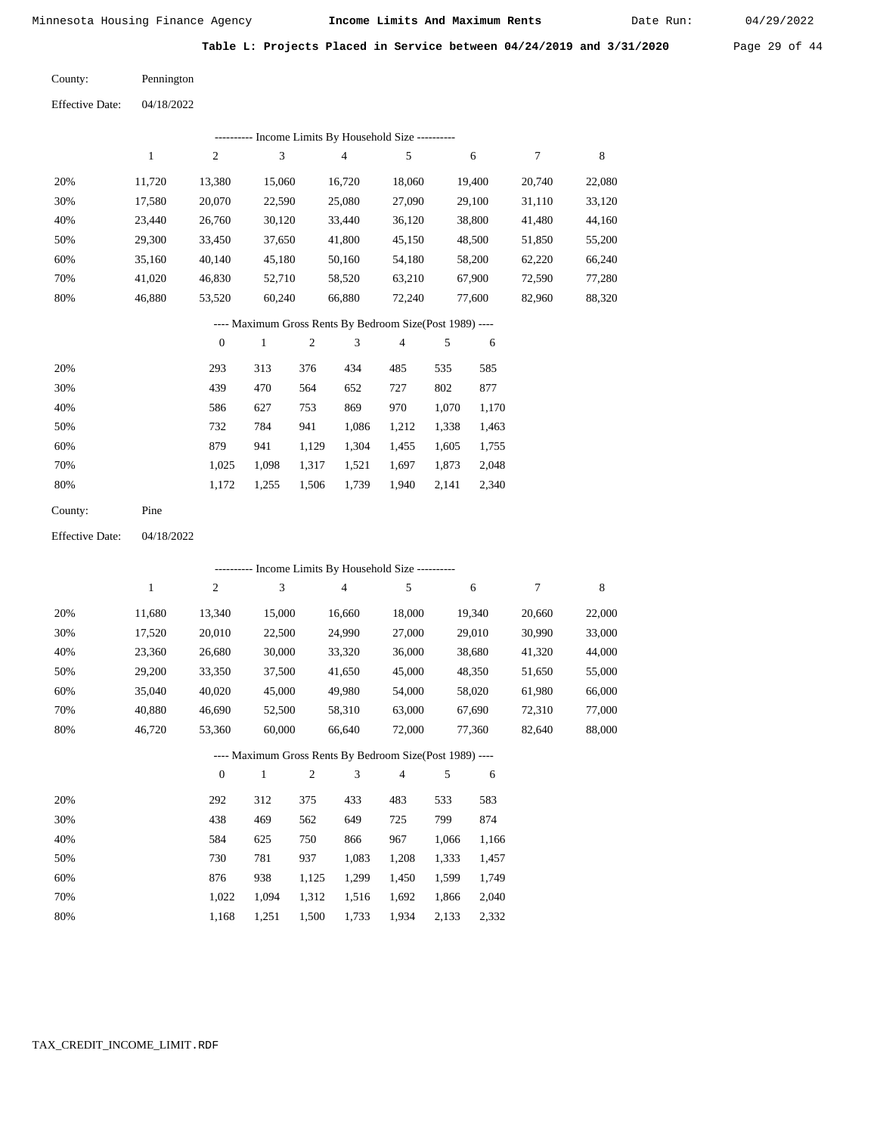Date Run:

**Table L: Projects Placed in Service between 04/24/2019 and 3/31/2020** Page 29 of 44

Pennington County:

04/18/2022 Effective Date:

| ---------- Income Limits By Household Size ---------- |        |        |        |        |        |        |        |        |  |  |  |
|-------------------------------------------------------|--------|--------|--------|--------|--------|--------|--------|--------|--|--|--|
|                                                       |        | 2      | 3      | 4      | 5      | 6      |        | 8      |  |  |  |
| 20%                                                   | 11.720 | 13,380 | 15,060 | 16,720 | 18,060 | 19,400 | 20,740 | 22,080 |  |  |  |
| 30%                                                   | 17,580 | 20,070 | 22,590 | 25,080 | 27,090 | 29,100 | 31,110 | 33,120 |  |  |  |
| 40%                                                   | 23.440 | 26,760 | 30,120 | 33,440 | 36,120 | 38,800 | 41,480 | 44,160 |  |  |  |
| 50%                                                   | 29,300 | 33,450 | 37,650 | 41,800 | 45,150 | 48,500 | 51,850 | 55,200 |  |  |  |
| 60%                                                   | 35,160 | 40,140 | 45,180 | 50,160 | 54,180 | 58,200 | 62,220 | 66,240 |  |  |  |
| 70%                                                   | 41,020 | 46,830 | 52,710 | 58,520 | 63,210 | 67,900 | 72,590 | 77,280 |  |  |  |
| 80%                                                   | 46,880 | 53,520 | 60,240 | 66,880 | 72,240 | 77,600 | 82,960 | 88,320 |  |  |  |
|                                                       |        |        |        |        |        |        |        |        |  |  |  |

## ---- Maximum Gross Rents By Bedroom Size(Post 1989) ----

|     | $\mathbf{0}$ |       | 2     | 3     | 4     | 5     | 6     |
|-----|--------------|-------|-------|-------|-------|-------|-------|
| 20% | 293          | 313   | 376   | 434   | 485   | 535   | 585   |
| 30% | 439          | 470   | 564   | 652   | 727   | 802   | 877   |
| 40% | 586          | 627   | 753   | 869   | 970   | 1,070 | 1,170 |
| 50% | 732          | 784   | 941   | 1,086 | 1,212 | 1,338 | 1,463 |
| 60% | 879          | 941   | 1,129 | 1,304 | 1,455 | 1,605 | 1,755 |
| 70% | 1,025        | 1,098 | 1,317 | 1,521 | 1,697 | 1,873 | 2,048 |
| 80% | 1,172        | 1,255 | 1,506 | 1,739 | 1,940 | 2,141 | 2,340 |
|     |              |       |       |       |       |       |       |

04/18/2022 Effective Date:

|     | ---------- Income Limits By Household Size ---------- |                |              |                |                |                                                          |       |        |        |        |  |  |
|-----|-------------------------------------------------------|----------------|--------------|----------------|----------------|----------------------------------------------------------|-------|--------|--------|--------|--|--|
|     | $\mathbf{1}$                                          | $\overline{c}$ | 3            |                | $\overline{4}$ | 5                                                        |       | 6      | 7      | 8      |  |  |
| 20% | 11,680                                                | 13,340         | 15,000       |                | 16,660         | 18,000                                                   |       | 19,340 | 20,660 | 22,000 |  |  |
| 30% | 17,520                                                | 20,010         | 22,500       |                | 24,990         | 27,000                                                   |       | 29,010 | 30,990 | 33,000 |  |  |
| 40% | 23,360                                                | 26,680         | 30,000       |                | 33,320         | 36,000                                                   |       | 38,680 | 41,320 | 44,000 |  |  |
| 50% | 29,200                                                | 33,350         | 37,500       |                | 41,650         | 45,000                                                   |       | 48,350 | 51,650 | 55,000 |  |  |
| 60% | 35,040                                                | 40,020         | 45,000       |                | 49,980         | 54,000                                                   |       | 58,020 | 61,980 | 66,000 |  |  |
| 70% | 40,880                                                | 46,690         | 52,500       |                | 58,310         | 63,000                                                   |       | 67,690 | 72,310 | 77,000 |  |  |
| 80% | 46,720                                                | 53,360         | 60,000       |                | 66,640         | 72,000                                                   |       | 77,360 | 82,640 | 88,000 |  |  |
|     |                                                       |                |              |                |                | ---- Maximum Gross Rents By Bedroom Size(Post 1989) ---- |       |        |        |        |  |  |
|     |                                                       | $\theta$       | $\mathbf{1}$ | $\overline{2}$ | 3              | $\overline{4}$                                           | 5     | 6      |        |        |  |  |
| 20% |                                                       | 292            | 312          | 375            | 433            | 483                                                      | 533   | 583    |        |        |  |  |
| 30% |                                                       | 438            | 469          | 562            | 649            | 725                                                      | 799   | 874    |        |        |  |  |
| 40% |                                                       | 584            | 625          | 750            | 866            | 967                                                      | 1,066 | 1,166  |        |        |  |  |
| 50% |                                                       | 730            | 781          | 937            | 1,083          | 1,208                                                    | 1,333 | 1,457  |        |        |  |  |
| 60% |                                                       | 876            | 938          | 1,125          | 1,299          | 1,450                                                    | 1,599 | 1,749  |        |        |  |  |
| 70% |                                                       | 1,022          | 1,094        | 1,312          | 1,516          | 1,692                                                    | 1,866 | 2,040  |        |        |  |  |

1,251 1,500 1,733 1,934 2,133 2,332

1,168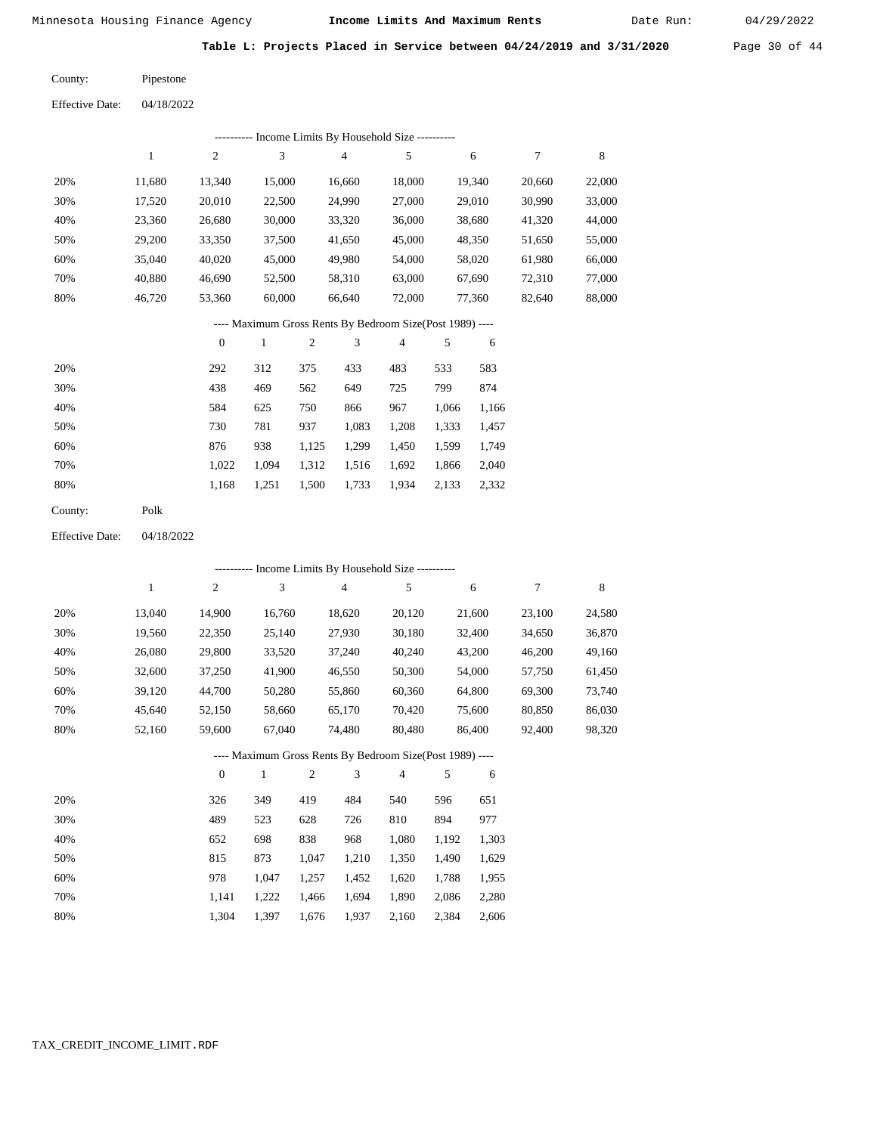Date Run:

**Table L: Projects Placed in Service between 04/24/2019 and 3/31/2020** Page 30 of 44

| County:                | Pipestone  |
|------------------------|------------|
| <b>Effective Date:</b> | 04/18/2022 |

|                        |              |                  |                |            | ---------- Income Limits By Household Size ----------    |        |       |        |        |             |
|------------------------|--------------|------------------|----------------|------------|----------------------------------------------------------|--------|-------|--------|--------|-------------|
|                        | $\mathbf{1}$ | $\sqrt{2}$       | $\mathfrak{Z}$ |            | $\overline{4}$                                           | 5      |       | 6      | 7      | $\,$ 8 $\,$ |
| 20%                    | 11,680       | 13,340           | 15,000         |            | 16,660                                                   | 18,000 |       | 19,340 | 20,660 | 22,000      |
| 30%                    | 17,520       | 20,010           | 22,500         |            | 24,990                                                   | 27,000 |       | 29,010 | 30,990 | 33,000      |
| 40%                    | 23,360       | 26,680           | 30,000         |            | 33,320                                                   | 36,000 |       | 38,680 | 41,320 | 44,000      |
| 50%                    | 29,200       | 33,350           | 37,500         |            | 41,650                                                   | 45,000 |       | 48,350 | 51,650 | 55,000      |
| 60%                    | 35,040       | 40,020           | 45,000         |            | 49,980                                                   | 54,000 |       | 58,020 | 61,980 | 66,000      |
| 70%                    | 40,880       | 46,690           | 52,500         |            | 58,310                                                   | 63,000 |       | 67,690 | 72,310 | 77,000      |
| 80%                    | 46,720       | 53,360           | 60,000         |            | 66,640                                                   | 72,000 |       | 77,360 | 82,640 | 88,000      |
|                        |              |                  |                |            | ---- Maximum Gross Rents By Bedroom Size(Post 1989) ---- |        |       |        |        |             |
|                        |              | $\boldsymbol{0}$ | $\,1$          | $\sqrt{2}$ | 3                                                        | 4      | 5     | 6      |        |             |
| 20%                    |              | 292              | 312            | 375        | 433                                                      | 483    | 533   | 583    |        |             |
| 30%                    |              | 438              | 469            | 562        | 649                                                      | 725    | 799   | 874    |        |             |
| 40%                    |              | 584              | 625            | 750        | 866                                                      | 967    | 1,066 | 1,166  |        |             |
| 50%                    |              | 730              | 781            | 937        | 1,083                                                    | 1,208  | 1,333 | 1,457  |        |             |
| 60%                    |              | 876              | 938            | 1,125      | 1,299                                                    | 1,450  | 1,599 | 1,749  |        |             |
| 70%                    |              | 1,022            | 1,094          | 1,312      | 1,516                                                    | 1,692  | 1,866 | 2,040  |        |             |
| 80%                    |              | 1,168            | 1,251          | 1,500      | 1,733                                                    | 1,934  | 2,133 | 2,332  |        |             |
| County:                | Polk         |                  |                |            |                                                          |        |       |        |        |             |
| <b>Effective Date:</b> | 04/18/2022   |                  |                |            |                                                          |        |       |        |        |             |
|                        |              |                  |                |            | ---------- Income Limits By Household Size ----------    |        |       |        |        |             |
|                        | $\mathbf{1}$ | $\sqrt{2}$       | 3              |            | 4                                                        | 5      |       | 6      | 7      | $\,$ 8 $\,$ |
| 20%                    | 13,040       | 14,900           | 16,760         |            | 18,620                                                   | 20,120 |       | 21,600 | 23,100 | 24,580      |
| 30%                    | 19,560       | 22,350           | 25,140         |            | 27,930                                                   | 30,180 |       | 32,400 | 34,650 | 36,870      |
| 40%                    | 26,080       | 29,800           | 33,520         |            | 37,240                                                   | 40,240 |       | 43,200 | 46,200 | 49,160      |
| 50%                    | 32,600       | 37,250           | 41,900         |            | 46,550                                                   | 50,300 |       | 54,000 | 57,750 | 61,450      |
| 60%                    | 39,120       | 44,700           | 50,280         |            | 55,860                                                   | 60,360 |       | 64,800 | 69,300 | 73,740      |
| 70%                    | 45,640       | 52,150           | 58,660         |            | 65,170                                                   | 70,420 |       | 75,600 | 80,850 | 86,030      |
| 80%                    | 52,160       | 59,600           | 67,040         |            | 74,480                                                   | 80,480 |       | 86,400 | 92,400 | 98,320      |
|                        |              |                  |                |            | ---- Maximum Gross Rents By Bedroom Size(Post 1989) ---- |        |       |        |        |             |
|                        |              | $\boldsymbol{0}$ | $\mathbf{1}$   | $\sqrt{2}$ | 3                                                        | 4      | 5     | 6      |        |             |
| 20%                    |              | 326              | 349            | 419        | 484                                                      | 540    | 596   | 651    |        |             |
| 30%                    |              | 489              | 523            | 628        | 726                                                      | 810    | 894   | 977    |        |             |
| 40%                    |              | 652              | 698            | 838        | 968                                                      | 1,080  | 1,192 | 1,303  |        |             |
| 50%                    |              | 815              | 873            | 1,047      | 1,210                                                    | 1,350  | 1,490 | 1,629  |        |             |
| 60%                    |              | 978              | 1,047          | 1,257      | 1,452                                                    | 1,620  | 1,788 | 1,955  |        |             |
| 70%                    |              | 1,141            | 1,222          | 1,466      | 1,694                                                    | 1,890  | 2,086 | 2,280  |        |             |
| 80%                    |              | 1,304            | 1,397          | 1,676      | 1,937                                                    | 2,160  | 2,384 | 2,606  |        |             |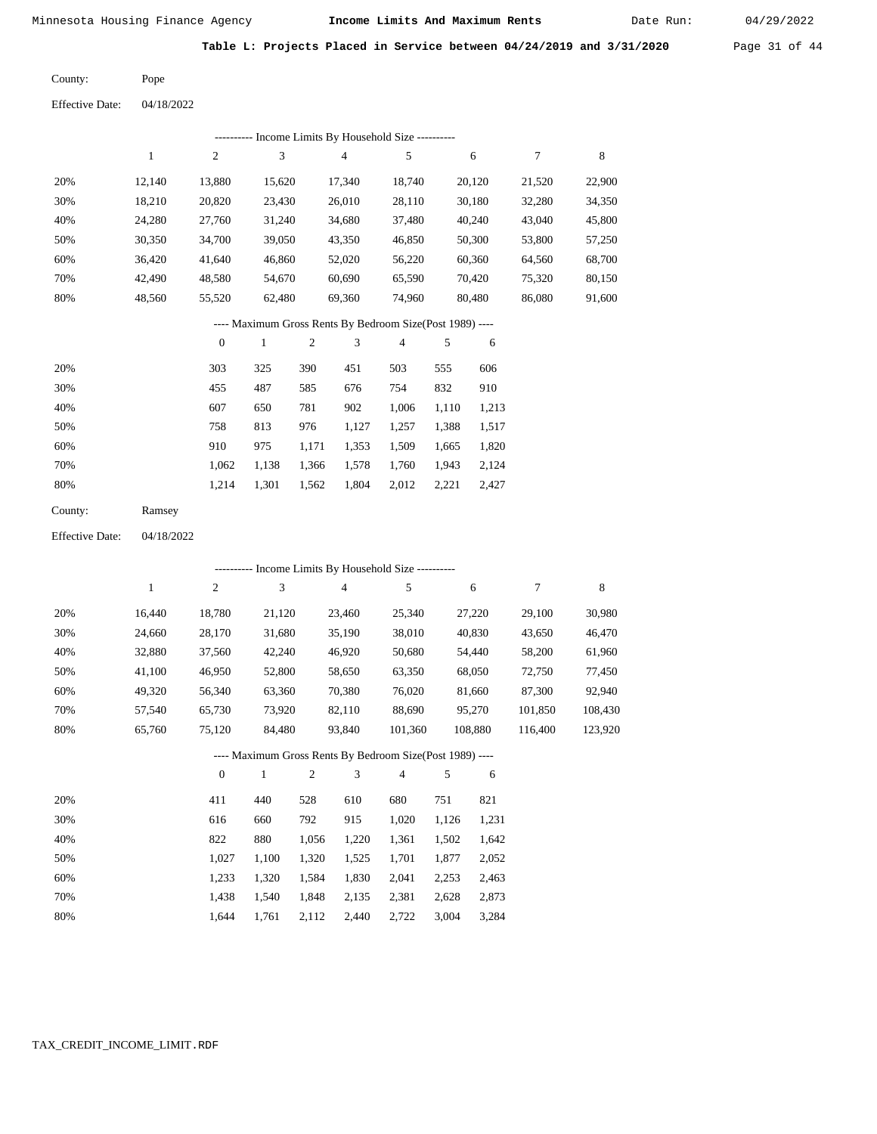Date Run:

**Table L: Projects Placed in Service between 04/24/2019 and 3/31/2020** Page 31 of 44

Pope County:

04/18/2022 Effective Date:

| ---------- Income Limits By Household Size ---------- |        |                |        |        |        |        |        |        |  |  |  |
|-------------------------------------------------------|--------|----------------|--------|--------|--------|--------|--------|--------|--|--|--|
|                                                       |        | $\overline{2}$ | 3      | 4      | 5      | 6      | 7      | 8      |  |  |  |
| 20%                                                   | 12.140 | 13,880         | 15.620 | 17.340 | 18.740 | 20,120 | 21,520 | 22,900 |  |  |  |
| 30%                                                   | 18,210 | 20,820         | 23,430 | 26,010 | 28,110 | 30,180 | 32,280 | 34,350 |  |  |  |
| 40%                                                   | 24,280 | 27,760         | 31,240 | 34,680 | 37,480 | 40,240 | 43,040 | 45,800 |  |  |  |
| 50%                                                   | 30,350 | 34,700         | 39,050 | 43,350 | 46,850 | 50,300 | 53,800 | 57,250 |  |  |  |
| 60%                                                   | 36.420 | 41,640         | 46,860 | 52,020 | 56,220 | 60.360 | 64,560 | 68,700 |  |  |  |
| 70%                                                   | 42,490 | 48,580         | 54,670 | 60,690 | 65,590 | 70.420 | 75,320 | 80,150 |  |  |  |
| 80%                                                   | 48,560 | 55,520         | 62,480 | 69,360 | 74,960 | 80,480 | 86,080 | 91,600 |  |  |  |

# ---- Maximum Gross Rents By Bedroom Size(Post 1989) ----

|     | $\mathbf{0}$ |       | 2     | 3     | 4     | 5     | 6     |
|-----|--------------|-------|-------|-------|-------|-------|-------|
| 20% | 303          | 325   | 390   | 451   | 503   | 555   | 606   |
| 30% | 455          | 487   | 585   | 676   | 754   | 832   | 910   |
| 40% | 607          | 650   | 781   | 902   | 1,006 | 1,110 | 1,213 |
| 50% | 758          | 813   | 976   | 1,127 | 1,257 | 1,388 | 1,517 |
| 60% | 910          | 975   | 1,171 | 1,353 | 1,509 | 1,665 | 1,820 |
| 70% | 1,062        | 1,138 | 1,366 | 1,578 | 1,760 | 1,943 | 2,124 |
| 80% | 1.214        | 1,301 | 1,562 | 1,804 | 2,012 | 2,221 | 2,427 |
|     |              |       |       |       |       |       |       |

| County: | Ramsey |
|---------|--------|
|---------|--------|

Effective Date: 04/18/2022

|     |        |              |        |                |        | ---------- Income Limits By Household Size ----------    |       |         |         |         |
|-----|--------|--------------|--------|----------------|--------|----------------------------------------------------------|-------|---------|---------|---------|
|     | 1      | 2            | 3      |                | 4      | 5                                                        |       | 6       | 7       | 8       |
| 20% | 16,440 | 18,780       | 21,120 |                | 23,460 | 25,340                                                   |       | 27,220  | 29,100  | 30,980  |
| 30% | 24,660 | 28,170       | 31,680 |                | 35,190 | 38,010                                                   |       | 40,830  | 43,650  | 46,470  |
| 40% | 32,880 | 37,560       | 42,240 |                | 46,920 | 50,680                                                   |       | 54,440  | 58,200  | 61,960  |
| 50% | 41,100 | 46,950       | 52,800 |                | 58,650 | 63,350                                                   |       | 68,050  | 72,750  | 77,450  |
| 60% | 49,320 | 56,340       | 63,360 |                | 70,380 | 76,020                                                   |       | 81,660  | 87,300  | 92,940  |
| 70% | 57,540 | 65,730       | 73,920 |                | 82,110 | 88,690                                                   |       | 95,270  | 101.850 | 108,430 |
| 80% | 65,760 | 75,120       | 84,480 |                | 93,840 | 101,360                                                  |       | 108,880 | 116,400 | 123,920 |
|     |        |              |        |                |        | ---- Maximum Gross Rents By Bedroom Size(Post 1989) ---- |       |         |         |         |
|     |        | $\mathbf{0}$ | 1      | $\overline{2}$ | 3      | 4                                                        | 5     | 6       |         |         |
| 20% |        | 411          | 440    | 528            | 610    | 680                                                      | 751   | 821     |         |         |
| 30% |        | 616          | 660    | 792            | 915    | 1,020                                                    | 1,126 | 1,231   |         |         |

| 30% | 616   | 660   | 792   | 915   | 1.020 | 1,126 1,231 |       |
|-----|-------|-------|-------|-------|-------|-------------|-------|
| 40% | 822   | 880   | 1.056 | 1.220 | 1.361 | 1.502       | 1,642 |
| 50% | 1.027 | 1.100 | 1.320 | 1,525 | 1,701 | 1,877       | 2,052 |
| 60% | 1.233 | 1.320 | 1.584 | 1.830 | 2,041 | 2.253       | 2,463 |
| 70% | 1.438 | 1.540 | 1.848 | 2.135 | 2.381 | 2.628       | 2,873 |
| 80% | 1.644 | 1.761 | 2,112 | 2,440 | 2,722 | 3,004       | 3,284 |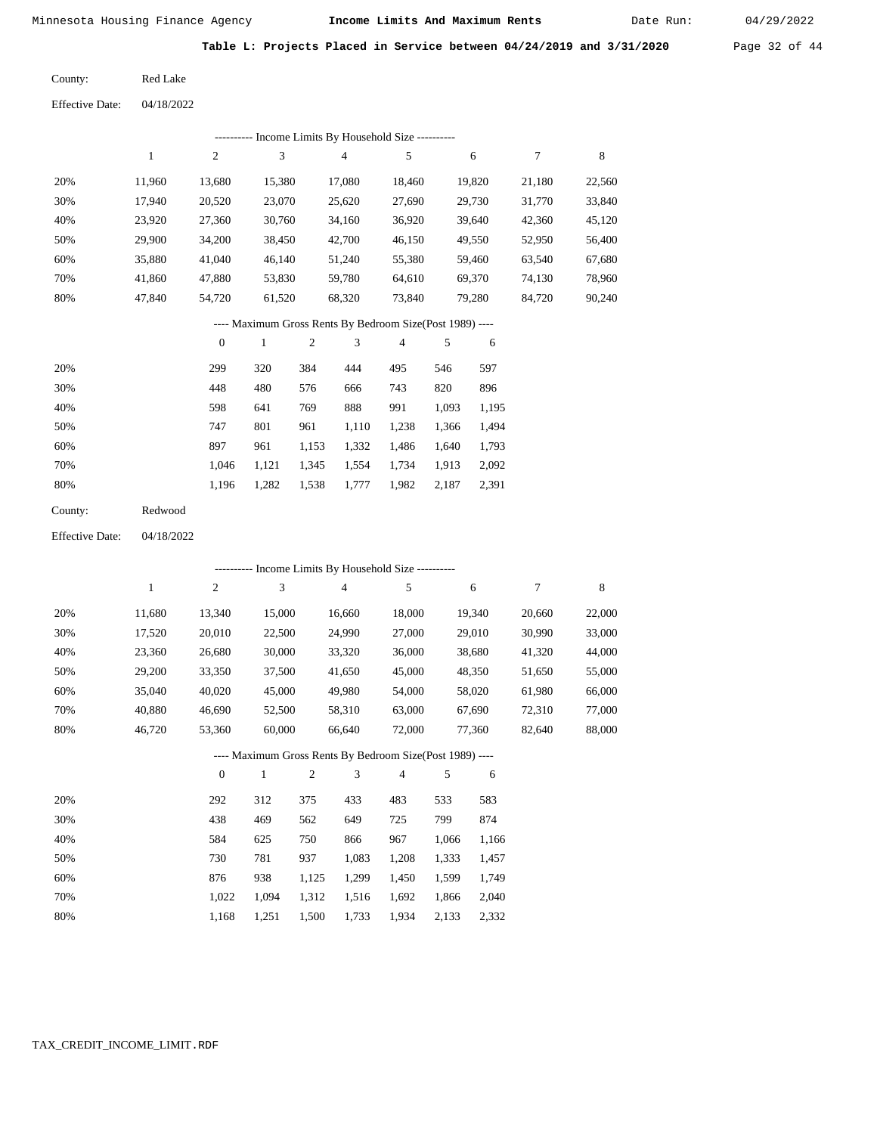Date Run:

**Table L: Projects Placed in Service between 04/24/2019 and 3/31/2020** Page 32 of 44

Red Lake County:

| <b>Effective Date:</b> | 04/18/2022 |
|------------------------|------------|
|                        |            |

| Income Limits By Household Size - |        |                |        |        |        |        |        |        |  |  |  |  |
|-----------------------------------|--------|----------------|--------|--------|--------|--------|--------|--------|--|--|--|--|
|                                   |        | $\overline{c}$ | 3      | 4      | 5      | 6      | 7      | 8      |  |  |  |  |
| 20%                               | 11.960 | 13,680         | 15,380 | 17,080 | 18,460 | 19,820 | 21,180 | 22,560 |  |  |  |  |
| 30%                               | 17,940 | 20,520         | 23,070 | 25,620 | 27,690 | 29,730 | 31,770 | 33,840 |  |  |  |  |
| 40%                               | 23,920 | 27,360         | 30,760 | 34,160 | 36,920 | 39,640 | 42,360 | 45,120 |  |  |  |  |
| 50%                               | 29,900 | 34,200         | 38,450 | 42,700 | 46,150 | 49,550 | 52,950 | 56,400 |  |  |  |  |
| 60%                               | 35,880 | 41,040         | 46.140 | 51,240 | 55,380 | 59,460 | 63,540 | 67,680 |  |  |  |  |
| 70%                               | 41.860 | 47,880         | 53,830 | 59,780 | 64,610 | 69,370 | 74,130 | 78,960 |  |  |  |  |
| 80%                               | 47.840 | 54.720         | 61,520 | 68,320 | 73,840 | 79,280 | 84,720 | 90,240 |  |  |  |  |

# ---- Maximum Gross Rents By Bedroom Size(Post 1989) ----

|     | $\mathbf{0}$ |       | $\overline{2}$ | 3     | 4     | 5     | 6     |
|-----|--------------|-------|----------------|-------|-------|-------|-------|
| 20% | 299          | 320   | 384            | 444   | 495   | 546   | 597   |
| 30% | 448          | 480   | 576            | 666   | 743   | 820   | 896   |
| 40% | 598          | 641   | 769            | 888   | 991   | 1,093 | 1,195 |
| 50% | 747          | 801   | 961            | 1,110 | 1,238 | 1,366 | 1,494 |
| 60% | 897          | 961   | 1,153          | 1,332 | 1,486 | 1,640 | 1,793 |
| 70% | 1.046        | 1,121 | 1,345          | 1,554 | 1,734 | 1,913 | 2,092 |
| 80% | 1,196        | 1,282 | 1,538          | 1,777 | 1,982 | 2,187 | 2,391 |
|     |              |       |                |       |       |       |       |

| County: | Redwood |
|---------|---------|
|         |         |

04/18/2022 Effective Date:

|                                                          | - Income Limits By Household Size ---------- |          |              |                |                |                |       |        |        |        |  |  |  |
|----------------------------------------------------------|----------------------------------------------|----------|--------------|----------------|----------------|----------------|-------|--------|--------|--------|--|--|--|
|                                                          | 1                                            | 2        | 3            |                | $\overline{4}$ | 5              |       | 6      | 7      | 8      |  |  |  |
| 20%                                                      | 11,680                                       | 13,340   | 15,000       |                | 16,660         | 18,000         |       | 19,340 | 20,660 | 22,000 |  |  |  |
| 30%                                                      | 17,520                                       | 20,010   | 22,500       |                | 24,990         | 27,000         |       | 29,010 | 30,990 | 33,000 |  |  |  |
| 40%                                                      | 23,360                                       | 26,680   | 30,000       |                | 33,320         | 36,000         |       | 38,680 | 41,320 | 44,000 |  |  |  |
| 50%                                                      | 29,200                                       | 33,350   | 37,500       |                | 41,650         | 45,000         |       | 48,350 | 51,650 | 55,000 |  |  |  |
| 60%                                                      | 35,040                                       | 40,020   | 45,000       |                | 49,980         | 54,000         |       | 58,020 | 61,980 | 66,000 |  |  |  |
| 70%                                                      | 40,880                                       | 46,690   | 52,500       |                | 58,310         | 63,000         |       | 67,690 | 72,310 | 77,000 |  |  |  |
| 80%                                                      | 46,720                                       | 53,360   | 60,000       |                | 66,640         | 72,000         |       | 77,360 | 82,640 | 88,000 |  |  |  |
| ---- Maximum Gross Rents By Bedroom Size(Post 1989) ---- |                                              |          |              |                |                |                |       |        |        |        |  |  |  |
|                                                          |                                              | $\theta$ | $\mathbf{1}$ | $\mathfrak{2}$ | 3              | $\overline{4}$ | 5     | 6      |        |        |  |  |  |
| 20%                                                      |                                              | 292      | 312          | 375            | 433            | 483            | 533   | 583    |        |        |  |  |  |
| 30%                                                      |                                              | 438      | 469          | 562            | 649            | 725            | 799   | 874    |        |        |  |  |  |
| 40%                                                      |                                              | 584      | 625          | 750            | 866            | 967            | 1,066 | 1,166  |        |        |  |  |  |
| 50%                                                      |                                              | 730      | 781          | 937            | 1,083          | 1,208          | 1,333 | 1,457  |        |        |  |  |  |
| 60%                                                      |                                              | 876      | 938          | 1,125          | 1,299          | 1,450          | 1,599 | 1,749  |        |        |  |  |  |
| 70%                                                      |                                              | 1,022    | 1,094        | 1,312          | 1,516          | 1,692          | 1,866 | 2,040  |        |        |  |  |  |

1,168 1,251 1,500 1,733 1,934 2,133 2,332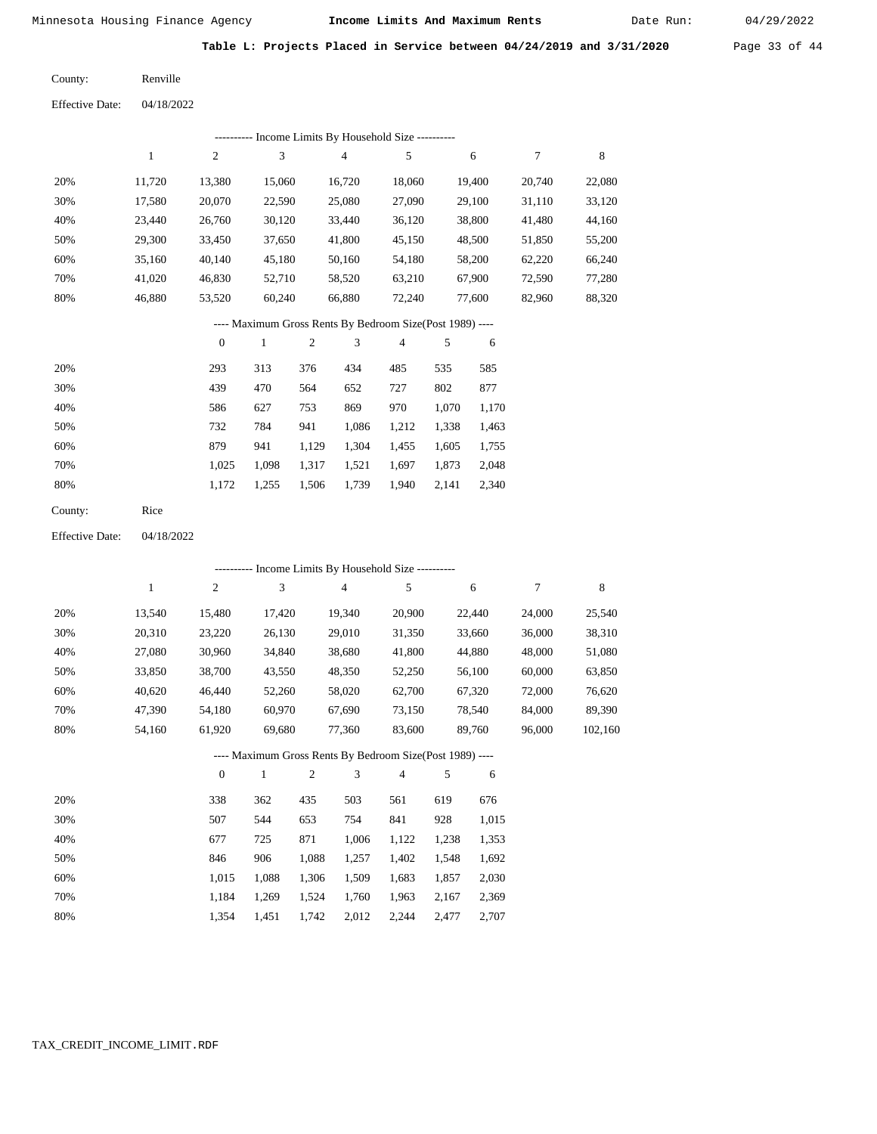Date Run:

**Table L: Projects Placed in Service between 04/24/2019 and 3/31/2020** Page 33 of 44

04/18/2022 Renville County: Effective Date:

| ---------- Income Limits By Household Size ---------- |        |        |        |        |        |        |        |        |  |  |  |  |
|-------------------------------------------------------|--------|--------|--------|--------|--------|--------|--------|--------|--|--|--|--|
|                                                       |        | 2      | 3      | 4      | 5      | 6      | 7      | 8      |  |  |  |  |
| 20%                                                   | 11.720 | 13,380 | 15,060 | 16,720 | 18,060 | 19.400 | 20,740 | 22,080 |  |  |  |  |
| 30%                                                   | 17.580 | 20,070 | 22,590 | 25,080 | 27,090 | 29.100 | 31,110 | 33,120 |  |  |  |  |
| 40%                                                   | 23.440 | 26,760 | 30,120 | 33,440 | 36,120 | 38,800 | 41,480 | 44,160 |  |  |  |  |
| 50%                                                   | 29,300 | 33.450 | 37,650 | 41,800 | 45,150 | 48,500 | 51,850 | 55,200 |  |  |  |  |
| 60%                                                   | 35,160 | 40,140 | 45,180 | 50,160 | 54,180 | 58,200 | 62,220 | 66,240 |  |  |  |  |
| 70%                                                   | 41,020 | 46,830 | 52,710 | 58,520 | 63,210 | 67,900 | 72,590 | 77,280 |  |  |  |  |
| 80%                                                   | 46,880 | 53,520 | 60,240 | 66,880 | 72,240 | 77,600 | 82,960 | 88,320 |  |  |  |  |

## ---- Maximum Gross Rents By Bedroom Size(Post 1989) ----

|     | $\mathbf{0}$ |       | $\overline{c}$ | 3     | 4     | 5     | 6     |
|-----|--------------|-------|----------------|-------|-------|-------|-------|
| 20% | 293          | 313   | 376            | 434   | 485   | 535   | 585   |
| 30% | 439          | 470   | 564            | 652   | 727   | 802   | 877   |
| 40% | 586          | 627   | 753            | 869   | 970   | 1,070 | 1,170 |
| 50% | 732          | 784   | 941            | 1,086 | 1,212 | 1,338 | 1,463 |
| 60% | 879          | 941   | 1,129          | 1,304 | 1,455 | 1,605 | 1,755 |
| 70% | 1,025        | 1.098 | 1,317          | 1,521 | 1,697 | 1,873 | 2,048 |
| 80% | 1,172        | 1,255 | 1,506          | 1,739 | 1,940 | 2,141 | 2,340 |
|     |              |       |                |       |       |       |       |

| County: | Rice |
|---------|------|
|---------|------|

04/18/2022 Effective Date:

|     |        |                  |        |                | ---------- Income Limits By Household Size ----------    |                |       |        |        |         |
|-----|--------|------------------|--------|----------------|----------------------------------------------------------|----------------|-------|--------|--------|---------|
|     | 1      | $\overline{c}$   | 3      |                | 4                                                        | 5              |       | 6      | 7      | 8       |
| 20% | 13,540 | 15,480           | 17,420 |                | 19,340                                                   | 20,900         |       | 22,440 | 24,000 | 25,540  |
| 30% | 20,310 | 23,220           | 26,130 |                | 29,010                                                   | 31,350         |       | 33,660 | 36,000 | 38,310  |
| 40% | 27,080 | 30,960           | 34,840 |                | 38,680                                                   | 41,800         |       | 44,880 | 48,000 | 51,080  |
| 50% | 33,850 | 38,700           | 43,550 |                | 48,350                                                   | 52,250         |       | 56,100 | 60,000 | 63,850  |
| 60% | 40,620 | 46,440           | 52,260 |                | 58,020                                                   | 62,700         |       | 67,320 | 72,000 | 76,620  |
| 70% | 47,390 | 54,180           | 60,970 |                | 67,690                                                   | 73,150         |       | 78,540 | 84,000 | 89,390  |
| 80% | 54,160 | 61,920           | 69,680 |                | 77,360                                                   | 83,600         |       | 89,760 | 96,000 | 102,160 |
|     |        |                  |        |                | ---- Maximum Gross Rents By Bedroom Size(Post 1989) ---- |                |       |        |        |         |
|     |        | $\boldsymbol{0}$ | 1      | $\overline{2}$ | 3                                                        | $\overline{4}$ | 5     | 6      |        |         |
| 20% |        | 338              | 362    | 435            | 503                                                      | 561            | 619   | 676    |        |         |
| 30% |        | 507              | 544    | 653            | 754                                                      | 841            | 928   | 1,015  |        |         |
| 40% |        | 677              | 725    | 871            | 1,006                                                    | 1,122          | 1,238 | 1,353  |        |         |
| 50% |        | 846              | 906    | 1,088          | 1,257                                                    | 1,402          | 1,548 | 1,692  |        |         |
| 60% |        | 1,015            | 1,088  | 1,306          | 1,509                                                    | 1,683          | 1,857 | 2,030  |        |         |

 1,184 1,354  1,269 1,451  1,524 1,742

 1,760 2,012  1,963 2,244  2,167 2,477  2,369 2,707

 70% 80%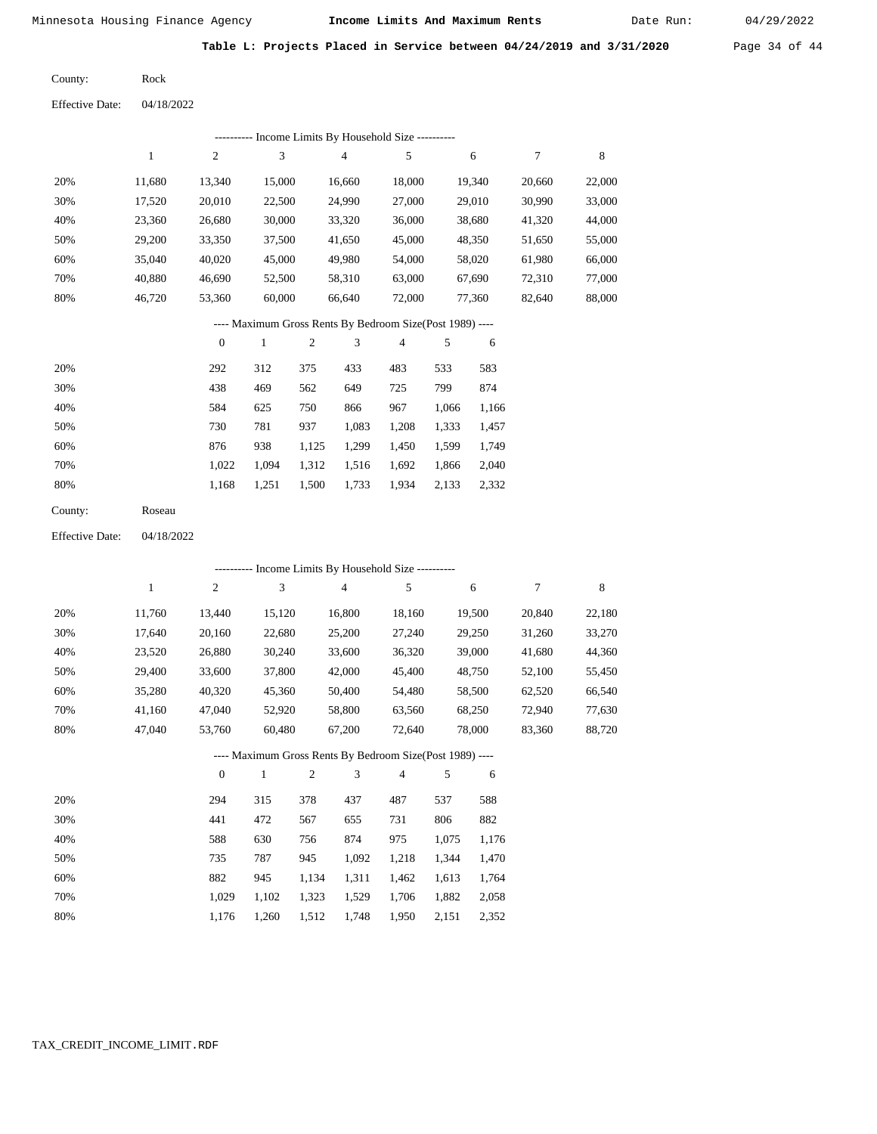Rock

Minnesota Housing Finance Agency **Income Limits And Maximum Rents** Date Run: 04/29/2022

Date Run:

**Table L: Projects Placed in Service between 04/24/2019 and 3/31/2020** Page 34 of 44

County:

Effective Date: 04/18/2022

|                        |            |                  |        |       | --------- Income Limits By Household Size ----------     |        |       |        |        |             |
|------------------------|------------|------------------|--------|-------|----------------------------------------------------------|--------|-------|--------|--------|-------------|
|                        | 1          | $\mathbf{2}$     | 3      |       | 4                                                        | 5      |       | 6      | $\tau$ | $\,$ 8 $\,$ |
| 20%                    | 11,680     | 13,340           | 15,000 |       | 16,660                                                   | 18,000 |       | 19,340 | 20,660 | 22,000      |
| 30%                    | 17,520     | 20,010           | 22,500 |       | 24,990                                                   | 27,000 |       | 29,010 | 30,990 | 33,000      |
| 40%                    | 23,360     | 26,680           | 30,000 |       | 33,320                                                   | 36,000 |       | 38,680 | 41,320 | 44,000      |
| 50%                    | 29,200     | 33,350           | 37,500 |       | 41,650                                                   | 45,000 |       | 48,350 | 51,650 | 55,000      |
| 60%                    | 35,040     | 40,020           | 45,000 |       | 49,980                                                   | 54,000 |       | 58,020 | 61,980 | 66,000      |
| 70%                    | 40,880     | 46,690           | 52,500 |       | 58,310                                                   | 63,000 |       | 67,690 | 72,310 | 77,000      |
| 80%                    | 46,720     | 53,360           | 60,000 |       | 66,640                                                   | 72,000 |       | 77,360 | 82,640 | 88,000      |
|                        |            |                  |        |       | ---- Maximum Gross Rents By Bedroom Size(Post 1989) ---- |        |       |        |        |             |
|                        |            | $\boldsymbol{0}$ | 1      | 2     | 3                                                        | 4      | 5     | 6      |        |             |
| 20%                    |            | 292              | 312    | 375   | 433                                                      | 483    | 533   | 583    |        |             |
| 30%                    |            | 438              | 469    | 562   | 649                                                      | 725    | 799   | 874    |        |             |
| 40%                    |            | 584              | 625    | 750   | 866                                                      | 967    | 1,066 | 1,166  |        |             |
| 50%                    |            | 730              | 781    | 937   | 1,083                                                    | 1,208  | 1,333 | 1,457  |        |             |
| 60%                    |            | 876              | 938    | 1,125 | 1,299                                                    | 1,450  | 1,599 | 1,749  |        |             |
| 70%                    |            | 1,022            | 1,094  | 1,312 | 1,516                                                    | 1,692  | 1,866 | 2,040  |        |             |
| 80%                    |            | 1,168            | 1,251  | 1,500 | 1,733                                                    | 1,934  | 2,133 | 2,332  |        |             |
| County:                | Roseau     |                  |        |       |                                                          |        |       |        |        |             |
| <b>Effective Date:</b> | 04/18/2022 |                  |        |       |                                                          |        |       |        |        |             |
|                        |            |                  |        |       | --------- Income Limits By Household Size ----------     |        |       |        |        |             |
|                        |            | 2                | 3      |       | $\overline{4}$                                           | .5     |       | 6      | 7      | 8           |

|                                                           |        | $\overline{c}$ | 3      | 4      | 5      | 6      | 7      | 8      |  |  |  |
|-----------------------------------------------------------|--------|----------------|--------|--------|--------|--------|--------|--------|--|--|--|
| 20%                                                       | 11.760 | 13,440         | 15,120 | 16,800 | 18,160 | 19,500 | 20,840 | 22,180 |  |  |  |
| 30%                                                       | 17.640 | 20,160         | 22,680 | 25,200 | 27,240 | 29,250 | 31,260 | 33,270 |  |  |  |
| 40%                                                       | 23,520 | 26,880         | 30,240 | 33,600 | 36,320 | 39,000 | 41,680 | 44,360 |  |  |  |
| 50%                                                       | 29.400 | 33,600         | 37,800 | 42,000 | 45,400 | 48,750 | 52,100 | 55,450 |  |  |  |
| 60%                                                       | 35,280 | 40,320         | 45,360 | 50,400 | 54,480 | 58,500 | 62,520 | 66,540 |  |  |  |
| 70%                                                       | 41,160 | 47,040         | 52,920 | 58,800 | 63,560 | 68,250 | 72,940 | 77,630 |  |  |  |
| 80%                                                       | 47.040 | 53,760         | 60.480 | 67,200 | 72.640 | 78,000 | 83,360 | 88,720 |  |  |  |
| ---- Maximum Gross Rents By Bedroom Size (Post 1989) ---- |        |                |        |        |        |        |        |        |  |  |  |

|     |       |       | $\overline{2}$ | 3     | 4     |       | 6     |
|-----|-------|-------|----------------|-------|-------|-------|-------|
| 20% | 294   | 315   | 378            | 437   | 487   | 537   | 588   |
| 30% | 441   | 472   | 567            | 655   | 731   | 806   | 882   |
| 40% | 588   | 630   | 756            | 874   | 975   | 1,075 | 1,176 |
| 50% | 735   | 787   | 945            | 1,092 | 1,218 | 1,344 | 1,470 |
| 60% | 882   | 945   | 1,134          | 1,311 | 1,462 | 1,613 | 1,764 |
| 70% | 1.029 | 1,102 | 1,323          | 1,529 | 1,706 | 1,882 | 2,058 |
| 80% | 1.176 | 1,260 | 1,512          | 1,748 | 1,950 | 2,151 | 2,352 |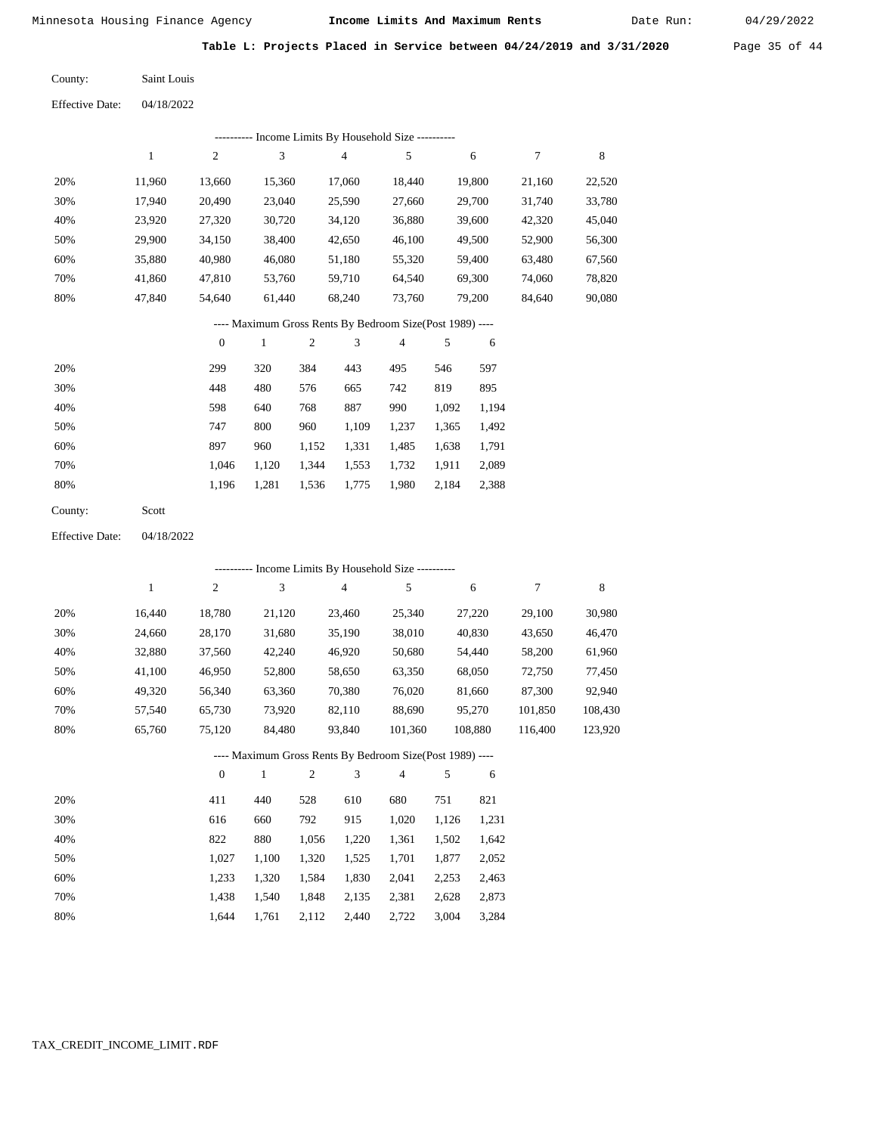Date Run:

**Table L: Projects Placed in Service between 04/24/2019 and 3/31/2020** Page 35 of 44

Saint Louis County:

Effective Date: 04/18/2022

| --------- Income Limits By Household Size ---------- |        |        |        |                                                           |        |        |        |        |  |  |  |
|------------------------------------------------------|--------|--------|--------|-----------------------------------------------------------|--------|--------|--------|--------|--|--|--|
|                                                      | 1      | 2      | 3      | 4                                                         | 5      | 6      | 7      | 8      |  |  |  |
| 20%                                                  | 11.960 | 13.660 | 15,360 | 17.060                                                    | 18.440 | 19.800 | 21,160 | 22,520 |  |  |  |
| 30%                                                  | 17.940 | 20.490 | 23,040 | 25,590                                                    | 27,660 | 29,700 | 31,740 | 33,780 |  |  |  |
| 40%                                                  | 23.920 | 27.320 | 30.720 | 34,120                                                    | 36,880 | 39.600 | 42.320 | 45,040 |  |  |  |
| 50%                                                  | 29.900 | 34.150 | 38,400 | 42,650                                                    | 46.100 | 49,500 | 52,900 | 56,300 |  |  |  |
| 60%                                                  | 35,880 | 40.980 | 46.080 | 51,180                                                    | 55,320 | 59.400 | 63.480 | 67,560 |  |  |  |
| 70%                                                  | 41,860 | 47.810 | 53,760 | 59,710                                                    | 64,540 | 69,300 | 74,060 | 78,820 |  |  |  |
| 80%                                                  | 47.840 | 54,640 | 61.440 | 68,240                                                    | 73,760 | 79,200 | 84,640 | 90,080 |  |  |  |
|                                                      |        |        |        | ---- Maximum Gross Rents By Bedroom Size (Post 1989) ---- |        |        |        |        |  |  |  |

|     | $\mathbf{0}$ |       | $\overline{c}$ | 3     | 4     | 5     | 6     |
|-----|--------------|-------|----------------|-------|-------|-------|-------|
| 20% | 299          | 320   | 384            | 443   | 495   | 546   | 597   |
| 30% | 448          | 480   | 576            | 665   | 742   | 819   | 895   |
| 40% | 598          | 640   | 768            | 887   | 990   | 1,092 | 1,194 |
| 50% | 747          | 800   | 960            | 1,109 | 1,237 | 1,365 | 1,492 |
| 60% | 897          | 960   | 1,152          | 1,331 | 1,485 | 1,638 | 1,791 |
| 70% | 1.046        | 1,120 | 1,344          | 1,553 | 1,732 | 1,911 | 2,089 |
| 80% | 1,196        | 1,281 | 1,536          | 1,775 | 1,980 | 2,184 | 2,388 |
|     |              |       |                |       |       |       |       |

Scott County:

Effective Date: 04/18/2022

|     | Income Limits By Household Size ---------- |          |        |                                                          |         |         |         |         |  |  |  |
|-----|--------------------------------------------|----------|--------|----------------------------------------------------------|---------|---------|---------|---------|--|--|--|
|     | 1                                          | 2        | 3      | 4                                                        | 5       | 6       | 7       | 8       |  |  |  |
| 20% | 16.440                                     | 18,780   | 21,120 | 23,460                                                   | 25,340  | 27,220  | 29,100  | 30,980  |  |  |  |
| 30% | 24,660                                     | 28,170   | 31,680 | 35,190                                                   | 38,010  | 40,830  | 43,650  | 46,470  |  |  |  |
| 40% | 32,880                                     | 37,560   | 42,240 | 46,920                                                   | 50,680  | 54,440  | 58,200  | 61,960  |  |  |  |
| 50% | 41,100                                     | 46,950   | 52,800 | 58,650                                                   | 63,350  | 68,050  | 72,750  | 77,450  |  |  |  |
| 60% | 49,320                                     | 56,340   | 63,360 | 70,380                                                   | 76,020  | 81,660  | 87,300  | 92,940  |  |  |  |
| 70% | 57.540                                     | 65,730   | 73,920 | 82,110                                                   | 88,690  | 95,270  | 101,850 | 108,430 |  |  |  |
| 80% | 65,760                                     | 75,120   | 84,480 | 93,840                                                   | 101,360 | 108,880 | 116.400 | 123,920 |  |  |  |
|     |                                            |          |        | ---- Maximum Gross Rents By Bedroom Size(Post 1989) ---- |         |         |         |         |  |  |  |
|     |                                            | $\theta$ | 1      | 2<br>3                                                   | 4       | 5<br>6  |         |         |  |  |  |
|     |                                            |          |        |                                                          | ---     |         |         |         |  |  |  |

| 20% | 411   | 440   | 528   | 610   | 680   | 751   | 821   |
|-----|-------|-------|-------|-------|-------|-------|-------|
| 30% | 616   | 660   | 792   | 915   | 1.020 | 1.126 | 1,231 |
| 40% | 822   | 880   | 1.056 | 1.220 | 1,361 | 1.502 | 1,642 |
| 50% | 1.027 | 1.100 | 1.320 | 1.525 | 1,701 | 1.877 | 2,052 |
| 60% | 1.233 | 1.320 | 1.584 | 1,830 | 2.041 | 2.253 | 2,463 |
| 70% | 1.438 | 1.540 | 1,848 | 2,135 | 2,381 | 2.628 | 2,873 |
| 80% | 1.644 | 1.761 | 2,112 | 2.440 | 2,722 | 3,004 | 3,284 |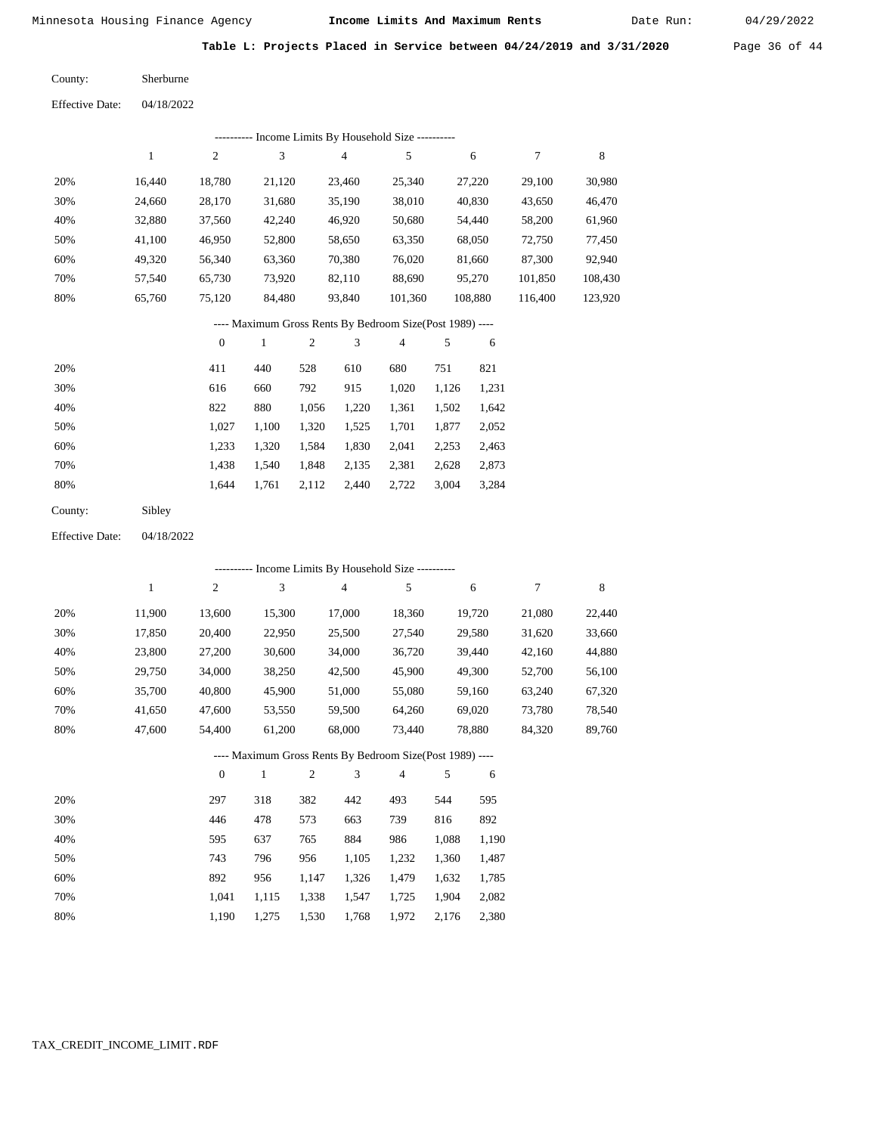Date Run:

**Table L: Projects Placed in Service between 04/24/2019 and 3/31/2020** Page 36 of 44

Effective Date: 04/18/2022 Sherburne County:

|                        |              |                  |                             |            | --------- Income Limits By Household Size ----------     |                |         |        |                  |             |
|------------------------|--------------|------------------|-----------------------------|------------|----------------------------------------------------------|----------------|---------|--------|------------------|-------------|
|                        | $\mathbf{1}$ | $\sqrt{2}$       | $\ensuremath{\mathfrak{Z}}$ |            |                                                          | 5              |         | 6      | $\boldsymbol{7}$ | $\,$ 8 $\,$ |
| 20%                    | 16,440       | 18,780           |                             | 21,120     |                                                          | 25,340         |         | 27,220 | 29,100           | 30,980      |
| 30%                    | 24,660       | 28,170           | 31,680                      |            | 35,190                                                   | 38,010         |         | 40,830 | 43,650           | 46,470      |
| 40%                    | 32,880       | 37,560           | 42,240                      |            | 46,920                                                   | 50,680         |         | 54,440 | 58,200           | 61,960      |
| 50%                    | 41,100       | 46,950           | 52,800                      |            | 58,650                                                   | 63,350         |         | 68,050 | 72,750           | 77,450      |
| 60%                    | 49,320       | 56,340           | 63,360                      |            | 70,380                                                   | 76,020         |         | 81,660 | 87,300           | 92,940      |
| 70%                    | 57,540       | 65,730           | 73,920                      |            | 82,110                                                   | 88,690         |         | 95,270 | 101,850          | 108,430     |
| 80%                    | 65,760       | 75,120           | 84,480                      |            | 93,840                                                   | 101,360        | 108,880 |        | 116,400          | 123,920     |
|                        |              |                  |                             |            | ---- Maximum Gross Rents By Bedroom Size(Post 1989) ---- |                |         |        |                  |             |
|                        |              | $\boldsymbol{0}$ | $\mathbf{1}$                | $\sqrt{2}$ | 3                                                        | $\overline{4}$ | 5       | 6      |                  |             |
| 20%                    |              | 411              | 440                         | 528        | 610                                                      | 680            | 751     | 821    |                  |             |
| 30%                    |              | 616              | 660                         | 792        | 915                                                      | 1,020          | 1,126   | 1,231  |                  |             |
| 40%                    |              | 822              | 880                         | 1,056      | 1,220                                                    | 1,361          | 1,502   | 1,642  |                  |             |
| 50%                    |              | 1,027            | 1,100                       | 1,320      | 1,525                                                    | 1,701          | 1,877   | 2,052  |                  |             |
| 60%                    |              | 1,233            | 1,320                       | 1,584      | 1,830                                                    | 2,041          | 2,253   | 2,463  |                  |             |
| 70%                    |              | 1,438            | 1,540                       | 1,848      | 2,135                                                    | 2,381          | 2,628   | 2,873  |                  |             |
| 80%                    |              | 1,644            | 1,761                       | 2,112      | 2,440                                                    | 2,722          | 3,004   | 3,284  |                  |             |
| County:                | Sibley       |                  |                             |            |                                                          |                |         |        |                  |             |
| <b>Effective Date:</b> | 04/18/2022   |                  |                             |            |                                                          |                |         |        |                  |             |
|                        |              |                  |                             |            | --------- Income Limits By Household Size ----------     |                |         |        |                  |             |
|                        | $\mathbf{1}$ | $\sqrt{2}$       | 3                           |            | $\overline{4}$                                           | 5              |         | 6      | 7                | $\,$ 8 $\,$ |
| 20%                    | 11,900       | 13,600           | 15,300                      |            | 17,000                                                   | 18,360         |         | 19,720 | 21,080           | 22,440      |
| 30%                    | 17,850       | 20,400           | 22,950                      |            | 25,500                                                   | 27,540         |         | 29,580 | 31,620           | 33,660      |
| 40%                    | 23,800       | 27,200           | 30,600                      |            | 34,000                                                   | 36,720         |         | 39,440 | 42,160           | 44,880      |
| 50%                    | 29,750       | 34,000           | 38,250                      |            | 42,500                                                   | 45,900         |         | 49,300 | 52,700           | 56,100      |
| 60%                    | 35,700       | 40,800           | 45,900                      |            | 51,000                                                   | 55,080         |         | 59,160 | 63,240           | 67,320      |
| 70%                    | 41,650       | 47,600           | 53,550                      |            | 59,500                                                   | 64,260         |         | 69,020 | 73,780           | 78,540      |
| 80%                    | 47,600       | 54,400           | 61,200                      |            | 68,000                                                   | 73,440         |         | 78,880 | 84,320           | 89,760      |
|                        |              |                  |                             |            | ---- Maximum Gross Rents By Bedroom Size(Post 1989) ---- |                |         |        |                  |             |
|                        |              | $\boldsymbol{0}$ | $\mathbf{1}$                | 2          | 3                                                        | 4              | 5       | 6      |                  |             |
| 20%                    |              | 297              | 318                         | 382        | 442                                                      | 493            | 544     | 595    |                  |             |
| 30%                    |              | 446              | 478                         | 573        | 663                                                      | 739            | 816     | 892    |                  |             |
| 40%                    |              | 595              | 637                         | 765        | 884                                                      | 986            | 1,088   | 1,190  |                  |             |
| 50%                    |              | 743              | 796                         | 956        | 1,105                                                    | 1,232          | 1,360   | 1,487  |                  |             |
| 60%                    |              | 892              | 956                         | 1,147      | 1,326                                                    | 1,479          | 1,632   | 1,785  |                  |             |
| 70%                    |              | 1,041            | 1,115                       | 1,338      | 1,547                                                    | 1,725          | 1,904   | 2,082  |                  |             |
| 80%                    |              | 1,190            | 1,275                       | 1,530      | 1,768                                                    | 1,972          | 2,176   | 2,380  |                  |             |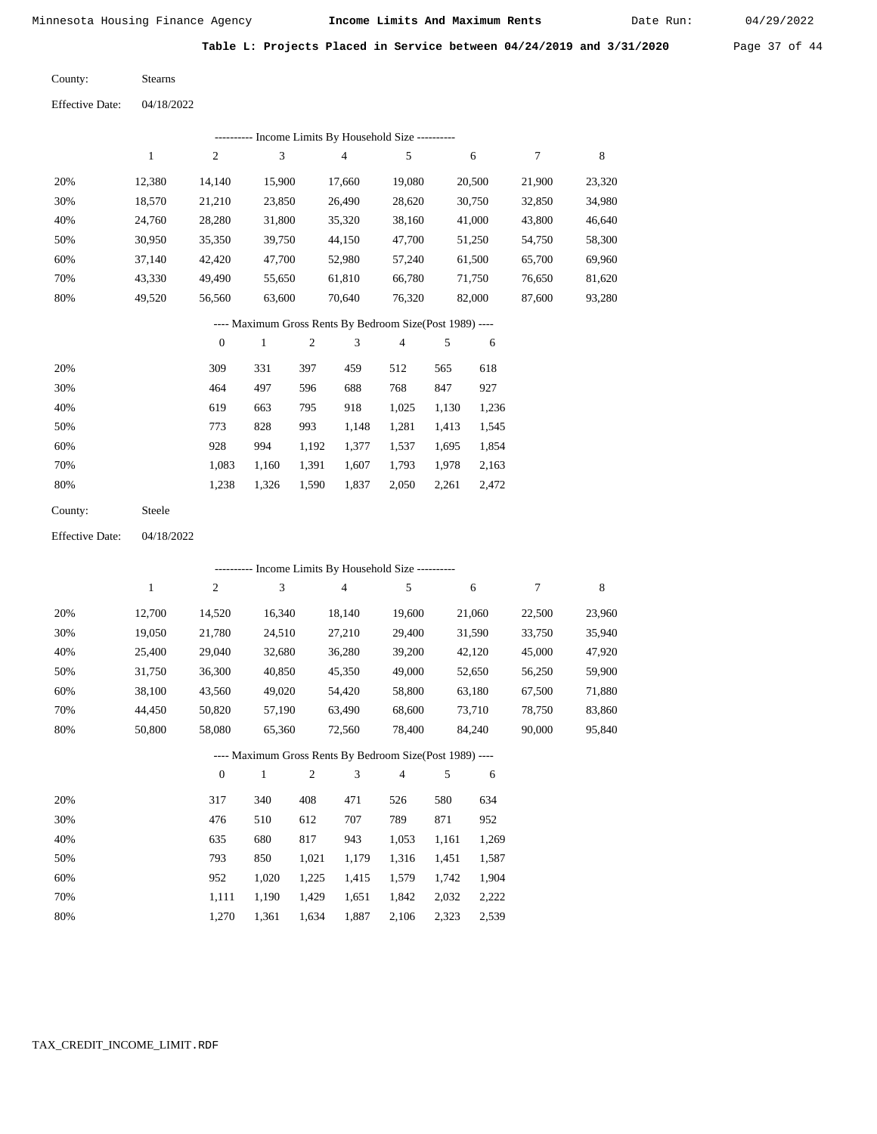Date Run:

**Table L: Projects Placed in Service between 04/24/2019 and 3/31/2020** Page 37 of 44

| County: | <b>Stearns</b> |
|---------|----------------|
|         |                |

|     | Income Limits By Household Size ---------- |                |        |        |        |        |        |        |  |  |  |
|-----|--------------------------------------------|----------------|--------|--------|--------|--------|--------|--------|--|--|--|
|     |                                            | $\overline{c}$ | 3      | 4      | 5      | 6      | 7      | 8      |  |  |  |
| 20% | 12.380                                     | 14.140         | 15.900 | 17.660 | 19.080 | 20,500 | 21,900 | 23,320 |  |  |  |
| 30% | 18,570                                     | 21,210         | 23,850 | 26,490 | 28,620 | 30,750 | 32,850 | 34,980 |  |  |  |
| 40% | 24.760                                     | 28,280         | 31,800 | 35,320 | 38,160 | 41,000 | 43,800 | 46,640 |  |  |  |
| 50% | 30,950                                     | 35,350         | 39,750 | 44,150 | 47,700 | 51,250 | 54,750 | 58,300 |  |  |  |
| 60% | 37.140                                     | 42,420         | 47,700 | 52,980 | 57,240 | 61,500 | 65,700 | 69,960 |  |  |  |
| 70% | 43,330                                     | 49.490         | 55,650 | 61,810 | 66,780 | 71,750 | 76,650 | 81,620 |  |  |  |
| 80% | 49.520                                     | 56,560         | 63,600 | 70.640 | 76,320 | 82,000 | 87,600 | 93,280 |  |  |  |

## ---- Maximum Gross Rents By Bedroom Size(Post 1989) ----

|     | $\mathbf{0}$ |       | $\overline{c}$ | 3     | 4     |       | 6     |
|-----|--------------|-------|----------------|-------|-------|-------|-------|
| 20% | 309          | 331   | 397            | 459   | 512   | 565   | 618   |
| 30% | 464          | 497   | 596            | 688   | 768   | 847   | 927   |
| 40% | 619          | 663   | 795            | 918   | 1,025 | 1,130 | 1,236 |
| 50% | 773          | 828   | 993            | 1,148 | 1,281 | 1,413 | 1,545 |
| 60% | 928          | 994   | 1,192          | 1,377 | 1,537 | 1,695 | 1,854 |
| 70% | 1,083        | 1,160 | 1,391          | 1,607 | 1,793 | 1,978 | 2,163 |
| 80% | 1,238        | 1,326 | 1,590          | 1,837 | 2,050 | 2,261 | 2,472 |
|     |              |       |                |       |       |       |       |

| County: | Steele |
|---------|--------|
|---------|--------|

04/18/2022 Effective Date:

|     |        |                |              |                |                | ---------- Income Limits By Household Size ----------    |       |        |        |        |
|-----|--------|----------------|--------------|----------------|----------------|----------------------------------------------------------|-------|--------|--------|--------|
|     | 1      | $\overline{c}$ | 3            |                | $\overline{4}$ | 5                                                        |       | 6      | 7      | 8      |
| 20% | 12,700 | 14,520         | 16,340       |                | 18,140         | 19,600                                                   |       | 21,060 | 22,500 | 23,960 |
| 30% | 19,050 | 21,780         | 24,510       |                | 27,210         | 29,400                                                   |       | 31,590 | 33,750 | 35,940 |
| 40% | 25,400 | 29,040         | 32,680       |                | 36,280         | 39,200                                                   |       | 42,120 | 45,000 | 47,920 |
| 50% | 31,750 | 36,300         | 40,850       |                | 45,350         | 49,000                                                   |       | 52,650 | 56,250 | 59,900 |
| 60% | 38,100 | 43,560         | 49,020       |                | 54,420         | 58,800                                                   |       | 63,180 | 67,500 | 71,880 |
| 70% | 44,450 | 50,820         | 57,190       |                | 63,490         | 68,600                                                   |       | 73,710 | 78,750 | 83,860 |
| 80% | 50,800 | 58,080         | 65,360       |                | 72,560         | 78,400                                                   |       | 84,240 | 90,000 | 95,840 |
|     |        |                |              |                |                | ---- Maximum Gross Rents By Bedroom Size(Post 1989) ---- |       |        |        |        |
|     |        | $\mathbf{0}$   | $\mathbf{1}$ | $\overline{2}$ | 3              | $\overline{4}$                                           | 5     | 6      |        |        |
| 20% |        | 317            | 340          | 408            | 471            | 526                                                      | 580   | 634    |        |        |
| 30% |        | 476            | 510          | 612            | 707            | 789                                                      | 871   | 952    |        |        |
| 40% |        | 635            | 680          | 817            | 943            | 1,053                                                    | 1,161 | 1,269  |        |        |
| 50% |        | 793            | 850          | 1,021          | 1,179          | 1,316                                                    | 1,451 | 1,587  |        |        |
| 60% |        | 952            | 1,020        | 1,225          | 1,415          | 1,579                                                    | 1,742 | 1,904  |        |        |

 1,111 1,270

 1,190 1,361

 1,429 1,634

 1,651 1,887  1,842 2,106 2,323

2,032

 2,222 2,539

 70% 80%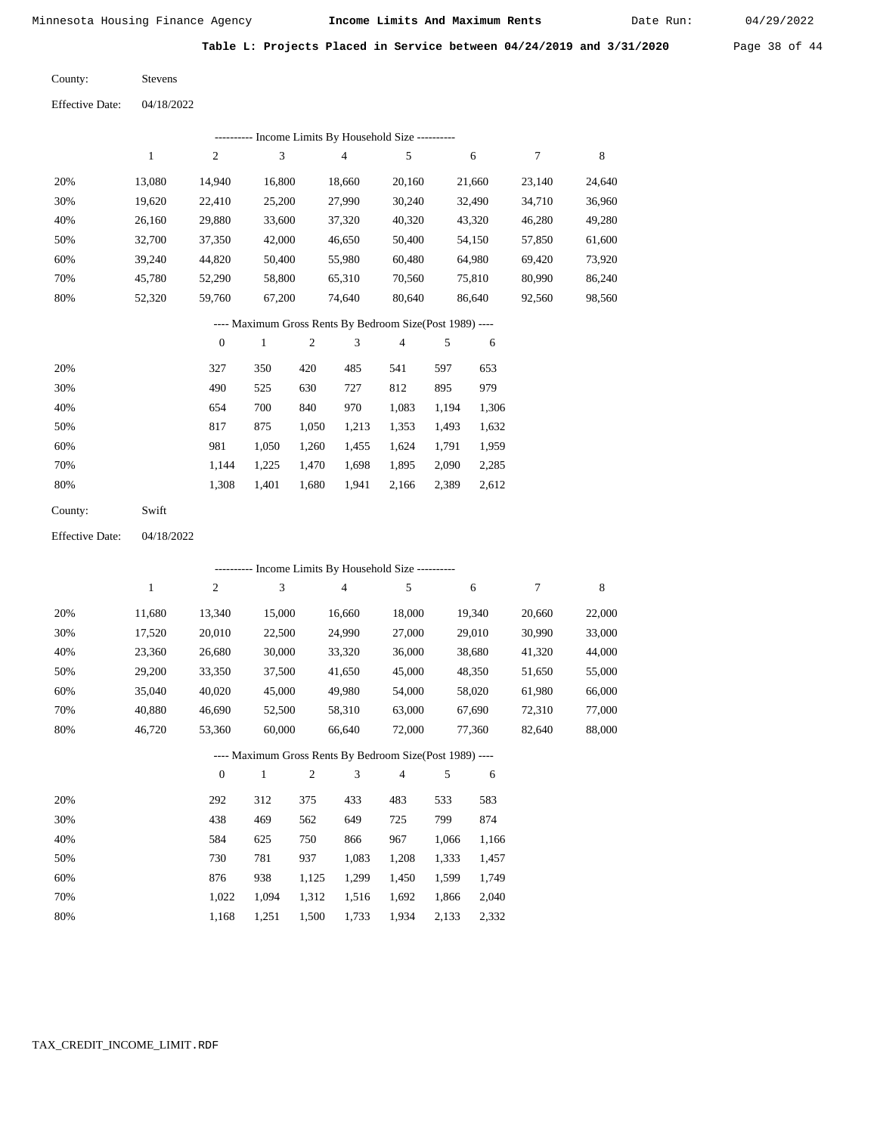Date Run:

**Table L: Projects Placed in Service between 04/24/2019 and 3/31/2020** Page 38 of 44

Stevens County:

04/18/2022 Effective Date:

| ---------- Income Limits By Household Size ----------    |        |                |        |        |        |        |        |        |  |  |  |
|----------------------------------------------------------|--------|----------------|--------|--------|--------|--------|--------|--------|--|--|--|
|                                                          |        | $\overline{2}$ | 3      | 4      | 5      | 6      | 7      | 8      |  |  |  |
| 20%                                                      | 13.080 | 14,940         | 16.800 | 18.660 | 20,160 | 21,660 | 23,140 | 24,640 |  |  |  |
| 30%                                                      | 19.620 | 22,410         | 25,200 | 27,990 | 30,240 | 32,490 | 34,710 | 36,960 |  |  |  |
| 40%                                                      | 26.160 | 29,880         | 33,600 | 37,320 | 40,320 | 43,320 | 46,280 | 49,280 |  |  |  |
| 50%                                                      | 32,700 | 37,350         | 42,000 | 46,650 | 50,400 | 54,150 | 57,850 | 61,600 |  |  |  |
| 60%                                                      | 39,240 | 44,820         | 50,400 | 55,980 | 60,480 | 64,980 | 69,420 | 73,920 |  |  |  |
| 70%                                                      | 45.780 | 52,290         | 58.800 | 65,310 | 70.560 | 75,810 | 80.990 | 86,240 |  |  |  |
| 80%                                                      | 52,320 | 59,760         | 67,200 | 74.640 | 80,640 | 86,640 | 92,560 | 98,560 |  |  |  |
| ---- Maximum Gross Rents By Bedroom Size(Post 1989) ---- |        |                |        |        |        |        |        |        |  |  |  |

|     | $\theta$ |       | 2     | 3     | 4     | 5     | 6     |
|-----|----------|-------|-------|-------|-------|-------|-------|
| 20% | 327      | 350   | 420   | 485   | 541   | 597   | 653   |
| 30% | 490      | 525   | 630   | 727   | 812   | 895   | 979   |
| 40% | 654      | 700   | 840   | 970   | 1,083 | 1,194 | 1,306 |
| 50% | 817      | 875   | 1,050 | 1,213 | 1,353 | 1,493 | 1,632 |
| 60% | 981      | 1.050 | 1,260 | 1,455 | 1,624 | 1,791 | 1,959 |
| 70% | 1.144    | 1,225 | 1,470 | 1,698 | 1,895 | 2,090 | 2,285 |
| 80% | 1,308    | 1,401 | 1,680 | 1,941 | 2,166 | 2,389 | 2,612 |
|     |          |       |       |       |       |       |       |

Swift County:

04/18/2022 Effective Date:

|     | ---------- Income Limits By Household Size ---------- |                |              |                |                                                          |                |       |        |        |        |  |
|-----|-------------------------------------------------------|----------------|--------------|----------------|----------------------------------------------------------|----------------|-------|--------|--------|--------|--|
|     | $\mathbf{1}$                                          | $\overline{c}$ | 3            |                | $\overline{4}$                                           | 5              |       | 6      | 7      | 8      |  |
| 20% | 11,680                                                | 13,340         | 15,000       |                | 16,660                                                   | 18,000         |       | 19,340 | 20,660 | 22,000 |  |
| 30% | 17,520                                                | 20,010         | 22,500       |                | 24,990                                                   | 27,000         |       | 29,010 | 30,990 | 33,000 |  |
| 40% | 23,360                                                | 26,680         | 30,000       |                | 33,320                                                   | 36,000         |       | 38,680 | 41,320 | 44,000 |  |
| 50% | 29,200                                                | 33,350         | 37,500       |                | 41,650                                                   | 45,000         |       | 48,350 | 51,650 | 55,000 |  |
| 60% | 35,040                                                | 40,020         | 45,000       |                | 49,980                                                   | 54,000         |       | 58,020 | 61,980 | 66,000 |  |
| 70% | 40,880                                                | 46,690         | 52,500       |                | 58,310                                                   | 63,000         |       | 67,690 | 72,310 | 77,000 |  |
| 80% | 46,720                                                | 53,360         | 60,000       |                | 66,640                                                   | 72,000         |       | 77,360 | 82,640 | 88,000 |  |
|     |                                                       |                |              |                | ---- Maximum Gross Rents By Bedroom Size(Post 1989) ---- |                |       |        |        |        |  |
|     |                                                       | $\theta$       | $\mathbf{1}$ | $\mathfrak{2}$ | 3                                                        | $\overline{4}$ | 5     | 6      |        |        |  |
| 20% |                                                       | 292            | 312          | 375            | 433                                                      | 483            | 533   | 583    |        |        |  |
| 30% |                                                       | 438            | 469          | 562            | 649                                                      | 725            | 799   | 874    |        |        |  |
| 40% |                                                       | 584            | 625          | 750            | 866                                                      | 967            | 1,066 | 1,166  |        |        |  |
| 50% |                                                       | 730            | 781          | 937            | 1,083                                                    | 1,208          | 1,333 | 1,457  |        |        |  |
| 60% |                                                       | 876            | 938          | 1,125          | 1,299                                                    | 1,450          | 1,599 | 1,749  |        |        |  |
| 70% |                                                       | 1,022          | 1,094        | 1,312          | 1,516                                                    | 1,692          | 1,866 | 2,040  |        |        |  |

1,168 1,251 1,500 1,733 1,934 2,133 2,332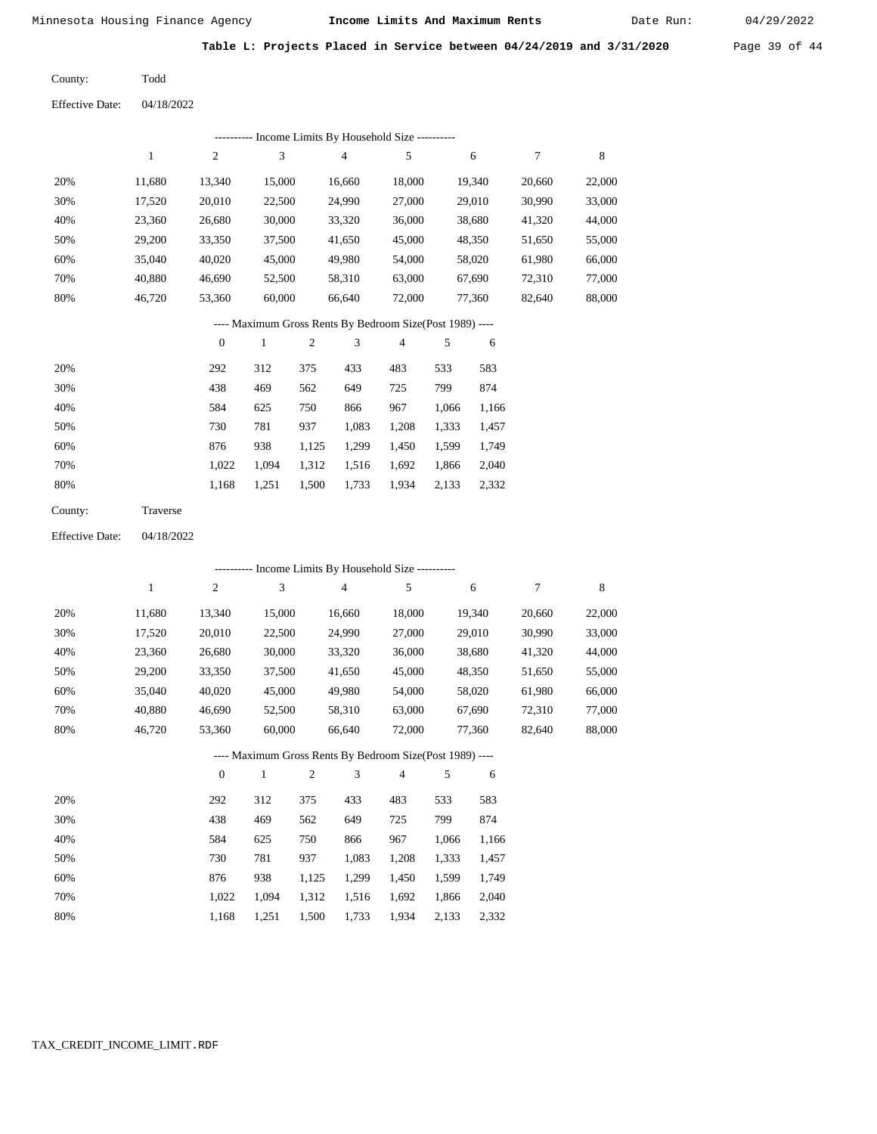Date Run:

**Table L: Projects Placed in Service between 04/24/2019 and 3/31/2020** Page 39 of 44

Todd County:

04/18/2022 Effective Date:

|     | ---------- Income Limits By Household Size ---------- |          |        |                                                          |        |        |        |        |  |  |  |  |  |
|-----|-------------------------------------------------------|----------|--------|----------------------------------------------------------|--------|--------|--------|--------|--|--|--|--|--|
|     |                                                       | 2        | 3      | $\overline{4}$                                           | 5      | 6      | 7      | 8      |  |  |  |  |  |
| 20% | 11.680                                                | 13,340   | 15,000 | 16,660                                                   | 18,000 | 19,340 | 20,660 | 22,000 |  |  |  |  |  |
| 30% | 17,520                                                | 20,010   | 22,500 | 24,990                                                   | 27,000 | 29,010 | 30,990 | 33,000 |  |  |  |  |  |
| 40% | 23,360                                                | 26,680   | 30,000 | 33,320                                                   | 36,000 | 38,680 | 41,320 | 44,000 |  |  |  |  |  |
| 50% | 29,200                                                | 33,350   | 37,500 | 41,650                                                   | 45,000 | 48,350 | 51,650 | 55,000 |  |  |  |  |  |
| 60% | 35,040                                                | 40,020   | 45,000 | 49,980                                                   | 54,000 | 58,020 | 61,980 | 66,000 |  |  |  |  |  |
| 70% | 40.880                                                | 46,690   | 52,500 | 58,310                                                   | 63,000 | 67,690 | 72,310 | 77,000 |  |  |  |  |  |
| 80% | 46,720                                                | 53,360   | 60,000 | 66,640                                                   | 72,000 | 77,360 | 82,640 | 88,000 |  |  |  |  |  |
|     |                                                       |          |        | ---- Maximum Gross Rents By Bedroom Size(Post 1989) ---- |        |        |        |        |  |  |  |  |  |
|     |                                                       | $\Omega$ |        |                                                          |        | -6     |        |        |  |  |  |  |  |

|     |       |       | $\overline{2}$ | 3     | 4     |       | 6     |
|-----|-------|-------|----------------|-------|-------|-------|-------|
| 20% | 292   | 312   | 375            | 433   | 483   | 533   | 583   |
| 30% | 438   | 469   | 562            | 649   | 725   | 799   | 874   |
| 40% | 584   | 625   | 750            | 866   | 967   | 1,066 | 1,166 |
| 50% | 730   | 781   | 937            | 1,083 | 1,208 | 1,333 | 1,457 |
| 60% | 876   | 938   | 1,125          | 1,299 | 1,450 | 1,599 | 1,749 |
| 70% | 1.022 | 1.094 | 1,312          | 1,516 | 1,692 | 1,866 | 2,040 |
| 80% | 1,168 | 1,251 | 1,500          | 1,733 | 1,934 | 2,133 | 2,332 |

| County: | Traverse |
|---------|----------|
|---------|----------|

04/18/2022 Effective Date:

|     |              |                |              |                |                | ---------- Income Limits By Household Size ----------    |       |        |        |        |
|-----|--------------|----------------|--------------|----------------|----------------|----------------------------------------------------------|-------|--------|--------|--------|
|     | $\mathbf{1}$ | $\overline{c}$ | 3            |                | $\overline{4}$ | 5                                                        |       | 6      | 7      | 8      |
| 20% | 11,680       | 13,340         | 15,000       |                | 16,660         | 18,000                                                   |       | 19,340 | 20,660 | 22,000 |
| 30% | 17,520       | 20,010         | 22,500       |                | 24,990         | 27,000                                                   |       | 29,010 | 30,990 | 33,000 |
| 40% | 23,360       | 26,680         | 30,000       |                | 33,320         | 36,000                                                   |       | 38,680 | 41,320 | 44,000 |
| 50% | 29,200       | 33,350         | 37,500       |                | 41,650         | 45,000                                                   |       | 48,350 | 51,650 | 55,000 |
| 60% | 35,040       | 40,020         | 45,000       |                | 49,980         | 54,000                                                   |       | 58,020 | 61,980 | 66,000 |
| 70% | 40,880       | 46,690         | 52,500       |                | 58,310         | 63,000                                                   |       | 67,690 | 72,310 | 77,000 |
| 80% | 46,720       | 53,360         | 60,000       |                | 66,640         | 72,000                                                   |       | 77,360 | 82,640 | 88,000 |
|     |              |                |              |                |                | ---- Maximum Gross Rents By Bedroom Size(Post 1989) ---- |       |        |        |        |
|     |              | $\theta$       | $\mathbf{1}$ | $\overline{c}$ | 3              | $\overline{4}$                                           | 5     | 6      |        |        |
| 20% |              | 292            | 312          | 375            | 433            | 483                                                      | 533   | 583    |        |        |
| 30% |              | 438            | 469          | 562            | 649            | 725                                                      | 799   | 874    |        |        |
| 40% |              | 584            | 625          | 750            | 866            | 967                                                      | 1,066 | 1,166  |        |        |
| 50% |              | 730            | 781          | 937            | 1,083          | 1,208                                                    | 1,333 | 1,457  |        |        |
| 60% |              | 876            | 938          | 1,125          | 1,299          | 1,450                                                    | 1,599 | 1,749  |        |        |

1,500 1,733

1,312 1,516 1,692 1,866 2,040

1,934 2,133 2,332

 1,022 1,094 1,168 1,251

 70% 80%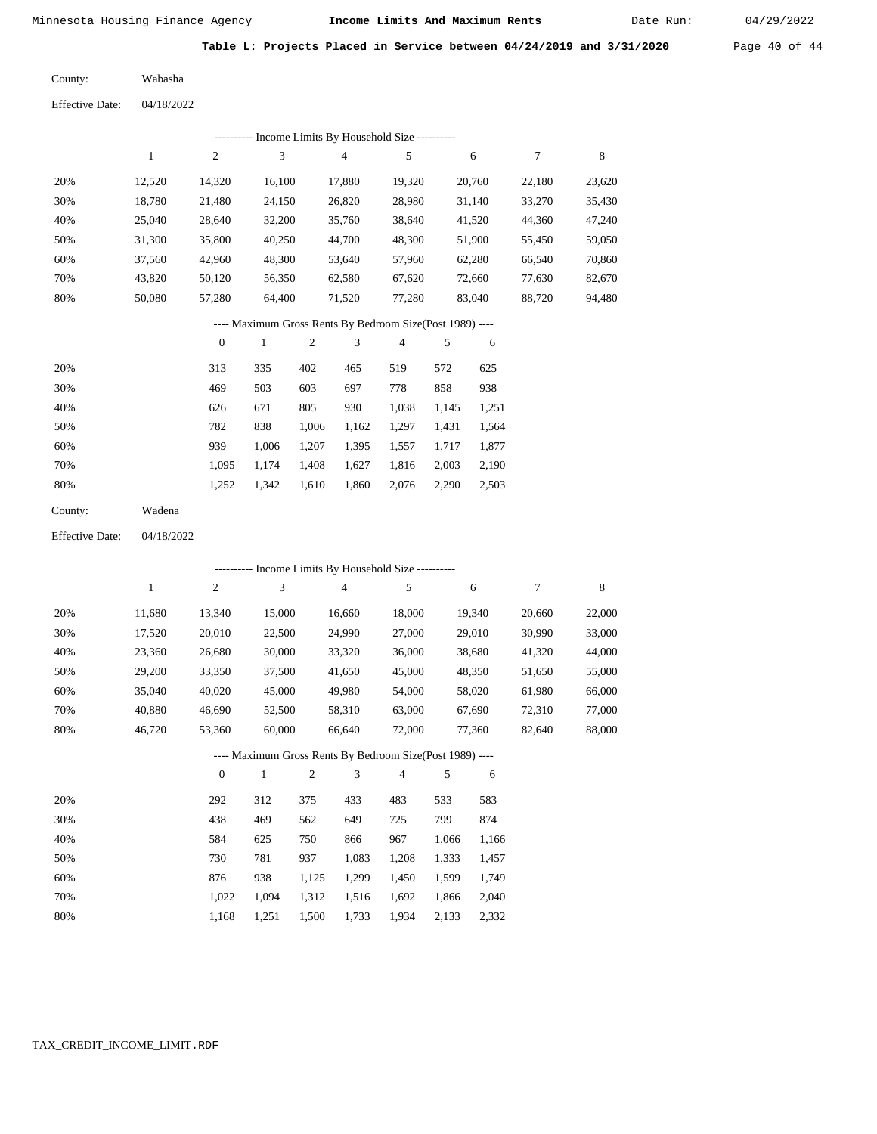Date Run:

**2020** Page 40 of 44

|  |  |  |  |  |  | Table L: Projects Placed in Service between 04/24/2019 and 3/31/ |  |  |
|--|--|--|--|--|--|------------------------------------------------------------------|--|--|
|--|--|--|--|--|--|------------------------------------------------------------------|--|--|

| County:         | Wabasha    |
|-----------------|------------|
| Effective Date: | 04/18/2022 |

|                        |              |                  |              |              |        | --------- Income Limits By Household Size ----------     |            |        |                  |        |
|------------------------|--------------|------------------|--------------|--------------|--------|----------------------------------------------------------|------------|--------|------------------|--------|
|                        | $\mathbf{1}$ | $\sqrt{2}$       | 3            |              | 4      | 5                                                        |            | 6      | $\boldsymbol{7}$ | 8      |
| 20%                    | 12,520       | 14,320           | 16,100       |              | 17,880 | 19,320                                                   |            | 20,760 | 22,180           | 23,620 |
| 30%                    | 18,780       | 21,480           | 24,150       |              | 26,820 | 28,980                                                   |            | 31,140 | 33,270           | 35,430 |
| 40%                    | 25,040       | 28,640           | 32,200       |              | 35,760 | 38,640                                                   |            | 41,520 | 44,360           | 47,240 |
| 50%                    | 31,300       | 35,800           | 40,250       |              | 44,700 | 48,300                                                   |            | 51,900 | 55,450           | 59,050 |
| 60%                    | 37,560       | 42,960           | 48,300       |              | 53,640 | 57,960                                                   |            | 62,280 | 66,540           | 70,860 |
| 70%                    | 43,820       | 50,120           | 56,350       |              | 62,580 | 67,620                                                   |            | 72,660 | 77,630           | 82,670 |
| 80%                    | 50,080       | 57,280           | 64,400       |              | 71,520 | 77,280                                                   |            | 83,040 | 88,720           | 94,480 |
|                        |              |                  |              |              |        | ---- Maximum Gross Rents By Bedroom Size(Post 1989) ---- |            |        |                  |        |
|                        |              | $\boldsymbol{0}$ | $\mathbf{1}$ | $\mathbf{2}$ | 3      | $\overline{4}$                                           | $\sqrt{5}$ | 6      |                  |        |
| 20%                    |              | 313              | 335          | 402          | 465    | 519                                                      | 572        | 625    |                  |        |
| 30%                    |              | 469              | 503          | 603          | 697    | 778                                                      | 858        | 938    |                  |        |
| 40%                    |              | 626              | 671          | 805          | 930    | 1,038                                                    | 1,145      | 1,251  |                  |        |
| 50%                    |              | 782              | 838          | 1,006        | 1,162  | 1,297                                                    | 1,431      | 1,564  |                  |        |
| 60%                    |              | 939              | 1,006        | 1,207        | 1,395  | 1,557                                                    | 1,717      | 1,877  |                  |        |
| 70%                    |              | 1,095            | 1,174        | 1,408        | 1,627  | 1,816                                                    | 2,003      | 2,190  |                  |        |
| 80%                    |              | 1,252            | 1,342        | 1,610        | 1,860  | 2,076                                                    | 2,290      | 2,503  |                  |        |
| County:                | Wadena       |                  |              |              |        |                                                          |            |        |                  |        |
| <b>Effective Date:</b> | 04/18/2022   |                  |              |              |        |                                                          |            |        |                  |        |
|                        |              |                  |              |              |        | --------- Income Limits By Household Size ----------     |            |        |                  |        |
|                        | $\mathbf{1}$ | $\boldsymbol{2}$ | 3            |              | 4      | 5                                                        |            | 6      | $\boldsymbol{7}$ | 8      |
| 20%                    | 11,680       | 13,340           | 15,000       |              | 16,660 | 18,000                                                   |            | 19,340 | 20,660           | 22,000 |
| 30%                    | 17,520       | 20,010           | 22,500       |              | 24,990 | 27,000                                                   |            | 29,010 | 30,990           | 33,000 |
| 40%                    | 23,360       | 26,680           | 30,000       |              | 33,320 | 36,000                                                   |            | 38,680 | 41,320           | 44,000 |
| 50%                    | 29,200       | 33,350           | 37,500       |              | 41,650 | 45,000                                                   |            | 48,350 | 51,650           | 55,000 |
| 60%                    | 35,040       | 40,020           | 45,000       |              | 49,980 | 54,000                                                   |            | 58,020 | 61,980           | 66,000 |
| 70%                    | 40,880       | 46,690           | 52,500       |              | 58,310 | 63,000                                                   |            | 67,690 | 72,310           | 77,000 |
| 80%                    | 46,720       | 53,360           | 60,000       |              | 66,640 | 72,000                                                   |            | 77,360 | 82,640           | 88,000 |
|                        |              |                  |              |              |        | ---- Maximum Gross Rents By Bedroom Size(Post 1989) -    |            |        |                  |        |
|                        |              | $\boldsymbol{0}$ | $\mathbf{1}$ | 2            | 3      | 4                                                        | 5          | 6      |                  |        |
| 20%                    |              | 292              | 312          | 375          | 433    | 483                                                      | 533        | 583    |                  |        |
| 30%                    |              | 438              | 469          | 562          | 649    | 725                                                      | 799        | 874    |                  |        |
| 40%                    |              | 584              | 625          | 750          | 866    | 967                                                      | 1,066      | 1,166  |                  |        |
| 50%                    |              | 730              | 781          | 937          | 1,083  | 1,208                                                    | 1,333      | 1,457  |                  |        |
| 60%                    |              | 876              | 938          | 1,125        | 1,299  | 1,450                                                    | 1,599      | 1,749  |                  |        |
| 70%                    |              | 1,022            | 1,094        | 1,312        | 1,516  | 1,692                                                    | 1,866      | 2,040  |                  |        |
| 80%                    |              | 1,168            | 1,251        | 1,500        | 1,733  | 1,934                                                    | 2,133      | 2,332  |                  |        |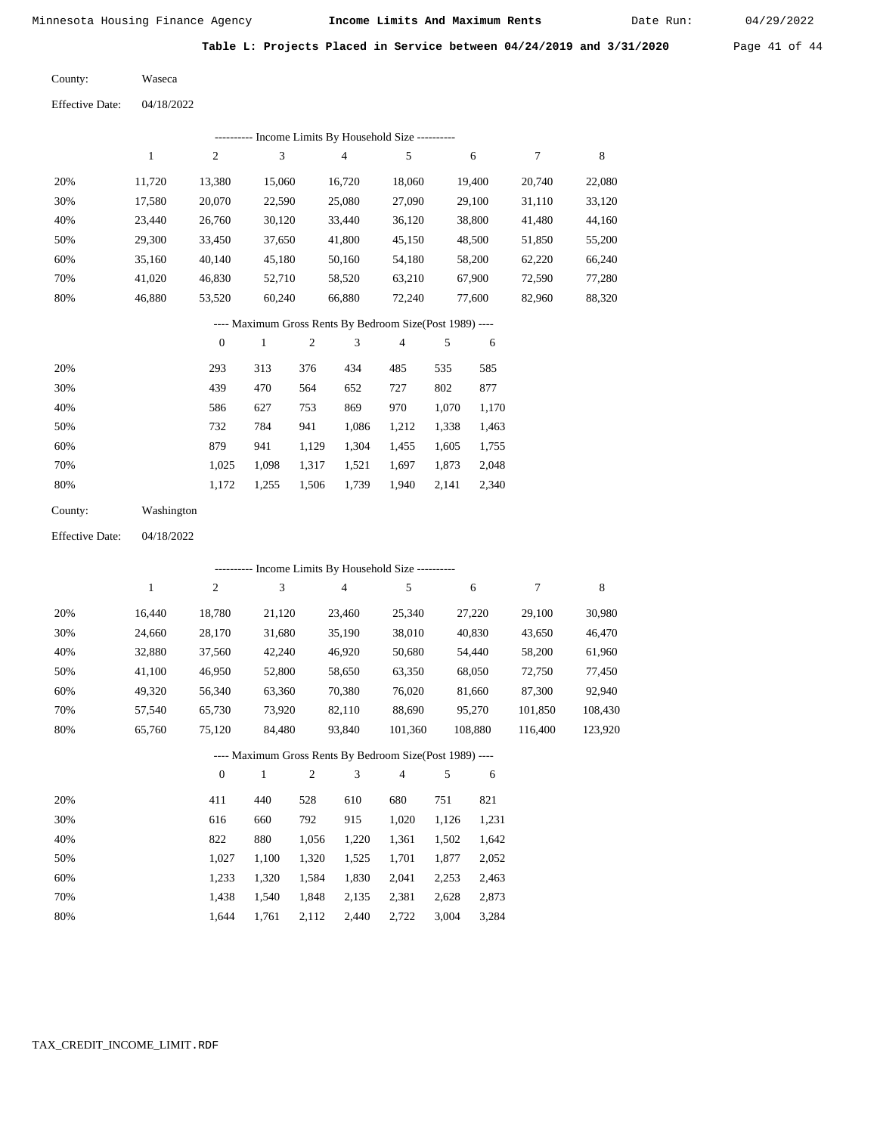Date Run:

**Table L: Projects Placed in Service between 04/24/2019 and 3/31/2020** Page 41 of 44

Waseca County:

04/18/2022 Effective Date:

|     | Income Limits By Household Size ---------- |                |        |        |        |        |        |        |  |  |  |  |  |
|-----|--------------------------------------------|----------------|--------|--------|--------|--------|--------|--------|--|--|--|--|--|
|     |                                            | $\overline{c}$ | 3      | 4      | 5      | 6      |        | 8      |  |  |  |  |  |
| 20% | 11.720                                     | 13,380         | 15,060 | 16.720 | 18,060 | 19.400 | 20,740 | 22,080 |  |  |  |  |  |
| 30% | 17,580                                     | 20,070         | 22,590 | 25,080 | 27,090 | 29,100 | 31,110 | 33,120 |  |  |  |  |  |
| 40% | 23.440                                     | 26,760         | 30,120 | 33,440 | 36,120 | 38,800 | 41,480 | 44,160 |  |  |  |  |  |
| 50% | 29,300                                     | 33,450         | 37,650 | 41,800 | 45,150 | 48,500 | 51,850 | 55,200 |  |  |  |  |  |
| 60% | 35,160                                     | 40,140         | 45,180 | 50,160 | 54,180 | 58,200 | 62,220 | 66,240 |  |  |  |  |  |
| 70% | 41.020                                     | 46,830         | 52,710 | 58,520 | 63,210 | 67,900 | 72,590 | 77,280 |  |  |  |  |  |
| 80% | 46.880                                     | 53,520         | 60,240 | 66,880 | 72,240 | 77,600 | 82,960 | 88,320 |  |  |  |  |  |

# ---- Maximum Gross Rents By Bedroom Size(Post 1989) ----

|     | $\mathbf{0}$ |       | $\overline{c}$ | 3     | 4     | 5     | 6     |
|-----|--------------|-------|----------------|-------|-------|-------|-------|
| 20% | 293          | 313   | 376            | 434   | 485   | 535   | 585   |
| 30% | 439          | 470   | 564            | 652   | 727   | 802   | 877   |
| 40% | 586          | 627   | 753            | 869   | 970   | 1,070 | 1,170 |
| 50% | 732          | 784   | 941            | 1,086 | 1,212 | 1,338 | 1,463 |
| 60% | 879          | 941   | 1,129          | 1,304 | 1,455 | 1,605 | 1,755 |
| 70% | 1.025        | 1.098 | 1,317          | 1,521 | 1,697 | 1,873 | 2,048 |
| 80% | 1,172        | 1,255 | 1,506          | 1,739 | 1,940 | 2,141 | 2,340 |
|     |              |       |                |       |       |       |       |

| County: | Washington |
|---------|------------|
|         |            |

04/18/2022 Effective Date:

|     |        |                |        | ---------- Income Limits By Household Size ----------    |                |         |         |         |
|-----|--------|----------------|--------|----------------------------------------------------------|----------------|---------|---------|---------|
|     |        | $\overline{c}$ | 3      | 4                                                        | 5              | 6       | 7       | 8       |
| 20% | 16.440 | 18.780         | 21,120 | 23,460                                                   | 25,340         | 27,220  | 29,100  | 30,980  |
| 30% | 24,660 | 28,170         | 31,680 | 35,190                                                   | 38,010         | 40,830  | 43,650  | 46,470  |
| 40% | 32,880 | 37,560         | 42,240 | 46,920                                                   | 50,680         | 54,440  | 58,200  | 61,960  |
| 50% | 41,100 | 46,950         | 52,800 | 58,650                                                   | 63,350         | 68,050  | 72,750  | 77,450  |
| 60% | 49,320 | 56,340         | 63,360 | 70,380                                                   | 76,020         | 81,660  | 87,300  | 92,940  |
| 70% | 57.540 | 65,730         | 73,920 | 82,110                                                   | 88,690         | 95,270  | 101,850 | 108,430 |
| 80% | 65,760 | 75,120         | 84.480 | 93.840                                                   | 101,360        | 108,880 | 116.400 | 123,920 |
|     |        |                |        | ---- Maximum Gross Rents By Bedroom Size(Post 1989) ---- |                |         |         |         |
|     |        | $\theta$       |        | 3<br>2                                                   | $\overline{4}$ | 5<br>6  |         |         |

| 20% | 411   | 440   | 528   | 610   | 680   | 751   | 821   |
|-----|-------|-------|-------|-------|-------|-------|-------|
| 30% | 616   | 660   | 792   | 915   | 1.020 | 1.126 | 1,231 |
| 40% | 822   | 880   | 1.056 | 1,220 | 1,361 | 1,502 | 1,642 |
| 50% | 1.027 | 1.100 | 1.320 | 1.525 | 1,701 | 1.877 | 2,052 |
| 60% | 1.233 | 1.320 | 1,584 | 1,830 | 2,041 | 2,253 | 2,463 |
| 70% | 1.438 | 1.540 | 1,848 | 2,135 | 2,381 | 2,628 | 2,873 |
| 80% | 1.644 | 1.761 | 2,112 | 2.440 | 2.722 | 3,004 | 3,284 |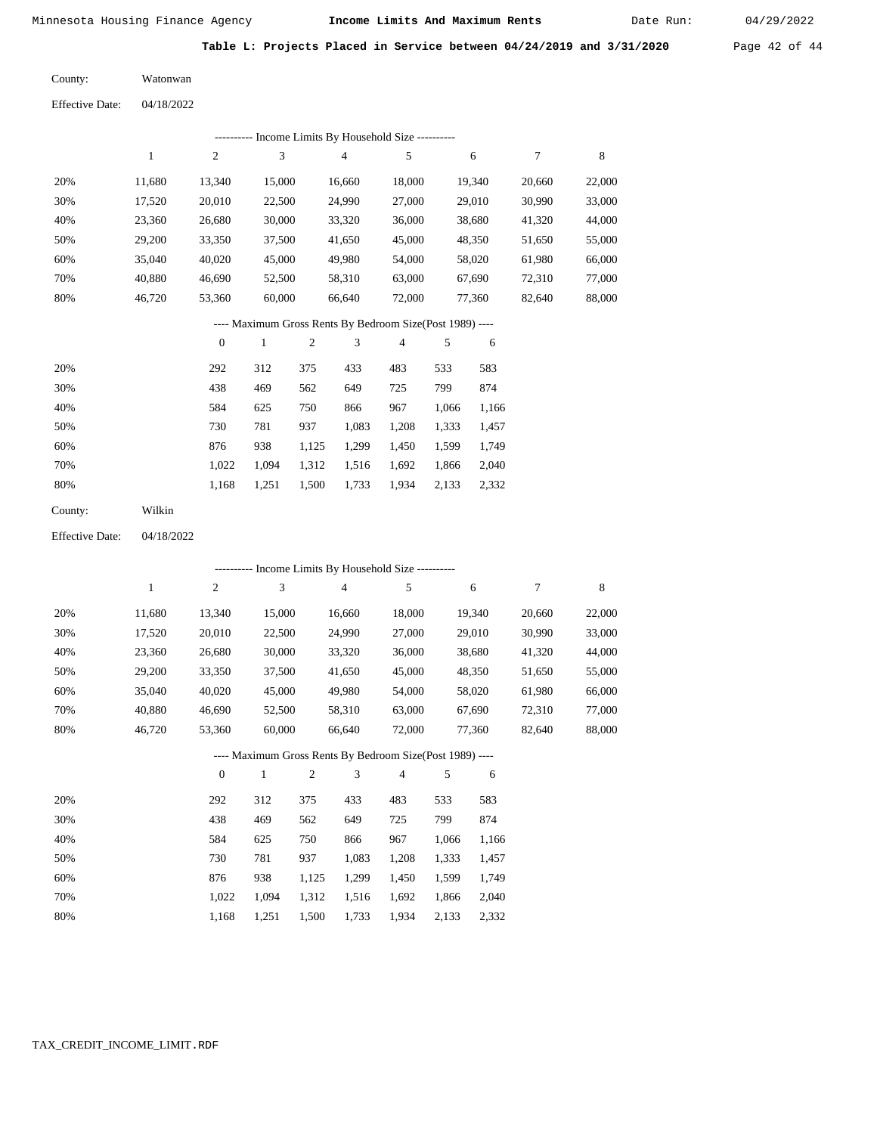Date Run:

**Table L: Projects Placed in Service between 04/24/2019 and 3/31/2020** Page 42 of 44

Watonwan County:

04/18/2022 Effective Date:

|     |        |        | ---------- Income Limits By Household Size ---------- |        |        |        |        |        |
|-----|--------|--------|-------------------------------------------------------|--------|--------|--------|--------|--------|
|     |        | 2      | 3                                                     | 4      |        | 6      |        | 8      |
| 20% | 11.680 | 13,340 | 15,000                                                | 16,660 | 18,000 | 19.340 | 20,660 | 22,000 |
| 30% | 17,520 | 20,010 | 22,500                                                | 24,990 | 27,000 | 29,010 | 30,990 | 33,000 |
| 40% | 23,360 | 26,680 | 30,000                                                | 33,320 | 36,000 | 38,680 | 41,320 | 44,000 |
| 50% | 29,200 | 33,350 | 37,500                                                | 41,650 | 45,000 | 48,350 | 51,650 | 55,000 |
| 60% | 35,040 | 40,020 | 45,000                                                | 49,980 | 54,000 | 58,020 | 61,980 | 66,000 |
| 70% | 40,880 | 46,690 | 52,500                                                | 58,310 | 63,000 | 67,690 | 72,310 | 77,000 |
| 80% | 46,720 | 53,360 | 60,000                                                | 66,640 | 72,000 | 77,360 | 82,640 | 88,000 |
|     |        |        |                                                       |        |        |        |        |        |

## ---- Maximum Gross Rents By Bedroom Size(Post 1989) ----

|     | $\mathbf{0}$ |       | $\overline{2}$ | 3     | $\overline{4}$ | 5     | 6     |
|-----|--------------|-------|----------------|-------|----------------|-------|-------|
| 20% | 292          | 312   | 375            | 433   | 483            | 533   | 583   |
| 30% | 438          | 469   | 562            | 649   | 725            | 799   | 874   |
| 40% | 584          | 625   | 750            | 866   | 967            | 1,066 | 1,166 |
| 50% | 730          | 781   | 937            | 1,083 | 1,208          | 1,333 | 1,457 |
| 60% | 876          | 938   | 1,125          | 1,299 | 1,450          | 1,599 | 1,749 |
| 70% | 1,022        | 1.094 | 1,312          | 1,516 | 1,692          | 1,866 | 2,040 |
| 80% | 1,168        | 1,251 | 1,500          | 1,733 | 1,934          | 2,133 | 2,332 |
|     |              |       |                |       |                |       |       |

Wilkin County:

04/18/2022 Effective Date:

|     |              |                |              |                |                | ---------- Income Limits By Household Size ----------    |       |        |        |        |
|-----|--------------|----------------|--------------|----------------|----------------|----------------------------------------------------------|-------|--------|--------|--------|
|     | $\mathbf{1}$ | $\overline{c}$ | 3            |                | $\overline{4}$ | 5                                                        |       | 6      | 7      | 8      |
| 20% | 11,680       | 13,340         | 15,000       |                | 16,660         | 18,000                                                   |       | 19,340 | 20,660 | 22,000 |
| 30% | 17,520       | 20,010         | 22,500       |                | 24,990         | 27,000                                                   |       | 29,010 | 30,990 | 33,000 |
| 40% | 23,360       | 26,680         | 30,000       |                | 33,320         | 36,000                                                   |       | 38,680 | 41,320 | 44,000 |
| 50% | 29,200       | 33,350         | 37,500       |                | 41,650         | 45,000                                                   |       | 48,350 | 51,650 | 55,000 |
| 60% | 35,040       | 40,020         | 45,000       |                | 49,980         | 54,000                                                   |       | 58,020 | 61,980 | 66,000 |
| 70% | 40,880       | 46,690         | 52,500       |                | 58,310         | 63,000                                                   |       | 67,690 | 72,310 | 77,000 |
| 80% | 46,720       | 53,360         | 60,000       |                | 66,640         | 72,000                                                   |       | 77,360 | 82,640 | 88,000 |
|     |              |                |              |                |                | ---- Maximum Gross Rents By Bedroom Size(Post 1989) ---- |       |        |        |        |
|     |              | $\theta$       | $\mathbf{1}$ | $\mathfrak{2}$ | 3              | $\overline{4}$                                           | 5     | 6      |        |        |
| 20% |              | 292            | 312          | 375            | 433            | 483                                                      | 533   | 583    |        |        |
| 30% |              | 438            | 469          | 562            | 649            | 725                                                      | 799   | 874    |        |        |
| 40% |              | 584            | 625          | 750            | 866            | 967                                                      | 1,066 | 1,166  |        |        |
| 50% |              | 730            | 781          | 937            | 1,083          | 1,208                                                    | 1,333 | 1,457  |        |        |
| 60% |              | 876            | 938          | 1,125          | 1,299          | 1,450                                                    | 1,599 | 1,749  |        |        |
| 70% |              | 1,022          | 1,094        | 1,312          | 1,516          | 1,692                                                    | 1,866 | 2,040  |        |        |

1,251 1,500 1,733 1,934 2,133 2,332

1,168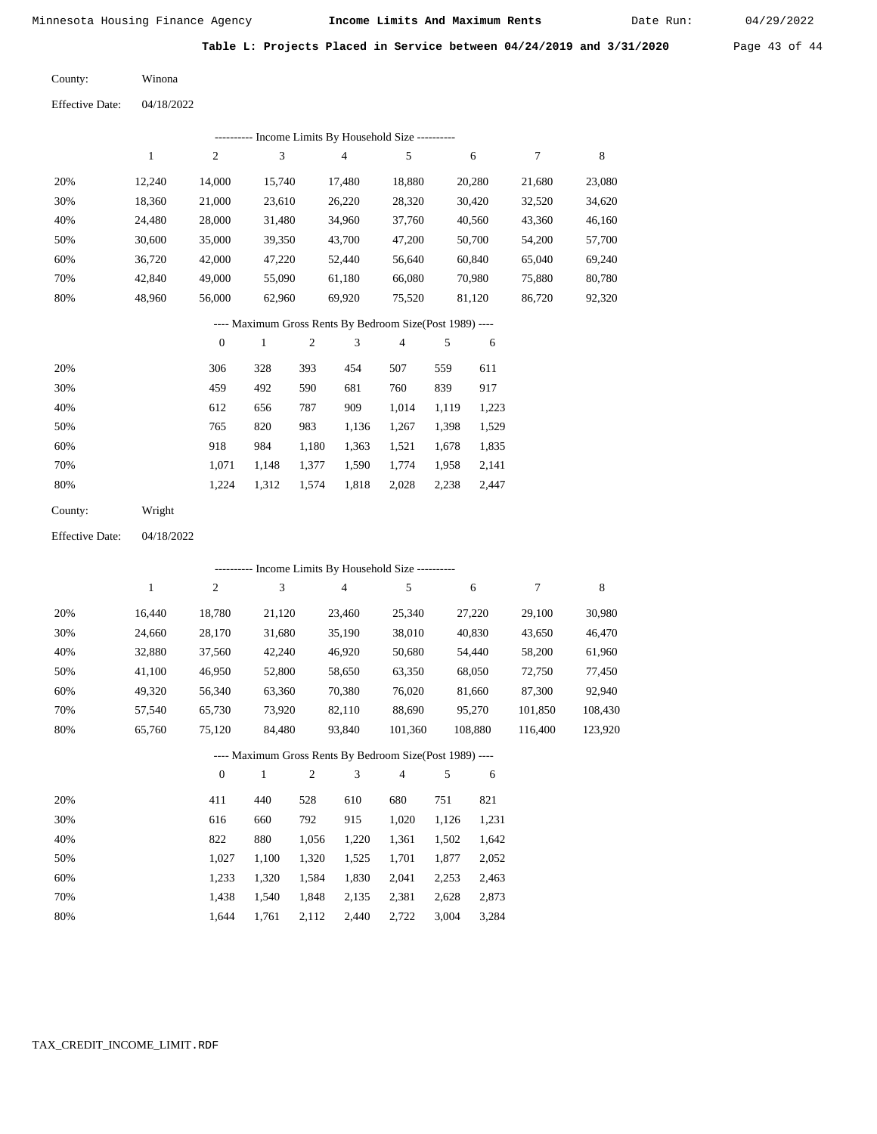Date Run:

**Table L: Projects Placed in Service between 04/24/2019 and 3/31/2020** Page 43 of 44

Winona County:

04/18/2022 Effective Date:

|     |        |        | ---------- Income Limits By Household Size ---------- |        |        |        |        |        |
|-----|--------|--------|-------------------------------------------------------|--------|--------|--------|--------|--------|
|     |        | 2      | 3                                                     | 4      | 5      | 6      | 7      | 8      |
| 20% | 12.240 | 14.000 | 15.740                                                | 17,480 | 18,880 | 20,280 | 21,680 | 23,080 |
| 30% | 18,360 | 21,000 | 23.610                                                | 26,220 | 28,320 | 30,420 | 32,520 | 34,620 |
| 40% | 24.480 | 28,000 | 31,480                                                | 34,960 | 37,760 | 40,560 | 43,360 | 46,160 |
| 50% | 30.600 | 35,000 | 39,350                                                | 43,700 | 47,200 | 50,700 | 54,200 | 57,700 |
| 60% | 36,720 | 42,000 | 47,220                                                | 52,440 | 56.640 | 60.840 | 65,040 | 69,240 |
| 70% | 42,840 | 49,000 | 55,090                                                | 61,180 | 66,080 | 70,980 | 75,880 | 80,780 |
| 80% | 48,960 | 56,000 | 62,960                                                | 69,920 | 75,520 | 81,120 | 86,720 | 92,320 |
|     |        |        |                                                       |        |        |        |        |        |

---- Maximum Gross Rents By Bedroom Size(Post 1989) ----

|     | $\mathbf{0}$ |       | 2     | 3     | 4     | 5     | 6     |
|-----|--------------|-------|-------|-------|-------|-------|-------|
| 20% | 306          | 328   | 393   | 454   | 507   | 559   | 611   |
| 30% | 459          | 492   | 590   | 681   | 760   | 839   | 917   |
| 40% | 612          | 656   | 787   | 909   | 1,014 | 1,119 | 1,223 |
| 50% | 765          | 820   | 983   | 1,136 | 1,267 | 1,398 | 1,529 |
| 60% | 918          | 984   | 1,180 | 1,363 | 1,521 | 1,678 | 1,835 |
| 70% | 1.071        | 1.148 | 1,377 | 1,590 | 1,774 | 1,958 | 2,141 |
| 80% | 1,224        | 1,312 | 1,574 | 1,818 | 2,028 | 2,238 | 2,447 |
|     |              |       |       |       |       |       |       |

Wright County:

04/18/2022 Effective Date:

|     |        |          |        |     |        | ---------- Income Limits By Household Size ----------    |       |         |         |         |
|-----|--------|----------|--------|-----|--------|----------------------------------------------------------|-------|---------|---------|---------|
|     | 1      | 2        | 3      |     | 4      | 5                                                        |       | 6       | 7       | 8       |
| 20% | 16,440 | 18,780   | 21,120 |     | 23,460 | 25,340                                                   |       | 27,220  | 29,100  | 30,980  |
| 30% | 24,660 | 28,170   | 31,680 |     | 35,190 | 38,010                                                   |       | 40,830  | 43,650  | 46,470  |
| 40% | 32,880 | 37,560   | 42,240 |     | 46,920 | 50,680                                                   |       | 54,440  | 58,200  | 61,960  |
| 50% | 41,100 | 46,950   | 52,800 |     | 58,650 | 63,350                                                   |       | 68,050  | 72,750  | 77,450  |
| 60% | 49,320 | 56,340   | 63,360 |     | 70,380 | 76,020                                                   |       | 81,660  | 87,300  | 92,940  |
| 70% | 57,540 | 65,730   | 73,920 |     | 82,110 | 88,690                                                   |       | 95,270  | 101,850 | 108,430 |
| 80% | 65,760 | 75,120   | 84,480 |     | 93,840 | 101,360                                                  |       | 108,880 | 116,400 | 123,920 |
|     |        |          |        |     |        | ---- Maximum Gross Rents By Bedroom Size(Post 1989) ---- |       |         |         |         |
|     |        | $\theta$ | 1      | 2   | 3      | $\overline{4}$                                           | 5     | 6       |         |         |
| 20% |        | 411      | 440    | 528 | 610    | 680                                                      | 751   | 821     |         |         |
| 30% |        | 616      | 660    | 792 | 915    | 1,020                                                    | 1,126 | 1,231   |         |         |

| 40% | 822   | 880                                       | 1,056 1,220 1,361 1,502 1,642 |             |  |
|-----|-------|-------------------------------------------|-------------------------------|-------------|--|
| 50% | 1.027 | 1,100 1,320 1,525 1,701 1,877 2,052       |                               |             |  |
| 60% |       | 1,233 1,320 1,584 1,830 2,041 2,253 2,463 |                               |             |  |
| 70% |       | 1,438 1,540 1,848 2,135 2,381 2,628 2,873 |                               |             |  |
| 80% | 1.644 | 1,761 2,112 2,440 2,722                   |                               | 3,004 3,284 |  |